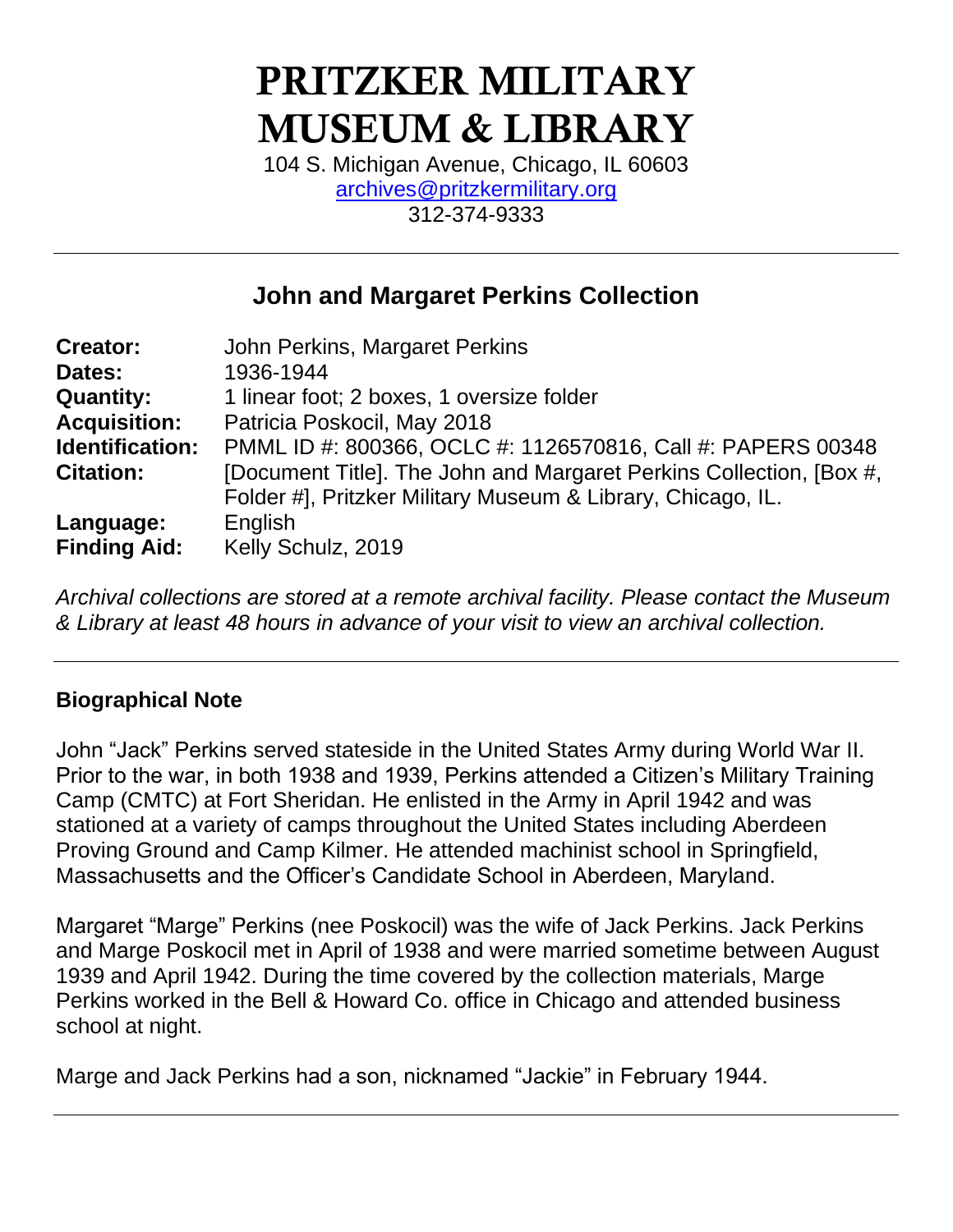# PRITZKER MILITARY MUSEUM & LIBRARY

104 S. Michigan Avenue, Chicago, IL 60603 [archives@pritzkermilitary.org](mailto:archives@pritzkermilitary.org) 312-374-9333

### **John and Margaret Perkins Collection**

| <b>Creator:</b>     | John Perkins, Margaret Perkins                                      |
|---------------------|---------------------------------------------------------------------|
| Dates:              | 1936-1944                                                           |
| <b>Quantity:</b>    | 1 linear foot; 2 boxes, 1 oversize folder                           |
| <b>Acquisition:</b> | Patricia Poskocil, May 2018                                         |
| Identification:     | PMML ID #: 800366, OCLC #: 1126570816, Call #: PAPERS 00348         |
| <b>Citation:</b>    | [Document Title]. The John and Margaret Perkins Collection, [Box #, |
|                     | Folder #], Pritzker Military Museum & Library, Chicago, IL.         |
| Language:           | English                                                             |
| <b>Finding Aid:</b> | Kelly Schulz, 2019                                                  |

*Archival collections are stored at a remote archival facility. Please contact the Museum & Library at least 48 hours in advance of your visit to view an archival collection.*

#### **Biographical Note**

John "Jack" Perkins served stateside in the United States Army during World War II. Prior to the war, in both 1938 and 1939, Perkins attended a Citizen's Military Training Camp (CMTC) at Fort Sheridan. He enlisted in the Army in April 1942 and was stationed at a variety of camps throughout the United States including Aberdeen Proving Ground and Camp Kilmer. He attended machinist school in Springfield, Massachusetts and the Officer's Candidate School in Aberdeen, Maryland.

Margaret "Marge" Perkins (nee Poskocil) was the wife of Jack Perkins. Jack Perkins and Marge Poskocil met in April of 1938 and were married sometime between August 1939 and April 1942. During the time covered by the collection materials, Marge Perkins worked in the Bell & Howard Co. office in Chicago and attended business school at night.

Marge and Jack Perkins had a son, nicknamed "Jackie" in February 1944.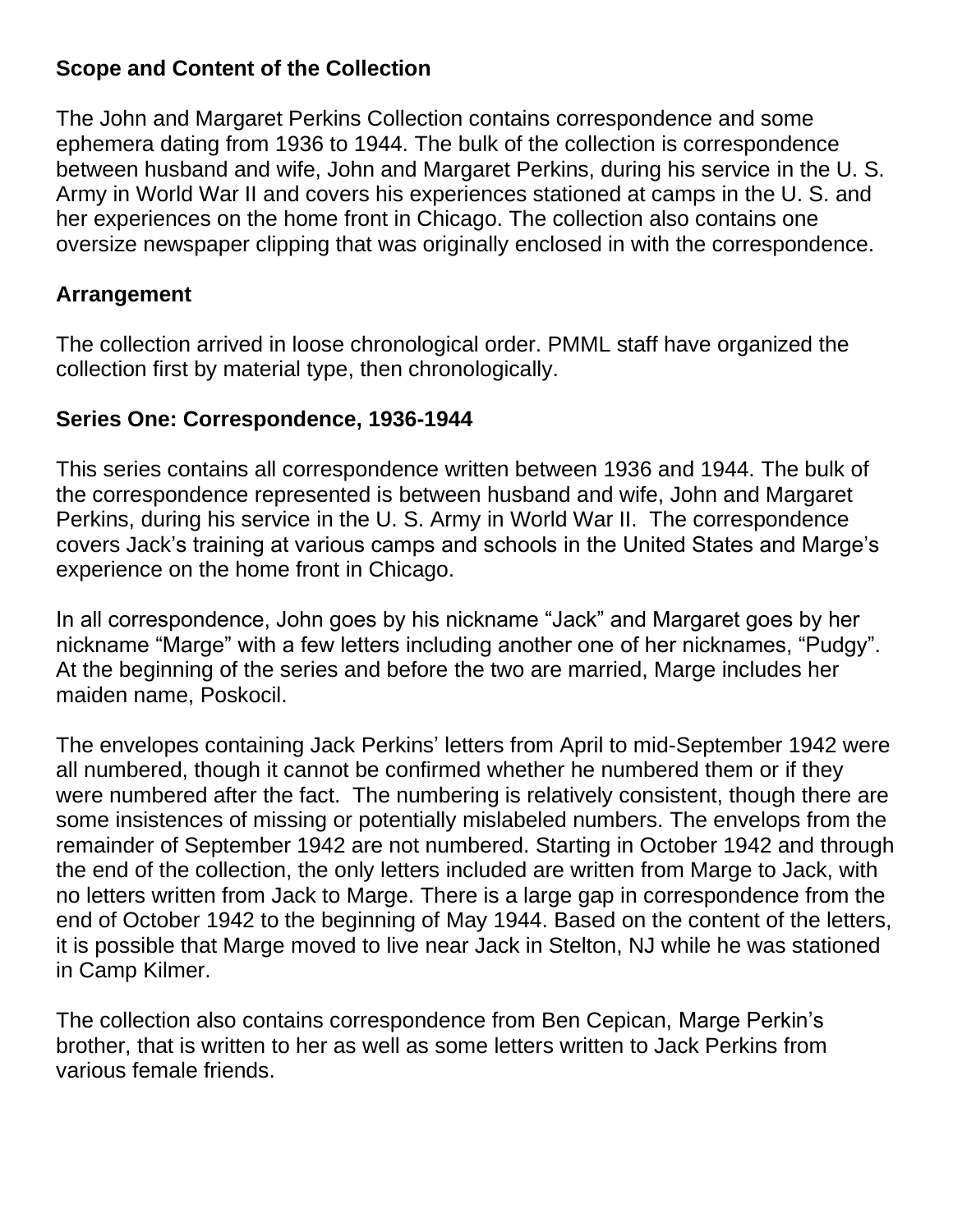#### **Scope and Content of the Collection**

The John and Margaret Perkins Collection contains correspondence and some ephemera dating from 1936 to 1944. The bulk of the collection is correspondence between husband and wife, John and Margaret Perkins, during his service in the U. S. Army in World War II and covers his experiences stationed at camps in the U. S. and her experiences on the home front in Chicago. The collection also contains one oversize newspaper clipping that was originally enclosed in with the correspondence.

#### **Arrangement**

The collection arrived in loose chronological order. PMML staff have organized the collection first by material type, then chronologically.

#### **Series One: Correspondence, 1936-1944**

This series contains all correspondence written between 1936 and 1944. The bulk of the correspondence represented is between husband and wife, John and Margaret Perkins, during his service in the U. S. Army in World War II. The correspondence covers Jack's training at various camps and schools in the United States and Marge's experience on the home front in Chicago.

In all correspondence, John goes by his nickname "Jack" and Margaret goes by her nickname "Marge" with a few letters including another one of her nicknames, "Pudgy". At the beginning of the series and before the two are married, Marge includes her maiden name, Poskocil.

The envelopes containing Jack Perkins' letters from April to mid-September 1942 were all numbered, though it cannot be confirmed whether he numbered them or if they were numbered after the fact. The numbering is relatively consistent, though there are some insistences of missing or potentially mislabeled numbers. The envelops from the remainder of September 1942 are not numbered. Starting in October 1942 and through the end of the collection, the only letters included are written from Marge to Jack, with no letters written from Jack to Marge. There is a large gap in correspondence from the end of October 1942 to the beginning of May 1944. Based on the content of the letters, it is possible that Marge moved to live near Jack in Stelton, NJ while he was stationed in Camp Kilmer.

The collection also contains correspondence from Ben Cepican, Marge Perkin's brother, that is written to her as well as some letters written to Jack Perkins from various female friends.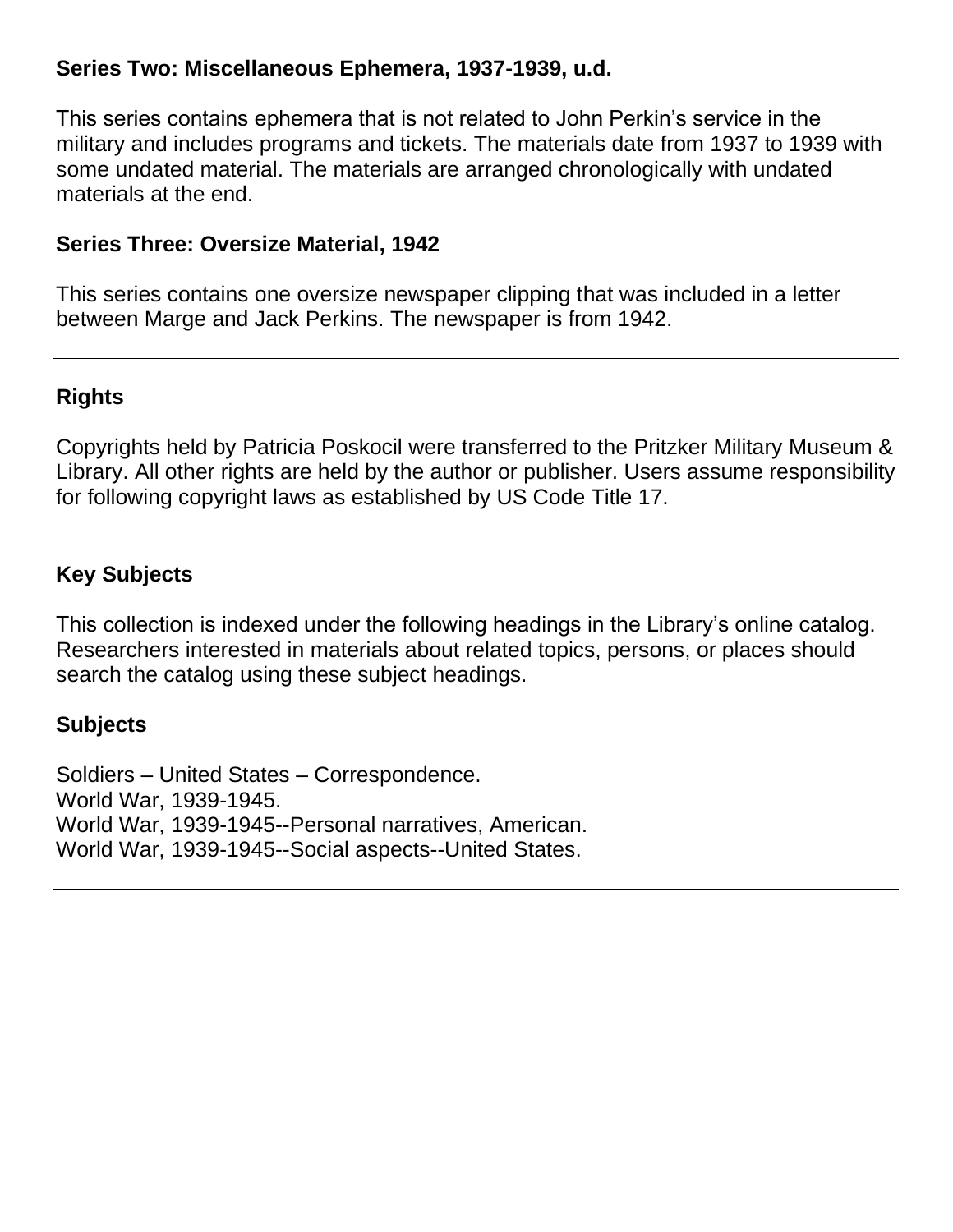#### **Series Two: Miscellaneous Ephemera, 1937-1939, u.d.**

This series contains ephemera that is not related to John Perkin's service in the military and includes programs and tickets. The materials date from 1937 to 1939 with some undated material. The materials are arranged chronologically with undated materials at the end.

#### **Series Three: Oversize Material, 1942**

This series contains one oversize newspaper clipping that was included in a letter between Marge and Jack Perkins. The newspaper is from 1942.

#### **Rights**

Copyrights held by Patricia Poskocil were transferred to the Pritzker Military Museum & Library. All other rights are held by the author or publisher. Users assume responsibility for following copyright laws as established by US Code Title 17.

#### **Key Subjects**

This collection is indexed under the following headings in the Library's online catalog. Researchers interested in materials about related topics, persons, or places should search the catalog using these subject headings.

#### **Subjects**

Soldiers – United States – Correspondence. World War, 1939-1945. World War, 1939-1945--Personal narratives, American. World War, 1939-1945--Social aspects--United States.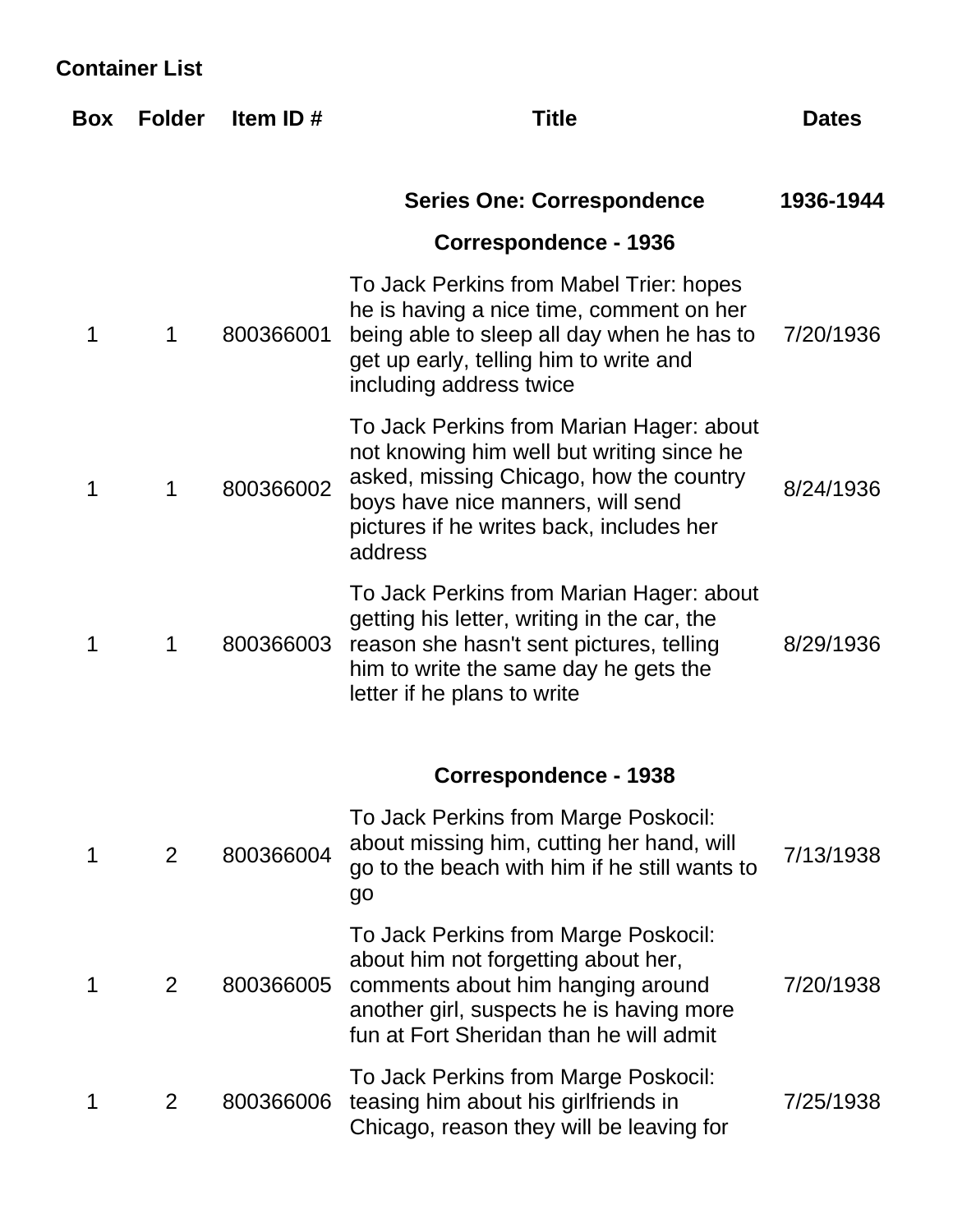### **Container List**

| Box | <b>Folder</b> | Item ID#  | <b>Title</b>                                                                                                                                                                                                                 | <b>Dates</b> |
|-----|---------------|-----------|------------------------------------------------------------------------------------------------------------------------------------------------------------------------------------------------------------------------------|--------------|
|     |               |           | <b>Series One: Correspondence</b>                                                                                                                                                                                            | 1936-1944    |
|     |               |           | <b>Correspondence - 1936</b>                                                                                                                                                                                                 |              |
| 1   | 1             | 800366001 | To Jack Perkins from Mabel Trier: hopes<br>he is having a nice time, comment on her<br>being able to sleep all day when he has to<br>get up early, telling him to write and<br>including address twice                       | 7/20/1936    |
| 1   | 1             | 800366002 | To Jack Perkins from Marian Hager: about<br>not knowing him well but writing since he<br>asked, missing Chicago, how the country<br>boys have nice manners, will send<br>pictures if he writes back, includes her<br>address | 8/24/1936    |
| 1   | 1             | 800366003 | To Jack Perkins from Marian Hager: about<br>getting his letter, writing in the car, the<br>reason she hasn't sent pictures, telling<br>him to write the same day he gets the<br>letter if he plans to write                  | 8/29/1936    |
|     |               |           | <b>Correspondence - 1938</b>                                                                                                                                                                                                 |              |
| 1   | 2             | 800366004 | To Jack Perkins from Marge Poskocil:<br>about missing him, cutting her hand, will<br>go to the beach with him if he still wants to<br>go                                                                                     | 7/13/1938    |
|     | 2             | 800366005 | To Jack Perkins from Marge Poskocil:<br>about him not forgetting about her,<br>comments about him hanging around<br>another girl, suspects he is having more<br>fun at Fort Sheridan than he will admit                      | 7/20/1938    |
| 1   | 2             | 800366006 | To Jack Perkins from Marge Poskocil:<br>teasing him about his girlfriends in<br>Chicago, reason they will be leaving for                                                                                                     | 7/25/1938    |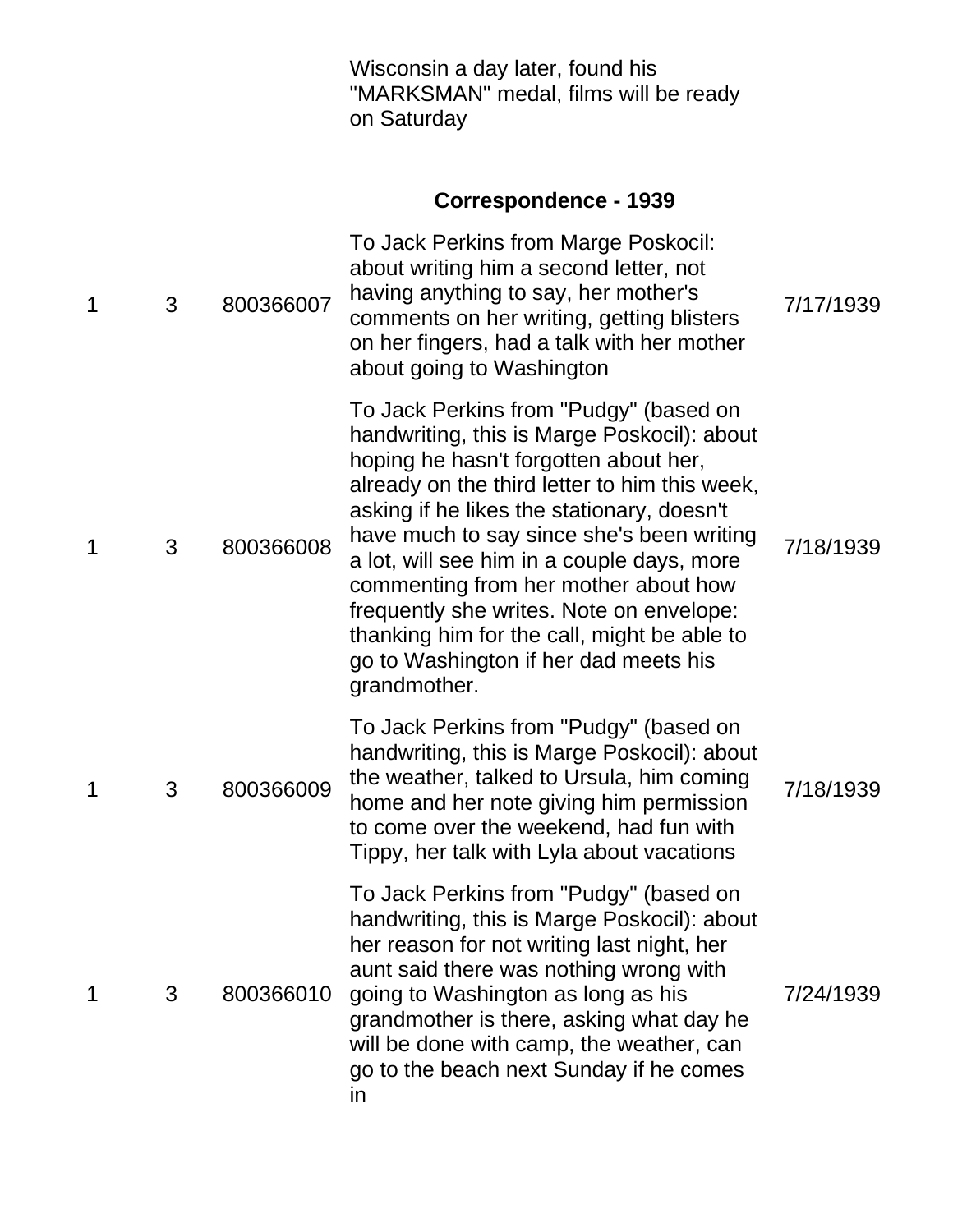|   |   |           | Wisconsin a day later, found his<br>"MARKSMAN" medal, films will be ready<br>on Saturday                                                                                                                                                                                                                                                                                                                                                                                                                             |           |
|---|---|-----------|----------------------------------------------------------------------------------------------------------------------------------------------------------------------------------------------------------------------------------------------------------------------------------------------------------------------------------------------------------------------------------------------------------------------------------------------------------------------------------------------------------------------|-----------|
|   |   |           | <b>Correspondence - 1939</b>                                                                                                                                                                                                                                                                                                                                                                                                                                                                                         |           |
| 1 | 3 | 800366007 | To Jack Perkins from Marge Poskocil:<br>about writing him a second letter, not<br>having anything to say, her mother's<br>comments on her writing, getting blisters<br>on her fingers, had a talk with her mother<br>about going to Washington                                                                                                                                                                                                                                                                       | 7/17/1939 |
| 1 | 3 | 800366008 | To Jack Perkins from "Pudgy" (based on<br>handwriting, this is Marge Poskocil): about<br>hoping he hasn't forgotten about her,<br>already on the third letter to him this week,<br>asking if he likes the stationary, doesn't<br>have much to say since she's been writing<br>a lot, will see him in a couple days, more<br>commenting from her mother about how<br>frequently she writes. Note on envelope:<br>thanking him for the call, might be able to<br>go to Washington if her dad meets his<br>grandmother. | 7/18/1939 |
| 1 | 3 | 800366009 | To Jack Perkins from "Pudgy" (based on<br>handwriting, this is Marge Poskocil): about<br>the weather, talked to Ursula, him coming<br>home and her note giving him permission<br>to come over the weekend, had fun with<br>Tippy, her talk with Lyla about vacations                                                                                                                                                                                                                                                 | 7/18/1939 |
| 1 | 3 | 800366010 | To Jack Perkins from "Pudgy" (based on<br>handwriting, this is Marge Poskocil): about<br>her reason for not writing last night, her<br>aunt said there was nothing wrong with<br>going to Washington as long as his<br>grandmother is there, asking what day he<br>will be done with camp, the weather, can<br>go to the beach next Sunday if he comes<br>in                                                                                                                                                         | 7/24/1939 |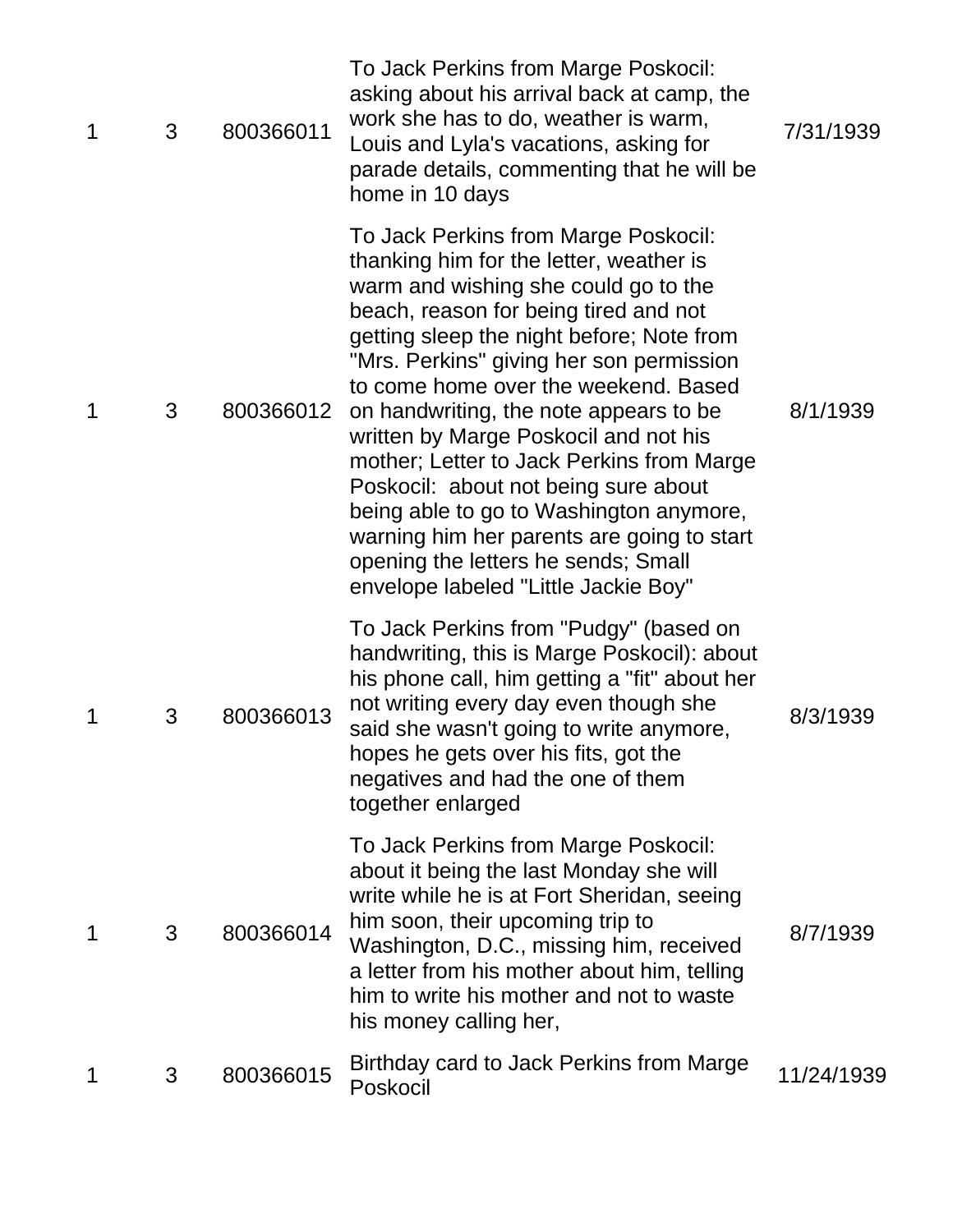| $\mathbf 1$ | 3 | 800366011 | To Jack Perkins from Marge Poskocil:<br>asking about his arrival back at camp, the<br>work she has to do, weather is warm,<br>Louis and Lyla's vacations, asking for<br>parade details, commenting that he will be<br>home in 10 days                                                                                                                                                                                                                                                                                                                                                                                                             | 7/31/1939  |
|-------------|---|-----------|---------------------------------------------------------------------------------------------------------------------------------------------------------------------------------------------------------------------------------------------------------------------------------------------------------------------------------------------------------------------------------------------------------------------------------------------------------------------------------------------------------------------------------------------------------------------------------------------------------------------------------------------------|------------|
| $\mathbf 1$ | 3 | 800366012 | To Jack Perkins from Marge Poskocil:<br>thanking him for the letter, weather is<br>warm and wishing she could go to the<br>beach, reason for being tired and not<br>getting sleep the night before; Note from<br>"Mrs. Perkins" giving her son permission<br>to come home over the weekend. Based<br>on handwriting, the note appears to be<br>written by Marge Poskocil and not his<br>mother; Letter to Jack Perkins from Marge<br>Poskocil: about not being sure about<br>being able to go to Washington anymore,<br>warning him her parents are going to start<br>opening the letters he sends; Small<br>envelope labeled "Little Jackie Boy" | 8/1/1939   |
| 1           | 3 | 800366013 | To Jack Perkins from "Pudgy" (based on<br>handwriting, this is Marge Poskocil): about<br>his phone call, him getting a "fit" about her<br>not writing every day even though she<br>said she wasn't going to write anymore,<br>hopes he gets over his fits, got the<br>negatives and had the one of them<br>together enlarged                                                                                                                                                                                                                                                                                                                      | 8/3/1939   |
| 1           | 3 | 800366014 | To Jack Perkins from Marge Poskocil:<br>about it being the last Monday she will<br>write while he is at Fort Sheridan, seeing<br>him soon, their upcoming trip to<br>Washington, D.C., missing him, received<br>a letter from his mother about him, telling<br>him to write his mother and not to waste<br>his money calling her,                                                                                                                                                                                                                                                                                                                 | 8/7/1939   |
| 1           | 3 | 800366015 | Birthday card to Jack Perkins from Marge<br>Poskocil                                                                                                                                                                                                                                                                                                                                                                                                                                                                                                                                                                                              | 11/24/1939 |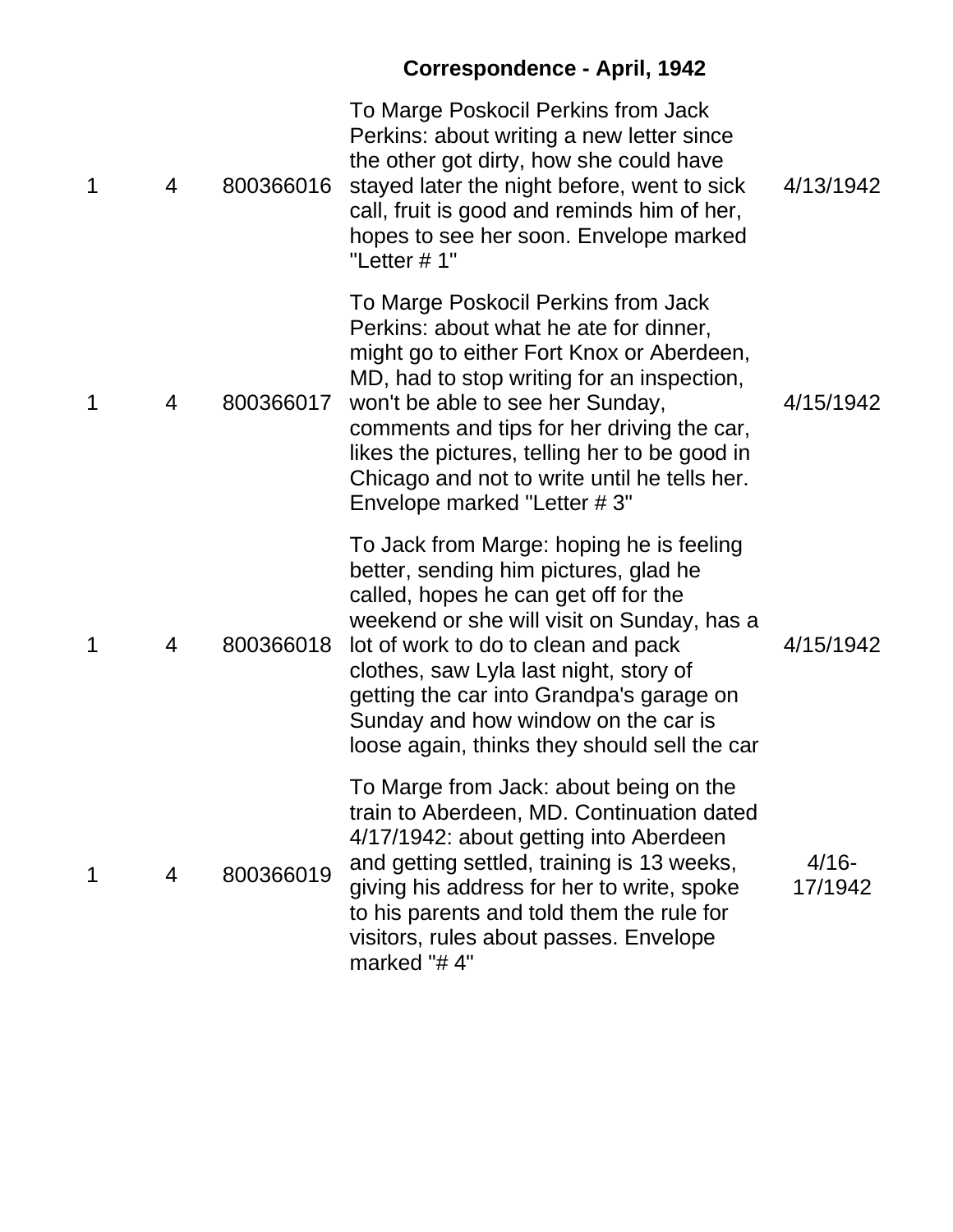# **Correspondence - April, 1942**

| 1 | 4 | 800366016 | To Marge Poskocil Perkins from Jack<br>Perkins: about writing a new letter since<br>the other got dirty, how she could have<br>stayed later the night before, went to sick<br>call, fruit is good and reminds him of her,<br>hopes to see her soon. Envelope marked<br>"Letter # 1"                                                                                                         | 4/13/1942           |
|---|---|-----------|---------------------------------------------------------------------------------------------------------------------------------------------------------------------------------------------------------------------------------------------------------------------------------------------------------------------------------------------------------------------------------------------|---------------------|
| 1 | 4 | 800366017 | To Marge Poskocil Perkins from Jack<br>Perkins: about what he ate for dinner,<br>might go to either Fort Knox or Aberdeen,<br>MD, had to stop writing for an inspection,<br>won't be able to see her Sunday,<br>comments and tips for her driving the car,<br>likes the pictures, telling her to be good in<br>Chicago and not to write until he tells her.<br>Envelope marked "Letter #3"  | 4/15/1942           |
| 1 | 4 | 800366018 | To Jack from Marge: hoping he is feeling<br>better, sending him pictures, glad he<br>called, hopes he can get off for the<br>weekend or she will visit on Sunday, has a<br>lot of work to do to clean and pack<br>clothes, saw Lyla last night, story of<br>getting the car into Grandpa's garage on<br>Sunday and how window on the car is<br>loose again, thinks they should sell the car | 4/15/1942           |
| 1 | 4 | 800366019 | To Marge from Jack: about being on the<br>train to Aberdeen, MD. Continuation dated<br>4/17/1942: about getting into Aberdeen<br>and getting settled, training is 13 weeks,<br>giving his address for her to write, spoke<br>to his parents and told them the rule for<br>visitors, rules about passes. Envelope<br>marked "#4"                                                             | $4/16 -$<br>17/1942 |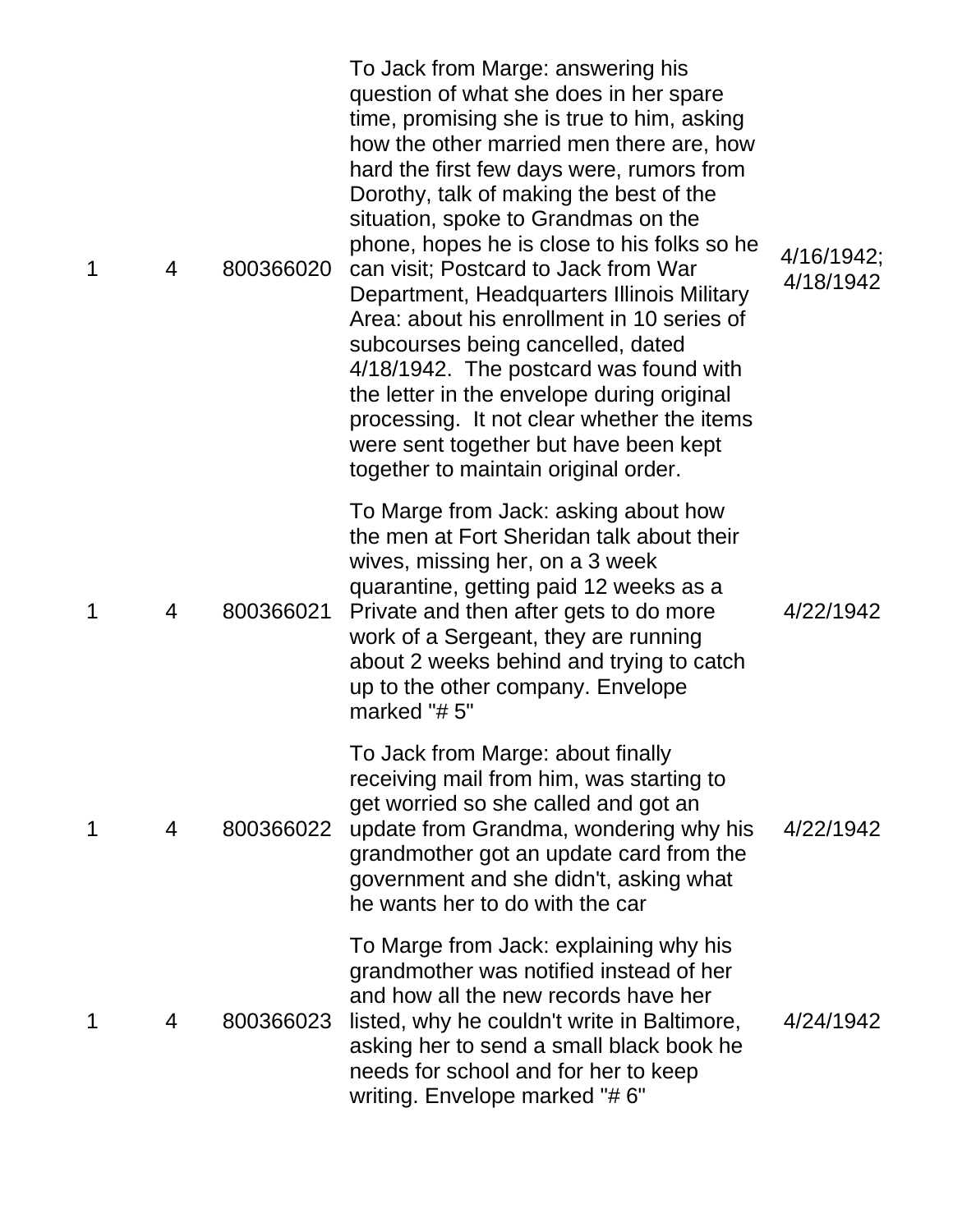| 1 | 4 | 800366020 | To Jack from Marge: answering his<br>question of what she does in her spare<br>time, promising she is true to him, asking<br>how the other married men there are, how<br>hard the first few days were, rumors from<br>Dorothy, talk of making the best of the<br>situation, spoke to Grandmas on the<br>phone, hopes he is close to his folks so he<br>can visit; Postcard to Jack from War<br>Department, Headquarters Illinois Military<br>Area: about his enrollment in 10 series of<br>subcourses being cancelled, dated<br>4/18/1942. The postcard was found with<br>the letter in the envelope during original<br>processing. It not clear whether the items<br>were sent together but have been kept<br>together to maintain original order. | 4/16/1942;<br>4/18/1942 |
|---|---|-----------|-----------------------------------------------------------------------------------------------------------------------------------------------------------------------------------------------------------------------------------------------------------------------------------------------------------------------------------------------------------------------------------------------------------------------------------------------------------------------------------------------------------------------------------------------------------------------------------------------------------------------------------------------------------------------------------------------------------------------------------------------------|-------------------------|
| 1 | 4 | 800366021 | To Marge from Jack: asking about how<br>the men at Fort Sheridan talk about their<br>wives, missing her, on a 3 week<br>quarantine, getting paid 12 weeks as a<br>Private and then after gets to do more<br>work of a Sergeant, they are running<br>about 2 weeks behind and trying to catch<br>up to the other company. Envelope<br>marked "#5"                                                                                                                                                                                                                                                                                                                                                                                                    | 4/22/1942               |
| 1 | 4 | 800366022 | To Jack from Marge: about finally<br>receiving mail from him, was starting to<br>get worried so she called and got an<br>update from Grandma, wondering why his<br>grandmother got an update card from the<br>government and she didn't, asking what<br>he wants her to do with the car                                                                                                                                                                                                                                                                                                                                                                                                                                                             | 4/22/1942               |
| 1 | 4 | 800366023 | To Marge from Jack: explaining why his<br>grandmother was notified instead of her<br>and how all the new records have her<br>listed, why he couldn't write in Baltimore,<br>asking her to send a small black book he<br>needs for school and for her to keep<br>writing. Envelope marked "#6"                                                                                                                                                                                                                                                                                                                                                                                                                                                       | 4/24/1942               |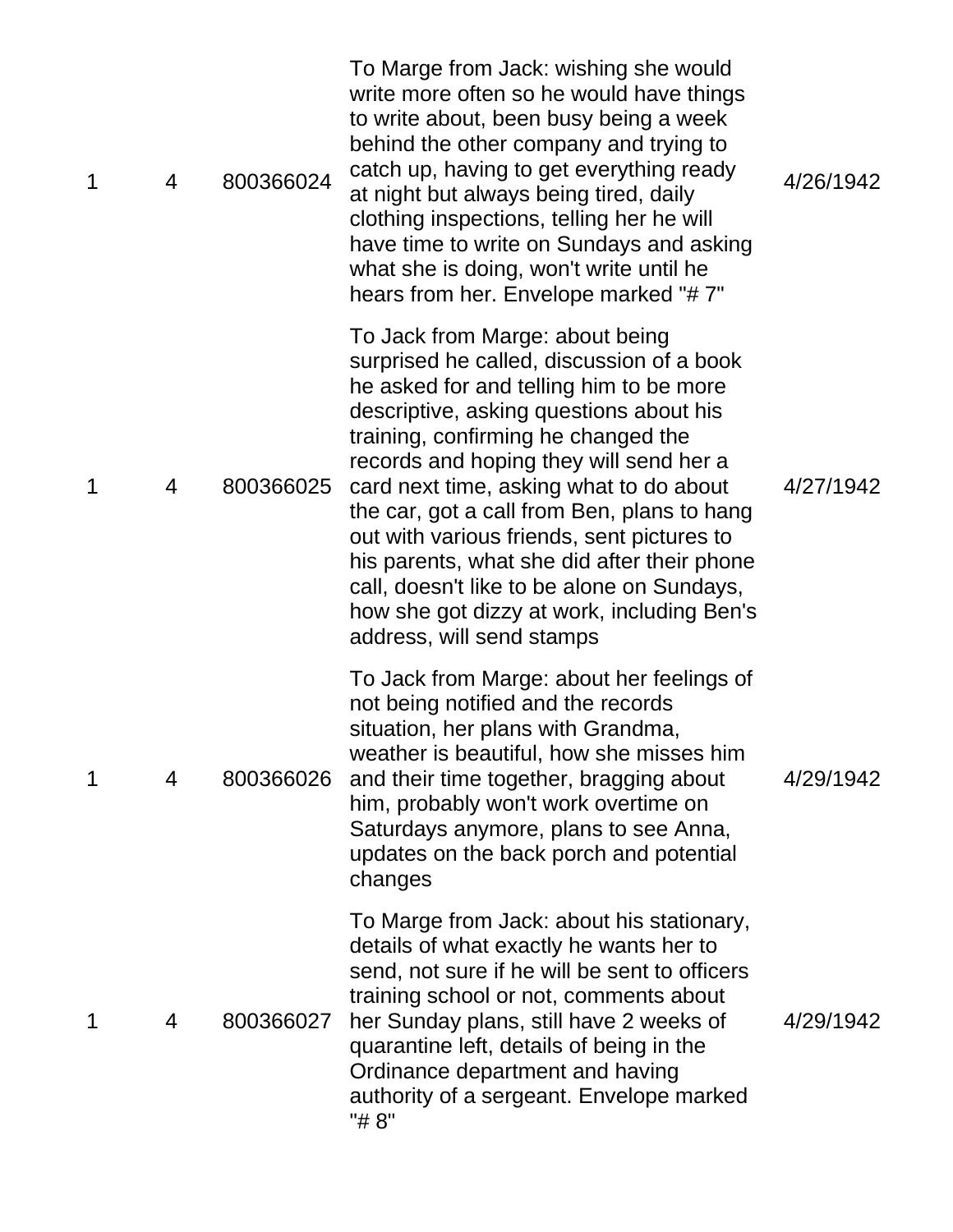| 1 | 4 | 800366024 | To Marge from Jack: wishing she would<br>write more often so he would have things<br>to write about, been busy being a week<br>behind the other company and trying to<br>catch up, having to get everything ready<br>at night but always being tired, daily<br>clothing inspections, telling her he will<br>have time to write on Sundays and asking<br>what she is doing, won't write until he<br>hears from her. Envelope marked "#7"                                                                                                                              | 4/26/1942 |
|---|---|-----------|----------------------------------------------------------------------------------------------------------------------------------------------------------------------------------------------------------------------------------------------------------------------------------------------------------------------------------------------------------------------------------------------------------------------------------------------------------------------------------------------------------------------------------------------------------------------|-----------|
| 1 | 4 | 800366025 | To Jack from Marge: about being<br>surprised he called, discussion of a book<br>he asked for and telling him to be more<br>descriptive, asking questions about his<br>training, confirming he changed the<br>records and hoping they will send her a<br>card next time, asking what to do about<br>the car, got a call from Ben, plans to hang<br>out with various friends, sent pictures to<br>his parents, what she did after their phone<br>call, doesn't like to be alone on Sundays,<br>how she got dizzy at work, including Ben's<br>address, will send stamps | 4/27/1942 |
| 1 | 4 | 800366026 | To Jack from Marge: about her feelings of<br>not being notified and the records<br>situation, her plans with Grandma,<br>weather is beautiful, how she misses him<br>and their time together, bragging about<br>him, probably won't work overtime on<br>Saturdays anymore, plans to see Anna,<br>updates on the back porch and potential<br>changes                                                                                                                                                                                                                  | 4/29/1942 |
| 1 | 4 | 800366027 | To Marge from Jack: about his stationary,<br>details of what exactly he wants her to<br>send, not sure if he will be sent to officers<br>training school or not, comments about<br>her Sunday plans, still have 2 weeks of<br>quarantine left, details of being in the<br>Ordinance department and having<br>authority of a sergeant. Envelope marked<br>"# 8"                                                                                                                                                                                                       | 4/29/1942 |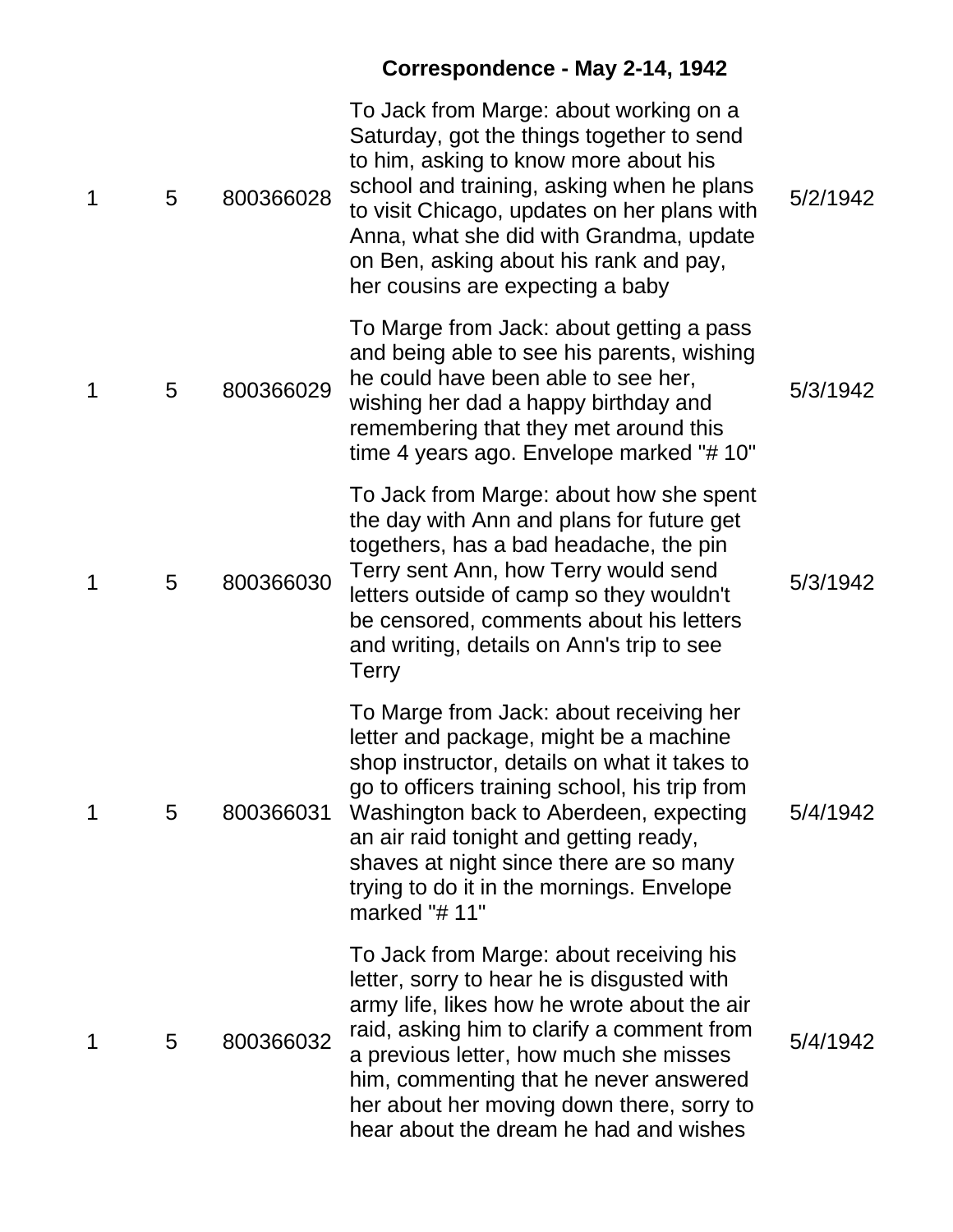# **Correspondence - May 2-14, 1942**

| 1 | 5 | 800366028 | To Jack from Marge: about working on a<br>Saturday, got the things together to send<br>to him, asking to know more about his<br>school and training, asking when he plans<br>to visit Chicago, updates on her plans with<br>Anna, what she did with Grandma, update<br>on Ben, asking about his rank and pay,<br>her cousins are expecting a baby                              | 5/2/1942 |
|---|---|-----------|--------------------------------------------------------------------------------------------------------------------------------------------------------------------------------------------------------------------------------------------------------------------------------------------------------------------------------------------------------------------------------|----------|
| 1 | 5 | 800366029 | To Marge from Jack: about getting a pass<br>and being able to see his parents, wishing<br>he could have been able to see her,<br>wishing her dad a happy birthday and<br>remembering that they met around this<br>time 4 years ago. Envelope marked "#10"                                                                                                                      | 5/3/1942 |
| 1 | 5 | 800366030 | To Jack from Marge: about how she spent<br>the day with Ann and plans for future get<br>togethers, has a bad headache, the pin<br>Terry sent Ann, how Terry would send<br>letters outside of camp so they wouldn't<br>be censored, comments about his letters<br>and writing, details on Ann's trip to see<br>Terry                                                            | 5/3/1942 |
| 1 | 5 | 800366031 | To Marge from Jack: about receiving her<br>letter and package, might be a machine<br>shop instructor, details on what it takes to<br>go to officers training school, his trip from<br>Washington back to Aberdeen, expecting<br>an air raid tonight and getting ready,<br>shaves at night since there are so many<br>trying to do it in the mornings. Envelope<br>marked "#11" | 5/4/1942 |
| 1 | 5 | 800366032 | To Jack from Marge: about receiving his<br>letter, sorry to hear he is disgusted with<br>army life, likes how he wrote about the air<br>raid, asking him to clarify a comment from<br>a previous letter, how much she misses<br>him, commenting that he never answered<br>her about her moving down there, sorry to<br>hear about the dream he had and wishes                  | 5/4/1942 |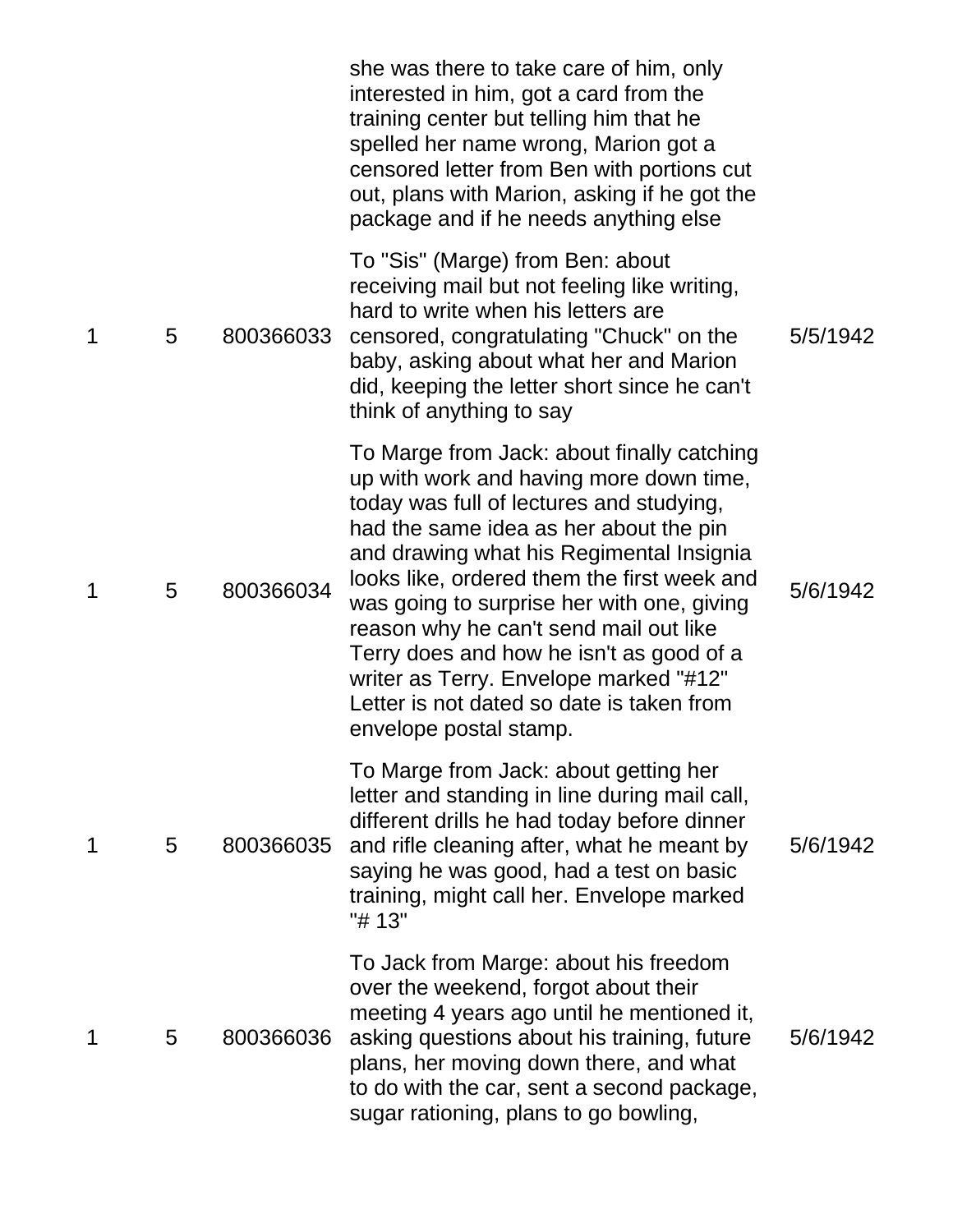|   |   |           | she was there to take care of him, only<br>interested in him, got a card from the<br>training center but telling him that he<br>spelled her name wrong, Marion got a<br>censored letter from Ben with portions cut<br>out, plans with Marion, asking if he got the<br>package and if he needs anything else                                                                                                                                                                                                                 |          |
|---|---|-----------|-----------------------------------------------------------------------------------------------------------------------------------------------------------------------------------------------------------------------------------------------------------------------------------------------------------------------------------------------------------------------------------------------------------------------------------------------------------------------------------------------------------------------------|----------|
| 1 | 5 | 800366033 | To "Sis" (Marge) from Ben: about<br>receiving mail but not feeling like writing,<br>hard to write when his letters are<br>censored, congratulating "Chuck" on the<br>baby, asking about what her and Marion<br>did, keeping the letter short since he can't<br>think of anything to say                                                                                                                                                                                                                                     | 5/5/1942 |
| 1 | 5 | 800366034 | To Marge from Jack: about finally catching<br>up with work and having more down time,<br>today was full of lectures and studying,<br>had the same idea as her about the pin<br>and drawing what his Regimental Insignia<br>looks like, ordered them the first week and<br>was going to surprise her with one, giving<br>reason why he can't send mail out like<br>Terry does and how he isn't as good of a<br>writer as Terry. Envelope marked "#12"<br>Letter is not dated so date is taken from<br>envelope postal stamp. | 5/6/1942 |
| 1 | 5 | 800366035 | To Marge from Jack: about getting her<br>letter and standing in line during mail call,<br>different drills he had today before dinner<br>and rifle cleaning after, what he meant by<br>saying he was good, had a test on basic<br>training, might call her. Envelope marked<br>"# 13"                                                                                                                                                                                                                                       | 5/6/1942 |
| 1 | 5 | 800366036 | To Jack from Marge: about his freedom<br>over the weekend, forgot about their<br>meeting 4 years ago until he mentioned it,<br>asking questions about his training, future<br>plans, her moving down there, and what<br>to do with the car, sent a second package,<br>sugar rationing, plans to go bowling,                                                                                                                                                                                                                 | 5/6/1942 |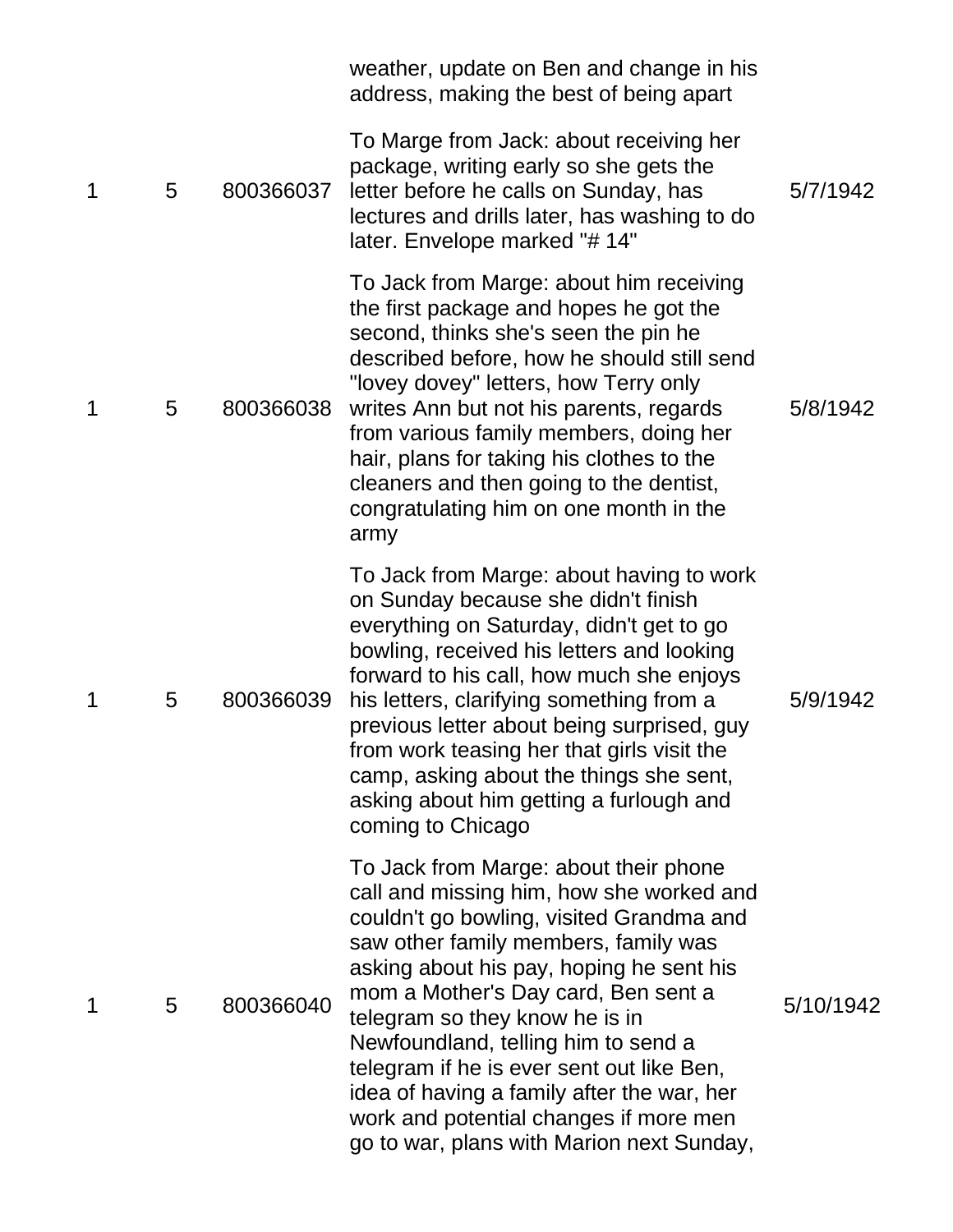|             |   |           | weather, update on Ben and change in his<br>address, making the best of being apart                                                                                                                                                                                                                                                                                                                                                                                                                                 |           |
|-------------|---|-----------|---------------------------------------------------------------------------------------------------------------------------------------------------------------------------------------------------------------------------------------------------------------------------------------------------------------------------------------------------------------------------------------------------------------------------------------------------------------------------------------------------------------------|-----------|
| $\mathbf 1$ | 5 | 800366037 | To Marge from Jack: about receiving her<br>package, writing early so she gets the<br>letter before he calls on Sunday, has<br>lectures and drills later, has washing to do<br>later. Envelope marked "# 14"                                                                                                                                                                                                                                                                                                         | 5/7/1942  |
| 1           | 5 | 800366038 | To Jack from Marge: about him receiving<br>the first package and hopes he got the<br>second, thinks she's seen the pin he<br>described before, how he should still send<br>"lovey dovey" letters, how Terry only<br>writes Ann but not his parents, regards<br>from various family members, doing her<br>hair, plans for taking his clothes to the<br>cleaners and then going to the dentist,<br>congratulating him on one month in the<br>army                                                                     | 5/8/1942  |
| 1           | 5 | 800366039 | To Jack from Marge: about having to work<br>on Sunday because she didn't finish<br>everything on Saturday, didn't get to go<br>bowling, received his letters and looking<br>forward to his call, how much she enjoys<br>his letters, clarifying something from a<br>previous letter about being surprised, guy<br>from work teasing her that girls visit the<br>camp, asking about the things she sent,<br>asking about him getting a furlough and<br>coming to Chicago                                             | 5/9/1942  |
| $\mathbf 1$ | 5 | 800366040 | To Jack from Marge: about their phone<br>call and missing him, how she worked and<br>couldn't go bowling, visited Grandma and<br>saw other family members, family was<br>asking about his pay, hoping he sent his<br>mom a Mother's Day card, Ben sent a<br>telegram so they know he is in<br>Newfoundland, telling him to send a<br>telegram if he is ever sent out like Ben,<br>idea of having a family after the war, her<br>work and potential changes if more men<br>go to war, plans with Marion next Sunday, | 5/10/1942 |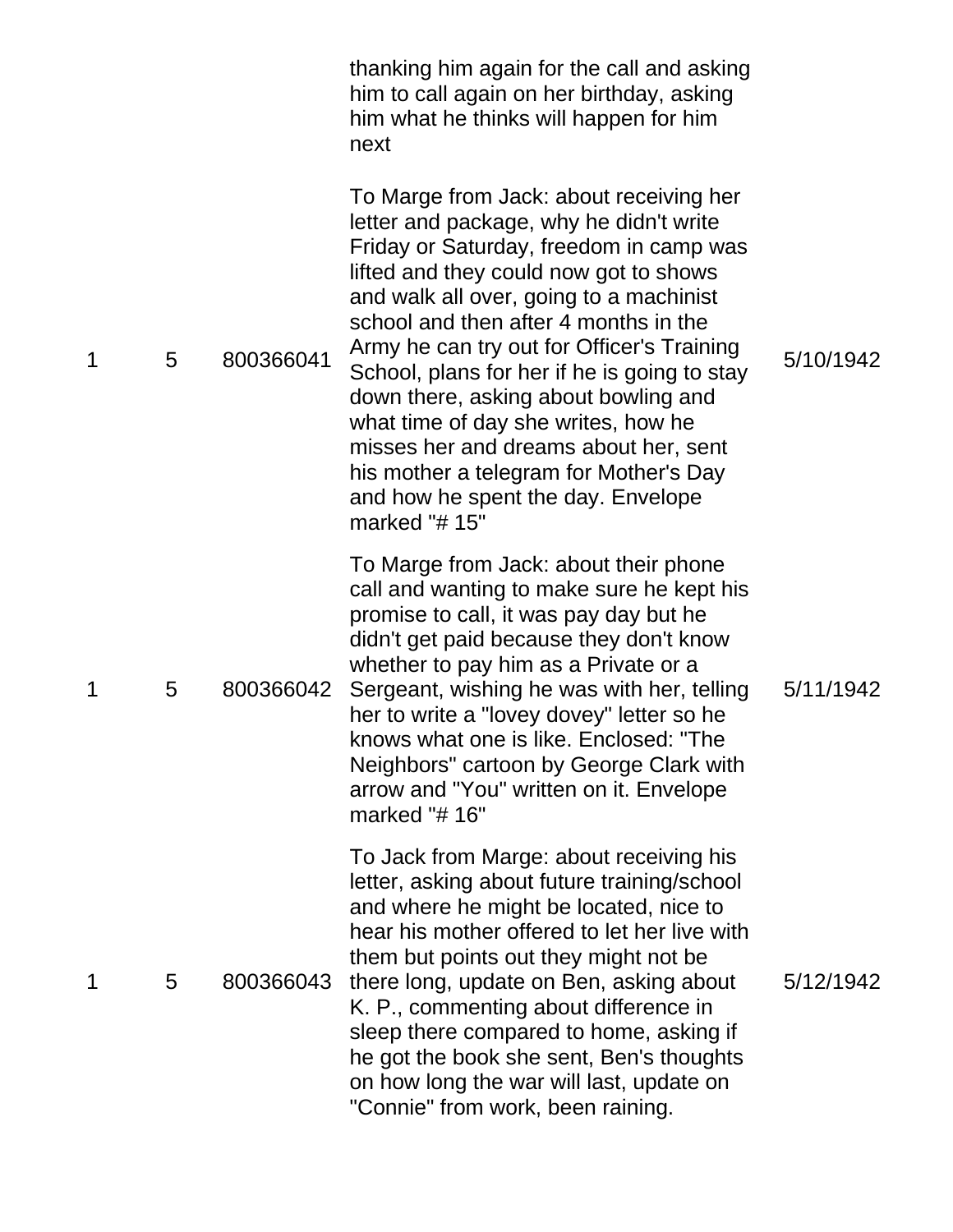|   |   |           | thanking him again for the call and asking<br>him to call again on her birthday, asking<br>him what he thinks will happen for him<br>next                                                                                                                                                                                                                                                                                                                                                                                                                                             |           |
|---|---|-----------|---------------------------------------------------------------------------------------------------------------------------------------------------------------------------------------------------------------------------------------------------------------------------------------------------------------------------------------------------------------------------------------------------------------------------------------------------------------------------------------------------------------------------------------------------------------------------------------|-----------|
| 1 | 5 | 800366041 | To Marge from Jack: about receiving her<br>letter and package, why he didn't write<br>Friday or Saturday, freedom in camp was<br>lifted and they could now got to shows<br>and walk all over, going to a machinist<br>school and then after 4 months in the<br>Army he can try out for Officer's Training<br>School, plans for her if he is going to stay<br>down there, asking about bowling and<br>what time of day she writes, how he<br>misses her and dreams about her, sent<br>his mother a telegram for Mother's Day<br>and how he spent the day. Envelope<br>marked " $#$ 15" | 5/10/1942 |
| 1 | 5 | 800366042 | To Marge from Jack: about their phone<br>call and wanting to make sure he kept his<br>promise to call, it was pay day but he<br>didn't get paid because they don't know<br>whether to pay him as a Private or a<br>Sergeant, wishing he was with her, telling<br>her to write a "lovey dovey" letter so he<br>knows what one is like. Enclosed: "The<br>Neighbors" cartoon by George Clark with<br>arrow and "You" written on it. Envelope<br>marked " $# 16"$                                                                                                                        | 5/11/1942 |
| 1 | 5 | 800366043 | To Jack from Marge: about receiving his<br>letter, asking about future training/school<br>and where he might be located, nice to<br>hear his mother offered to let her live with<br>them but points out they might not be<br>there long, update on Ben, asking about<br>K. P., commenting about difference in<br>sleep there compared to home, asking if<br>he got the book she sent, Ben's thoughts<br>on how long the war will last, update on<br>"Connie" from work, been raining.                                                                                                 | 5/12/1942 |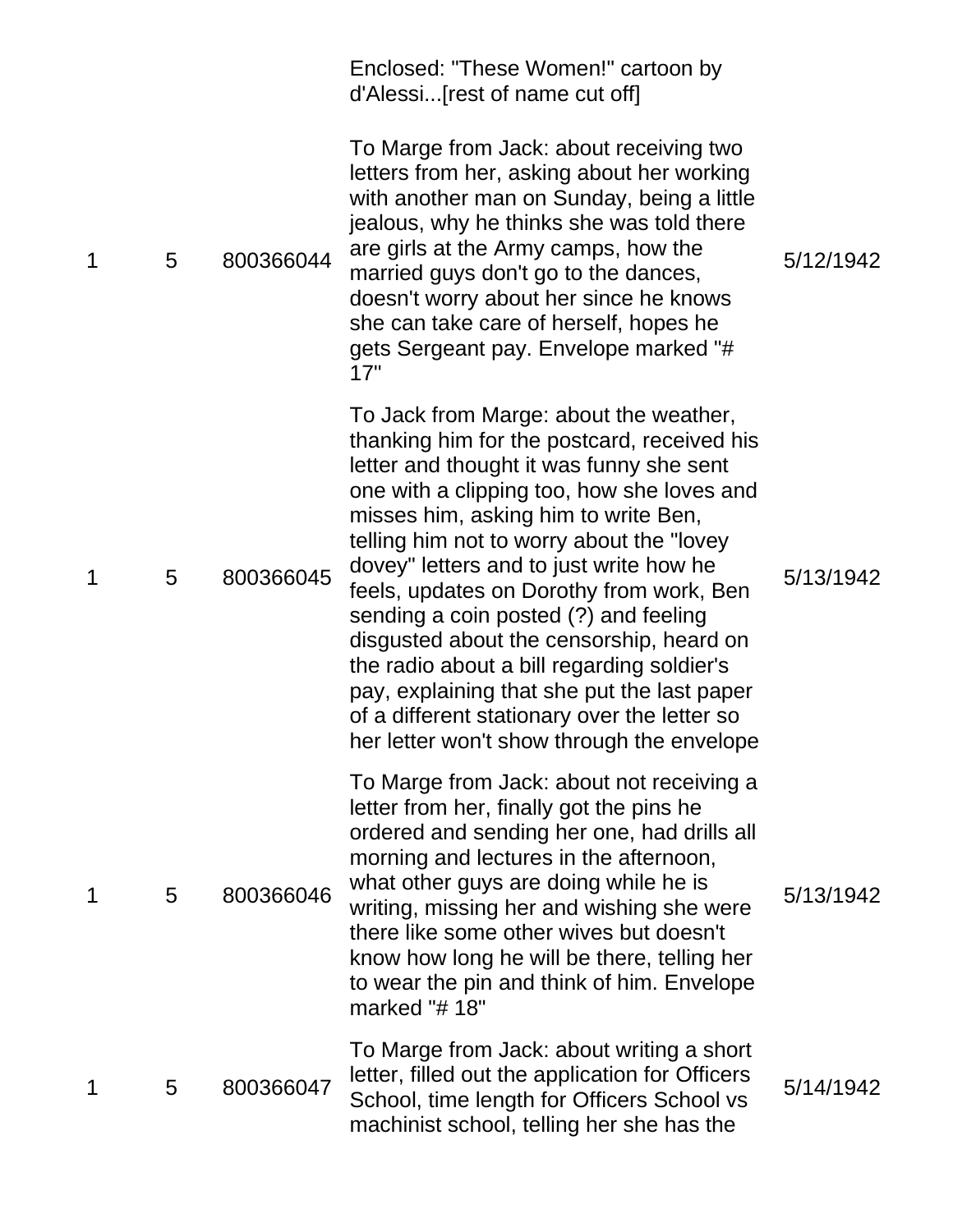|   |   |           | Enclosed: "These Women!" cartoon by<br>d'Alessi[rest of name cut off]                                                                                                                                                                                                                                                                                                                                                                                                                                                                                                                                                                        |           |
|---|---|-----------|----------------------------------------------------------------------------------------------------------------------------------------------------------------------------------------------------------------------------------------------------------------------------------------------------------------------------------------------------------------------------------------------------------------------------------------------------------------------------------------------------------------------------------------------------------------------------------------------------------------------------------------------|-----------|
| 1 | 5 | 800366044 | To Marge from Jack: about receiving two<br>letters from her, asking about her working<br>with another man on Sunday, being a little<br>jealous, why he thinks she was told there<br>are girls at the Army camps, how the<br>married guys don't go to the dances,<br>doesn't worry about her since he knows<br>she can take care of herself, hopes he<br>gets Sergeant pay. Envelope marked "#<br>17"                                                                                                                                                                                                                                         | 5/12/1942 |
| 1 | 5 | 800366045 | To Jack from Marge: about the weather,<br>thanking him for the postcard, received his<br>letter and thought it was funny she sent<br>one with a clipping too, how she loves and<br>misses him, asking him to write Ben,<br>telling him not to worry about the "lovey"<br>dovey" letters and to just write how he<br>feels, updates on Dorothy from work, Ben<br>sending a coin posted (?) and feeling<br>disgusted about the censorship, heard on<br>the radio about a bill regarding soldier's<br>pay, explaining that she put the last paper<br>of a different stationary over the letter so<br>her letter won't show through the envelope | 5/13/1942 |
| 1 | 5 | 800366046 | To Marge from Jack: about not receiving a<br>letter from her, finally got the pins he<br>ordered and sending her one, had drills all<br>morning and lectures in the afternoon,<br>what other guys are doing while he is<br>writing, missing her and wishing she were<br>there like some other wives but doesn't<br>know how long he will be there, telling her<br>to wear the pin and think of him. Envelope<br>marked "#18"                                                                                                                                                                                                                 | 5/13/1942 |
| 1 | 5 | 800366047 | To Marge from Jack: about writing a short<br>letter, filled out the application for Officers<br>School, time length for Officers School vs<br>machinist school, telling her she has the                                                                                                                                                                                                                                                                                                                                                                                                                                                      | 5/14/1942 |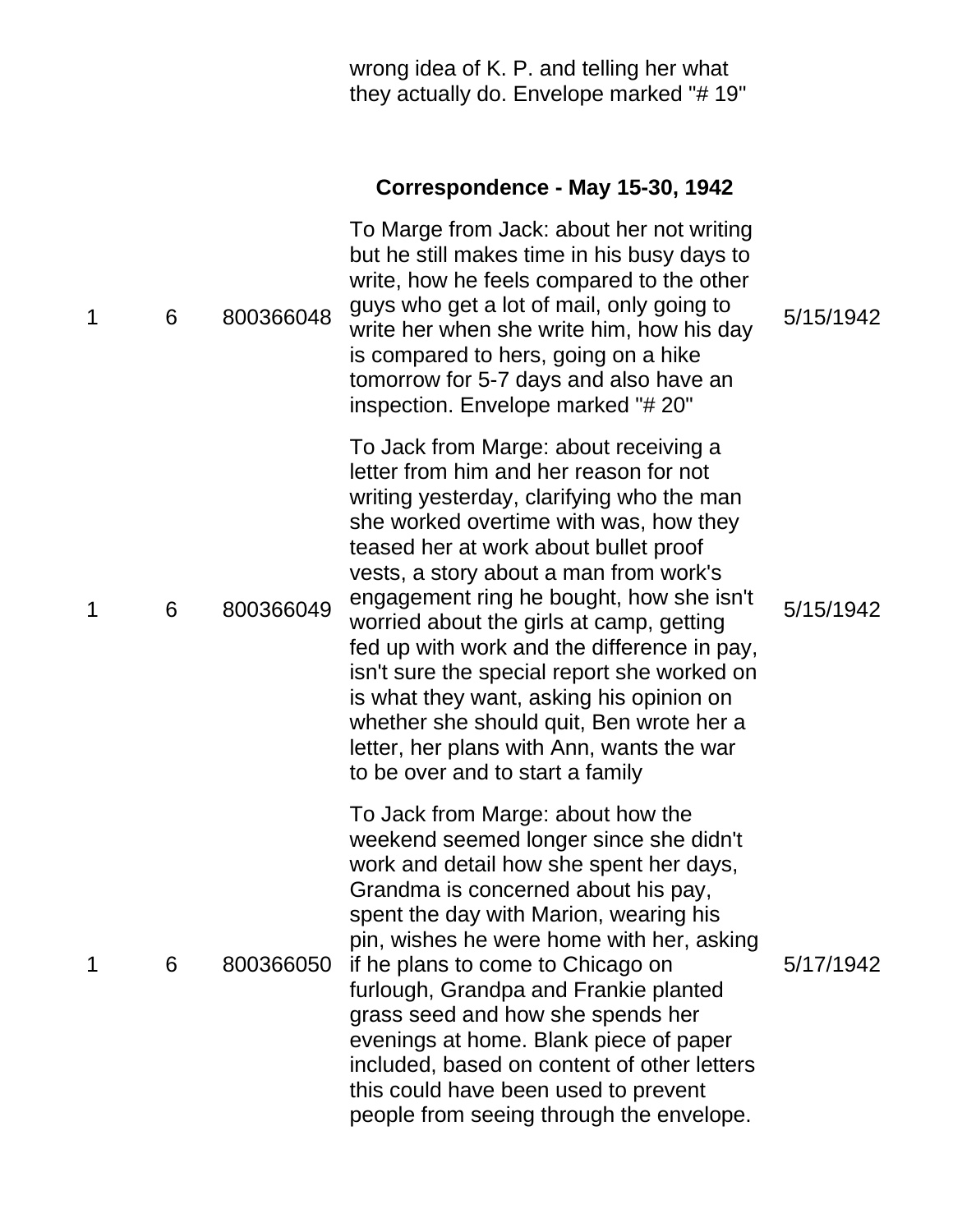| wrong idea of K. P. and telling her what |
|------------------------------------------|
| they actually do. Envelope marked "#19"  |
|                                          |

# **Correspondence - May 15-30, 1942**

| 1 | 6 | 800366048 | To Marge from Jack: about her not writing<br>but he still makes time in his busy days to<br>write, how he feels compared to the other<br>guys who get a lot of mail, only going to<br>write her when she write him, how his day<br>is compared to hers, going on a hike<br>tomorrow for 5-7 days and also have an<br>inspection. Envelope marked "#20"                                                                                                                                                                                                                                                                   | 5/15/1942 |
|---|---|-----------|--------------------------------------------------------------------------------------------------------------------------------------------------------------------------------------------------------------------------------------------------------------------------------------------------------------------------------------------------------------------------------------------------------------------------------------------------------------------------------------------------------------------------------------------------------------------------------------------------------------------------|-----------|
| 1 | 6 | 800366049 | To Jack from Marge: about receiving a<br>letter from him and her reason for not<br>writing yesterday, clarifying who the man<br>she worked overtime with was, how they<br>teased her at work about bullet proof<br>vests, a story about a man from work's<br>engagement ring he bought, how she isn't<br>worried about the girls at camp, getting<br>fed up with work and the difference in pay,<br>isn't sure the special report she worked on<br>is what they want, asking his opinion on<br>whether she should quit, Ben wrote her a<br>letter, her plans with Ann, wants the war<br>to be over and to start a family | 5/15/1942 |
| 1 | 6 | 800366050 | To Jack from Marge: about how the<br>weekend seemed longer since she didn't<br>work and detail how she spent her days,<br>Grandma is concerned about his pay,<br>spent the day with Marion, wearing his<br>pin, wishes he were home with her, asking<br>if he plans to come to Chicago on<br>furlough, Grandpa and Frankie planted<br>grass seed and how she spends her<br>evenings at home. Blank piece of paper<br>included, based on content of other letters<br>this could have been used to prevent<br>people from seeing through the envelope.                                                                     | 5/17/1942 |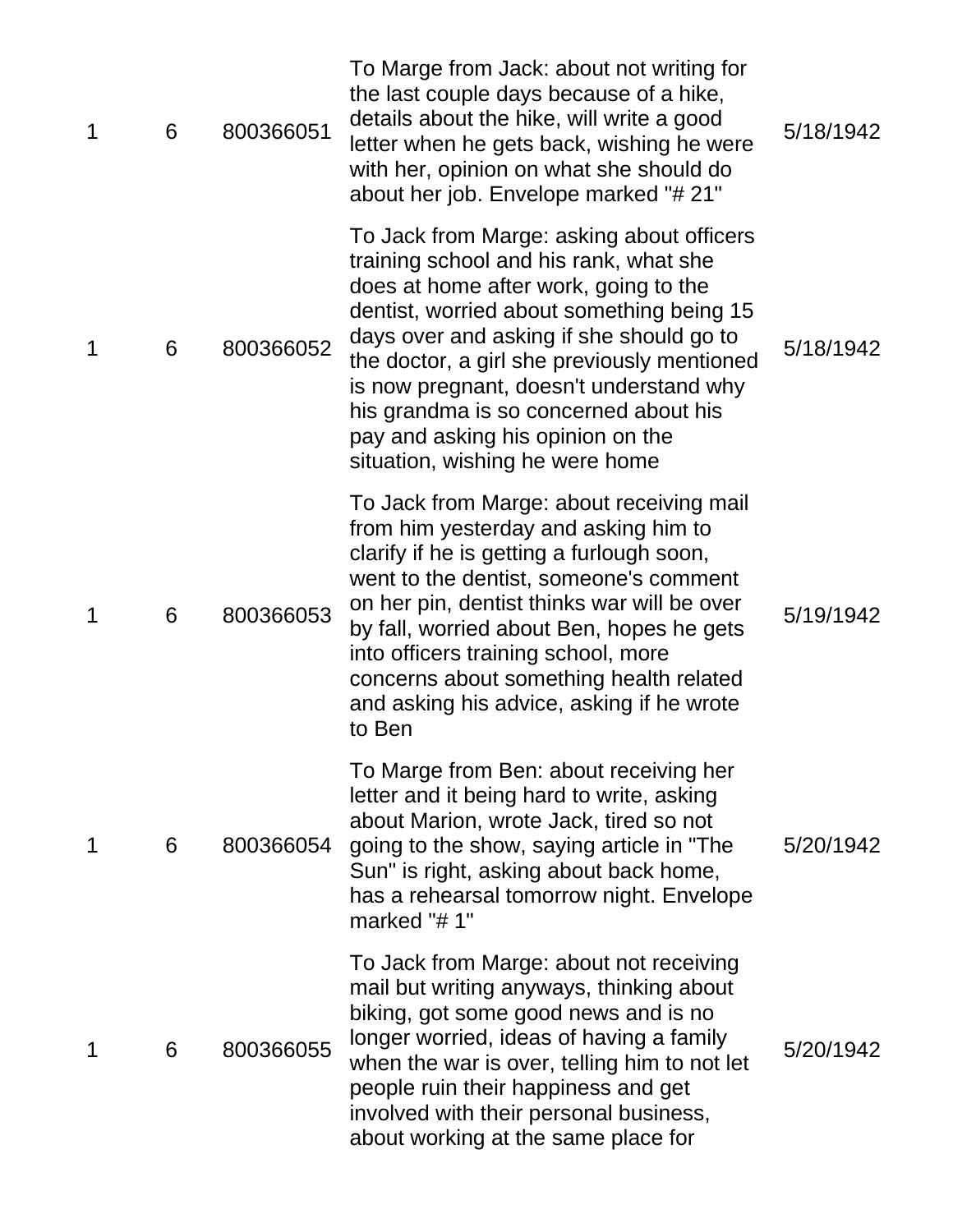| $\mathbf 1$ | 6 | 800366051 | To Marge from Jack: about not writing for<br>the last couple days because of a hike,<br>details about the hike, will write a good<br>letter when he gets back, wishing he were<br>with her, opinion on what she should do<br>about her job. Envelope marked "# 21"                                                                                                                                                               | 5/18/1942 |
|-------------|---|-----------|----------------------------------------------------------------------------------------------------------------------------------------------------------------------------------------------------------------------------------------------------------------------------------------------------------------------------------------------------------------------------------------------------------------------------------|-----------|
| 1           | 6 | 800366052 | To Jack from Marge: asking about officers<br>training school and his rank, what she<br>does at home after work, going to the<br>dentist, worried about something being 15<br>days over and asking if she should go to<br>the doctor, a girl she previously mentioned<br>is now pregnant, doesn't understand why<br>his grandma is so concerned about his<br>pay and asking his opinion on the<br>situation, wishing he were home | 5/18/1942 |
| $\mathbf 1$ | 6 | 800366053 | To Jack from Marge: about receiving mail<br>from him yesterday and asking him to<br>clarify if he is getting a furlough soon,<br>went to the dentist, someone's comment<br>on her pin, dentist thinks war will be over<br>by fall, worried about Ben, hopes he gets<br>into officers training school, more<br>concerns about something health related<br>and asking his advice, asking if he wrote<br>to Ben                     | 5/19/1942 |
| 1           | 6 | 800366054 | To Marge from Ben: about receiving her<br>letter and it being hard to write, asking<br>about Marion, wrote Jack, tired so not<br>going to the show, saying article in "The<br>Sun" is right, asking about back home,<br>has a rehearsal tomorrow night. Envelope<br>marked "#1"                                                                                                                                                  | 5/20/1942 |
| 1           | 6 | 800366055 | To Jack from Marge: about not receiving<br>mail but writing anyways, thinking about<br>biking, got some good news and is no<br>longer worried, ideas of having a family<br>when the war is over, telling him to not let<br>people ruin their happiness and get<br>involved with their personal business,<br>about working at the same place for                                                                                  | 5/20/1942 |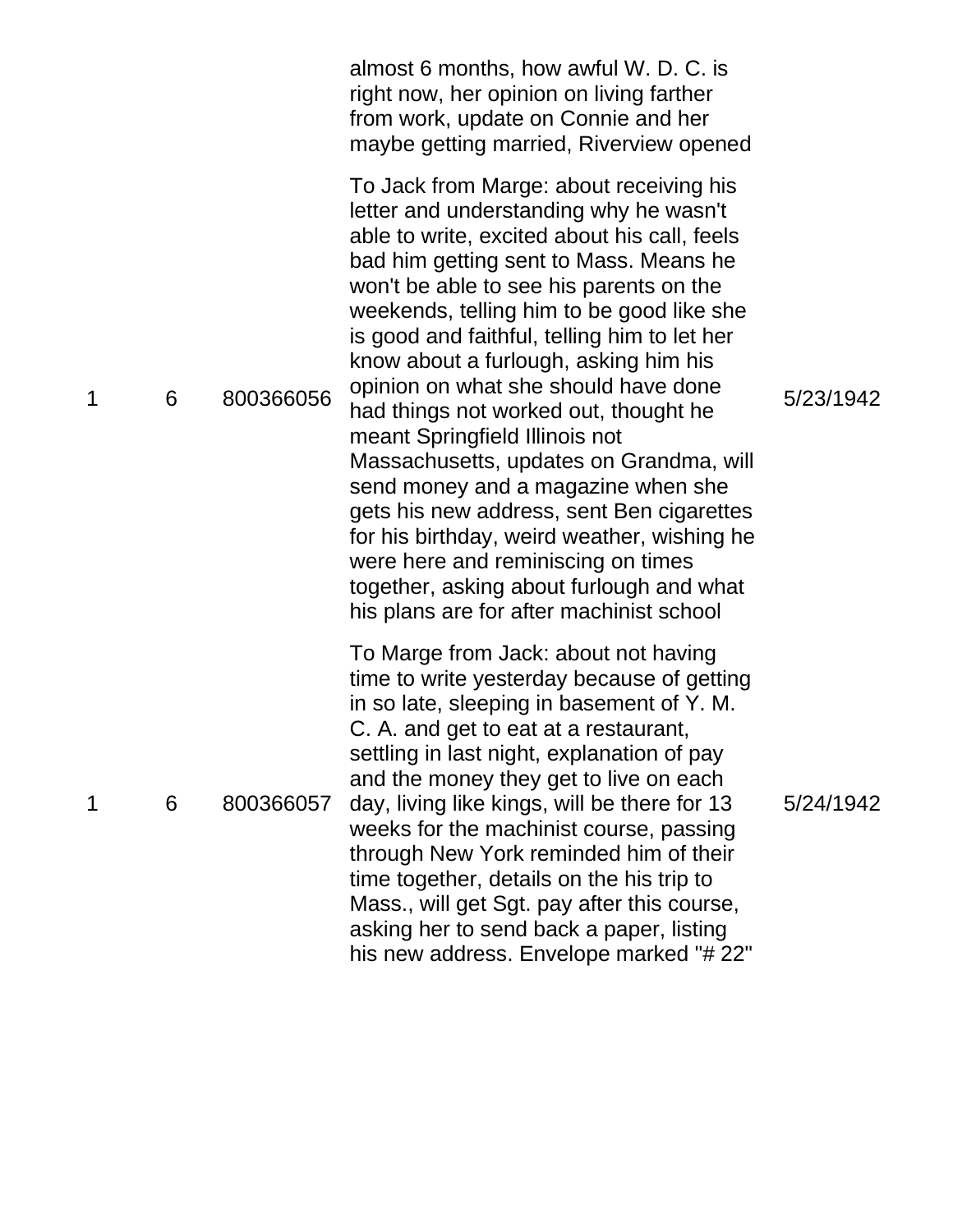|   |   |           | almost 6 months, how awful W. D. C. is<br>right now, her opinion on living farther<br>from work, update on Connie and her<br>maybe getting married, Riverview opened                                                                                                                                                                                                                                                                                                                                                                                                                                                                                                                                                                                                                       |           |
|---|---|-----------|--------------------------------------------------------------------------------------------------------------------------------------------------------------------------------------------------------------------------------------------------------------------------------------------------------------------------------------------------------------------------------------------------------------------------------------------------------------------------------------------------------------------------------------------------------------------------------------------------------------------------------------------------------------------------------------------------------------------------------------------------------------------------------------------|-----------|
| 1 | 6 | 800366056 | To Jack from Marge: about receiving his<br>letter and understanding why he wasn't<br>able to write, excited about his call, feels<br>bad him getting sent to Mass. Means he<br>won't be able to see his parents on the<br>weekends, telling him to be good like she<br>is good and faithful, telling him to let her<br>know about a furlough, asking him his<br>opinion on what she should have done<br>had things not worked out, thought he<br>meant Springfield Illinois not<br>Massachusetts, updates on Grandma, will<br>send money and a magazine when she<br>gets his new address, sent Ben cigarettes<br>for his birthday, weird weather, wishing he<br>were here and reminiscing on times<br>together, asking about furlough and what<br>his plans are for after machinist school | 5/23/1942 |
| 1 | 6 | 800366057 | To Marge from Jack: about not having<br>time to write yesterday because of getting<br>in so late, sleeping in basement of Y. M.<br>C. A. and get to eat at a restaurant,<br>settling in last night, explanation of pay<br>and the money they get to live on each<br>day, living like kings, will be there for 13<br>weeks for the machinist course, passing<br>through New York reminded him of their<br>time together, details on the his trip to<br>Mass., will get Sgt. pay after this course,<br>asking her to send back a paper, listing<br>his new address. Envelope marked "# 22"                                                                                                                                                                                                   | 5/24/1942 |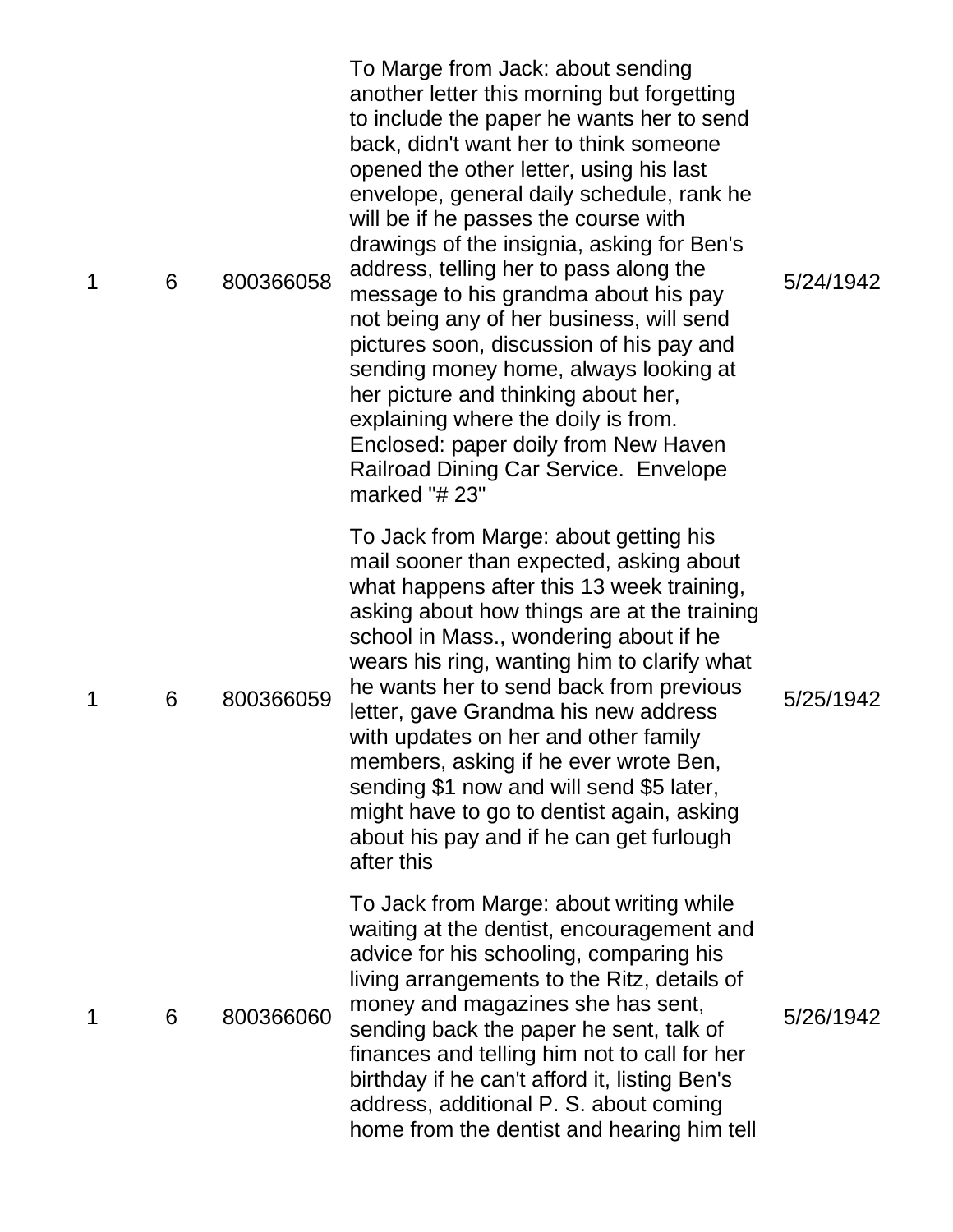| $\mathbf 1$ | 6 | 800366058 | To Marge from Jack: about sending<br>another letter this morning but forgetting<br>to include the paper he wants her to send<br>back, didn't want her to think someone<br>opened the other letter, using his last<br>envelope, general daily schedule, rank he<br>will be if he passes the course with<br>drawings of the insignia, asking for Ben's<br>address, telling her to pass along the<br>message to his grandma about his pay<br>not being any of her business, will send<br>pictures soon, discussion of his pay and<br>sending money home, always looking at<br>her picture and thinking about her,<br>explaining where the doily is from.<br>Enclosed: paper doily from New Haven<br>Railroad Dining Car Service. Envelope<br>marked "# 23" | 5/24/1942 |
|-------------|---|-----------|---------------------------------------------------------------------------------------------------------------------------------------------------------------------------------------------------------------------------------------------------------------------------------------------------------------------------------------------------------------------------------------------------------------------------------------------------------------------------------------------------------------------------------------------------------------------------------------------------------------------------------------------------------------------------------------------------------------------------------------------------------|-----------|
| 1           | 6 | 800366059 | To Jack from Marge: about getting his<br>mail sooner than expected, asking about<br>what happens after this 13 week training,<br>asking about how things are at the training<br>school in Mass., wondering about if he<br>wears his ring, wanting him to clarify what<br>he wants her to send back from previous<br>letter, gave Grandma his new address<br>with updates on her and other family<br>members, asking if he ever wrote Ben,<br>sending \$1 now and will send \$5 later,<br>might have to go to dentist again, asking<br>about his pay and if he can get furlough<br>after this                                                                                                                                                            | 5/25/1942 |
| 1           | 6 | 800366060 | To Jack from Marge: about writing while<br>waiting at the dentist, encouragement and<br>advice for his schooling, comparing his<br>living arrangements to the Ritz, details of<br>money and magazines she has sent,<br>sending back the paper he sent, talk of<br>finances and telling him not to call for her<br>birthday if he can't afford it, listing Ben's<br>address, additional P. S. about coming<br>home from the dentist and hearing him tell                                                                                                                                                                                                                                                                                                 | 5/26/1942 |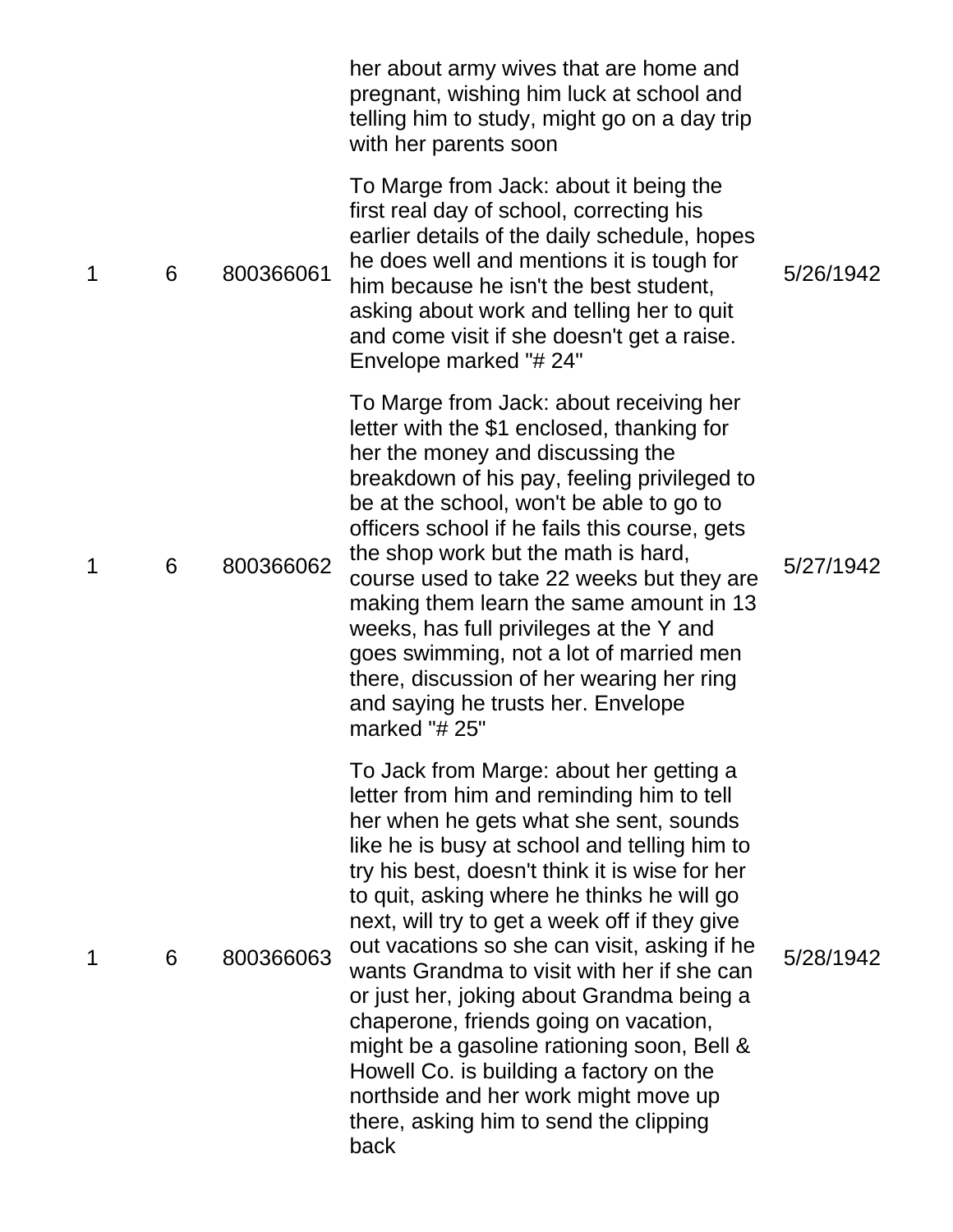|   |   |           | her about army wives that are home and<br>pregnant, wishing him luck at school and<br>telling him to study, might go on a day trip<br>with her parents soon                                                                                                                                                                                                                                                                                                                                                                                                                                                                                                                                            |           |
|---|---|-----------|--------------------------------------------------------------------------------------------------------------------------------------------------------------------------------------------------------------------------------------------------------------------------------------------------------------------------------------------------------------------------------------------------------------------------------------------------------------------------------------------------------------------------------------------------------------------------------------------------------------------------------------------------------------------------------------------------------|-----------|
| 1 | 6 | 800366061 | To Marge from Jack: about it being the<br>first real day of school, correcting his<br>earlier details of the daily schedule, hopes<br>he does well and mentions it is tough for<br>him because he isn't the best student,<br>asking about work and telling her to quit<br>and come visit if she doesn't get a raise.<br>Envelope marked "# 24"                                                                                                                                                                                                                                                                                                                                                         | 5/26/1942 |
| 1 | 6 | 800366062 | To Marge from Jack: about receiving her<br>letter with the \$1 enclosed, thanking for<br>her the money and discussing the<br>breakdown of his pay, feeling privileged to<br>be at the school, won't be able to go to<br>officers school if he fails this course, gets<br>the shop work but the math is hard,<br>course used to take 22 weeks but they are<br>making them learn the same amount in 13<br>weeks, has full privileges at the Y and<br>goes swimming, not a lot of married men<br>there, discussion of her wearing her ring<br>and saying he trusts her. Envelope<br>marked " $# 25"$                                                                                                      | 5/27/1942 |
| 1 | 6 | 800366063 | To Jack from Marge: about her getting a<br>letter from him and reminding him to tell<br>her when he gets what she sent, sounds<br>like he is busy at school and telling him to<br>try his best, doesn't think it is wise for her<br>to quit, asking where he thinks he will go<br>next, will try to get a week off if they give<br>out vacations so she can visit, asking if he<br>wants Grandma to visit with her if she can<br>or just her, joking about Grandma being a<br>chaperone, friends going on vacation,<br>might be a gasoline rationing soon, Bell &<br>Howell Co. is building a factory on the<br>northside and her work might move up<br>there, asking him to send the clipping<br>back | 5/28/1942 |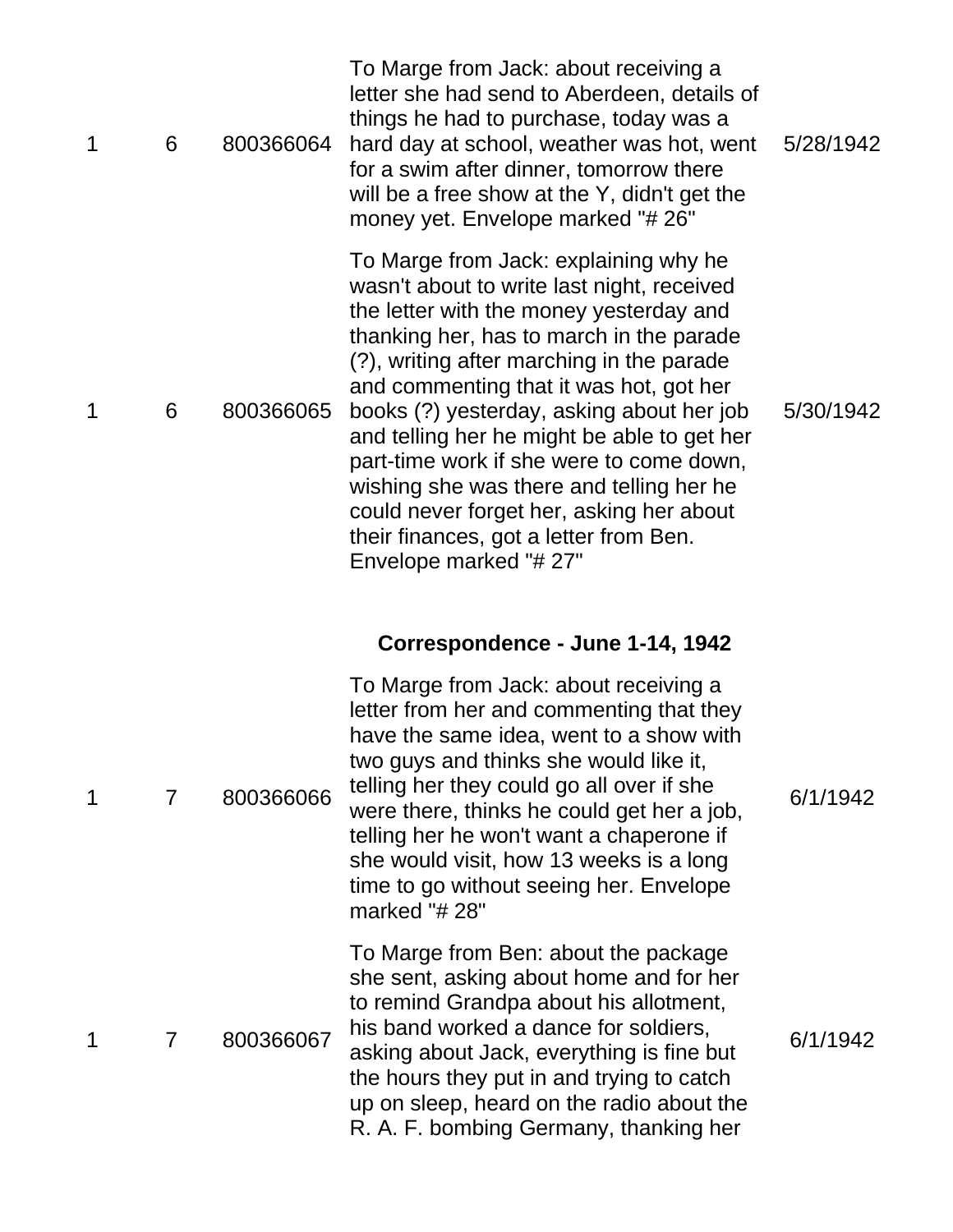| 1 | 6 | 800366064 | To Marge from Jack: about receiving a<br>letter she had send to Aberdeen, details of<br>things he had to purchase, today was a<br>hard day at school, weather was hot, went<br>for a swim after dinner, tomorrow there<br>will be a free show at the Y, didn't get the<br>money yet. Envelope marked "#26"                                                                                                                                                                                                                                                             | 5/28/1942 |
|---|---|-----------|------------------------------------------------------------------------------------------------------------------------------------------------------------------------------------------------------------------------------------------------------------------------------------------------------------------------------------------------------------------------------------------------------------------------------------------------------------------------------------------------------------------------------------------------------------------------|-----------|
| 1 | 6 | 800366065 | To Marge from Jack: explaining why he<br>wasn't about to write last night, received<br>the letter with the money yesterday and<br>thanking her, has to march in the parade<br>(?), writing after marching in the parade<br>and commenting that it was hot, got her<br>books (?) yesterday, asking about her job<br>and telling her he might be able to get her<br>part-time work if she were to come down,<br>wishing she was there and telling her he<br>could never forget her, asking her about<br>their finances, got a letter from Ben.<br>Envelope marked "# 27" | 5/30/1942 |
|   |   |           | Correspondence - June 1-14, 1942                                                                                                                                                                                                                                                                                                                                                                                                                                                                                                                                       |           |
| 1 | 7 | 800366066 | To Marge from Jack: about receiving a<br>letter from her and commenting that they<br>have the same idea, went to a show with<br>two guys and thinks she would like it,<br>telling her they could go all over if she<br>were there, thinks he could get her a job,<br>telling her he won't want a chaperone if<br>she would visit, how 13 weeks is a long<br>time to go without seeing her. Envelope<br>marked "# 28"                                                                                                                                                   | 6/1/1942  |
| 1 | 7 | 800366067 | To Marge from Ben: about the package<br>she sent, asking about home and for her<br>to remind Grandpa about his allotment,<br>his band worked a dance for soldiers,<br>asking about Jack, everything is fine but<br>the hours they put in and trying to catch<br>up on sleep, heard on the radio about the<br>R. A. F. bombing Germany, thanking her                                                                                                                                                                                                                    | 6/1/1942  |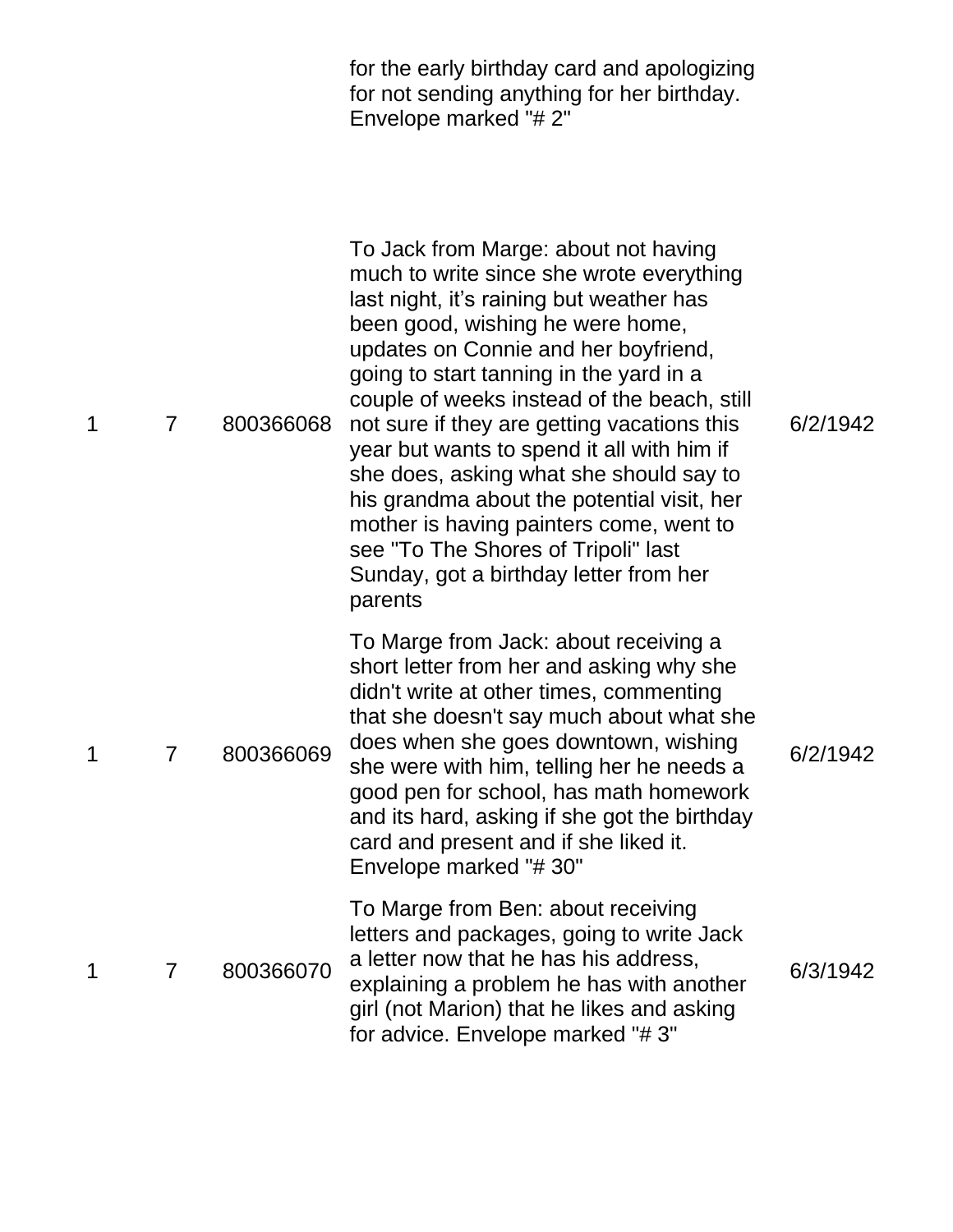for the early birthday card and apologizing for not sending anything for her birthday. Envelope marked "# 2"

| 1 | 7              | 800366068 | To Jack from Marge: about not having<br>much to write since she wrote everything<br>last night, it's raining but weather has<br>been good, wishing he were home,<br>updates on Connie and her boyfriend,<br>going to start tanning in the yard in a<br>couple of weeks instead of the beach, still<br>not sure if they are getting vacations this<br>year but wants to spend it all with him if<br>she does, asking what she should say to<br>his grandma about the potential visit, her<br>mother is having painters come, went to<br>see "To The Shores of Tripoli" last<br>Sunday, got a birthday letter from her<br>parents | 6/2/1942 |
|---|----------------|-----------|---------------------------------------------------------------------------------------------------------------------------------------------------------------------------------------------------------------------------------------------------------------------------------------------------------------------------------------------------------------------------------------------------------------------------------------------------------------------------------------------------------------------------------------------------------------------------------------------------------------------------------|----------|
| 1 | $\overline{7}$ | 800366069 | To Marge from Jack: about receiving a<br>short letter from her and asking why she<br>didn't write at other times, commenting<br>that she doesn't say much about what she<br>does when she goes downtown, wishing<br>she were with him, telling her he needs a<br>good pen for school, has math homework<br>and its hard, asking if she got the birthday<br>card and present and if she liked it.<br>Envelope marked "#30"                                                                                                                                                                                                       | 6/2/1942 |
| 1 | 7              | 800366070 | To Marge from Ben: about receiving<br>letters and packages, going to write Jack<br>a letter now that he has his address,<br>explaining a problem he has with another<br>girl (not Marion) that he likes and asking<br>for advice. Envelope marked "#3"                                                                                                                                                                                                                                                                                                                                                                          | 6/3/1942 |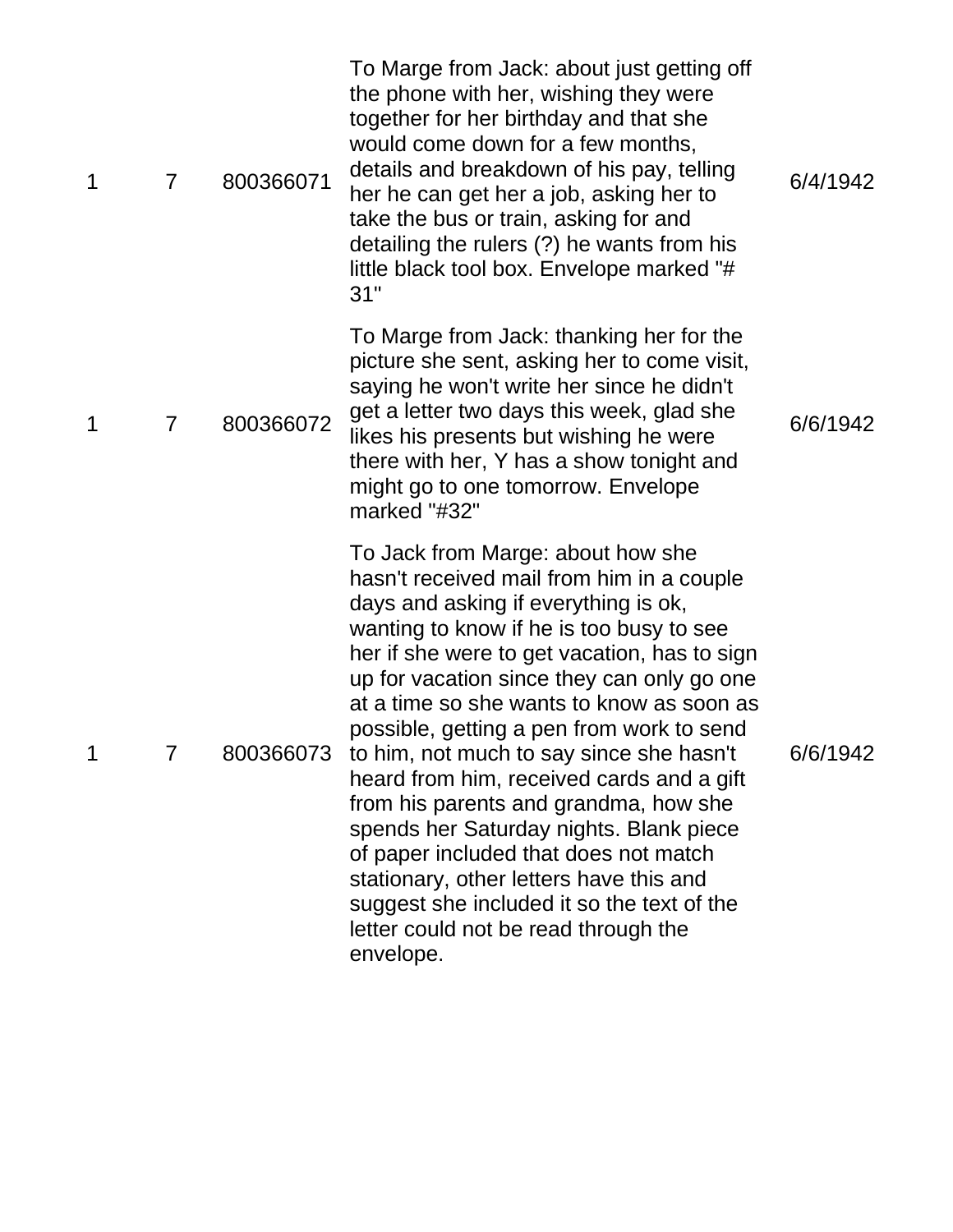| 1 | $\overline{7}$ | 800366071 | To Marge from Jack: about just getting off<br>the phone with her, wishing they were<br>together for her birthday and that she<br>would come down for a few months,<br>details and breakdown of his pay, telling<br>her he can get her a job, asking her to<br>take the bus or train, asking for and<br>detailing the rulers (?) he wants from his<br>little black tool box. Envelope marked "#<br>31"                                                                                                                                                                                                                                                                                                                                    | 6/4/1942 |
|---|----------------|-----------|------------------------------------------------------------------------------------------------------------------------------------------------------------------------------------------------------------------------------------------------------------------------------------------------------------------------------------------------------------------------------------------------------------------------------------------------------------------------------------------------------------------------------------------------------------------------------------------------------------------------------------------------------------------------------------------------------------------------------------------|----------|
| 1 | $\overline{7}$ | 800366072 | To Marge from Jack: thanking her for the<br>picture she sent, asking her to come visit,<br>saying he won't write her since he didn't<br>get a letter two days this week, glad she<br>likes his presents but wishing he were<br>there with her, Y has a show tonight and<br>might go to one tomorrow. Envelope<br>marked "#32"                                                                                                                                                                                                                                                                                                                                                                                                            | 6/6/1942 |
| 1 | 7              |           | To Jack from Marge: about how she<br>hasn't received mail from him in a couple<br>days and asking if everything is ok,<br>wanting to know if he is too busy to see<br>her if she were to get vacation, has to sign<br>up for vacation since they can only go one<br>at a time so she wants to know as soon as<br>possible, getting a pen from work to send<br>800366073 to him, not much to say since she hasn't<br>heard from him, received cards and a gift<br>from his parents and grandma, how she<br>spends her Saturday nights. Blank piece<br>of paper included that does not match<br>stationary, other letters have this and<br>suggest she included it so the text of the<br>letter could not be read through the<br>envelope. | 6/6/1942 |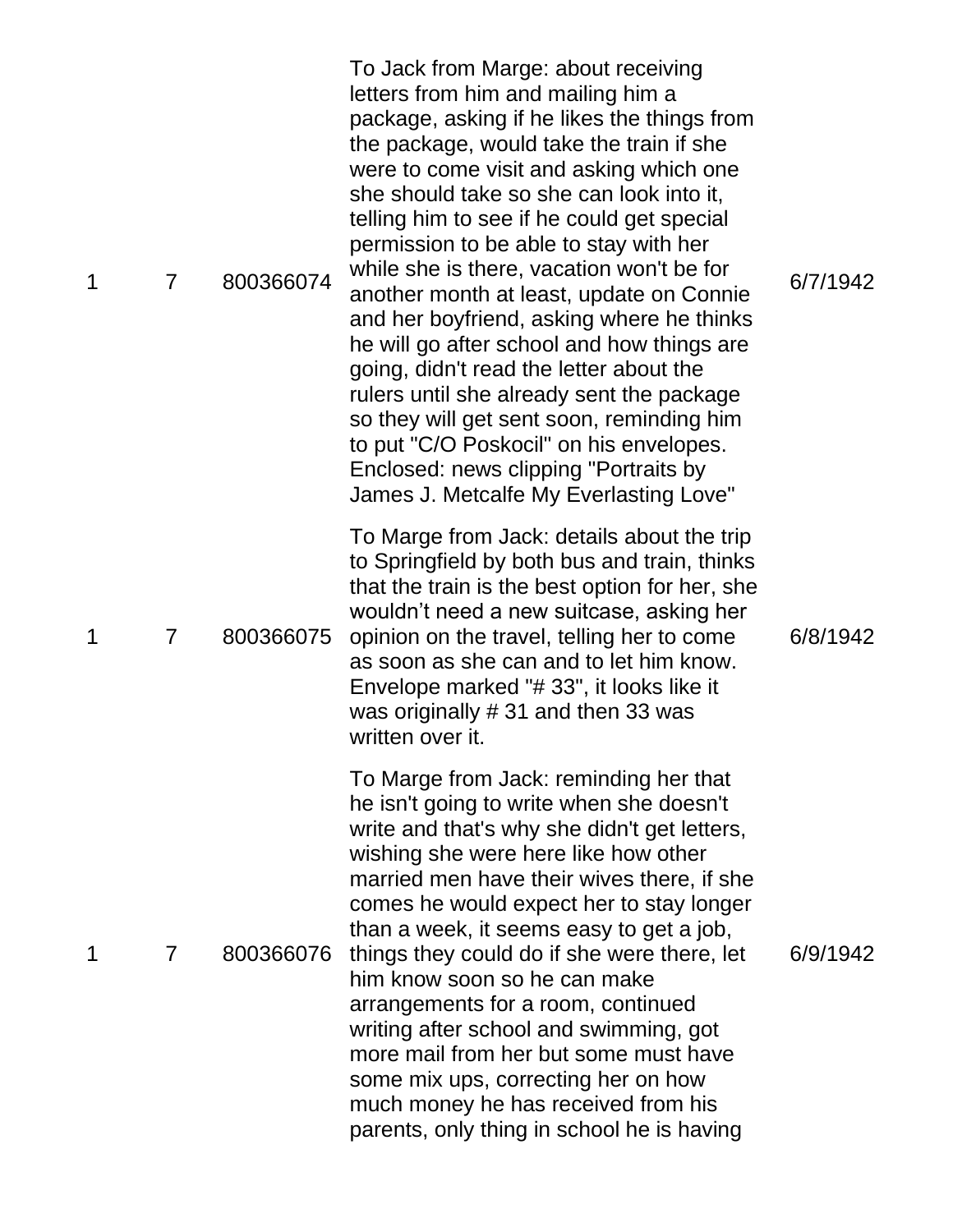| 1 | 7 | 800366074 | To Jack from Marge: about receiving<br>letters from him and mailing him a<br>package, asking if he likes the things from<br>the package, would take the train if she<br>were to come visit and asking which one<br>she should take so she can look into it,<br>telling him to see if he could get special<br>permission to be able to stay with her<br>while she is there, vacation won't be for<br>another month at least, update on Connie<br>and her boyfriend, asking where he thinks<br>he will go after school and how things are<br>going, didn't read the letter about the<br>rulers until she already sent the package<br>so they will get sent soon, reminding him<br>to put "C/O Poskocil" on his envelopes.<br>Enclosed: news clipping "Portraits by<br>James J. Metcalfe My Everlasting Love" | 6/7/1942 |
|---|---|-----------|------------------------------------------------------------------------------------------------------------------------------------------------------------------------------------------------------------------------------------------------------------------------------------------------------------------------------------------------------------------------------------------------------------------------------------------------------------------------------------------------------------------------------------------------------------------------------------------------------------------------------------------------------------------------------------------------------------------------------------------------------------------------------------------------------------|----------|
| 1 | 7 | 800366075 | To Marge from Jack: details about the trip<br>to Springfield by both bus and train, thinks<br>that the train is the best option for her, she<br>wouldn't need a new suitcase, asking her<br>opinion on the travel, telling her to come<br>as soon as she can and to let him know.<br>Envelope marked "# 33", it looks like it<br>was originally #31 and then 33 was<br>written over it.                                                                                                                                                                                                                                                                                                                                                                                                                    | 6/8/1942 |
|   | 7 | 800366076 | To Marge from Jack: reminding her that<br>he isn't going to write when she doesn't<br>write and that's why she didn't get letters,<br>wishing she were here like how other<br>married men have their wives there, if she<br>comes he would expect her to stay longer<br>than a week, it seems easy to get a job,<br>things they could do if she were there, let<br>him know soon so he can make<br>arrangements for a room, continued<br>writing after school and swimming, got<br>more mail from her but some must have<br>some mix ups, correcting her on how<br>much money he has received from his<br>parents, only thing in school he is having                                                                                                                                                       | 6/9/1942 |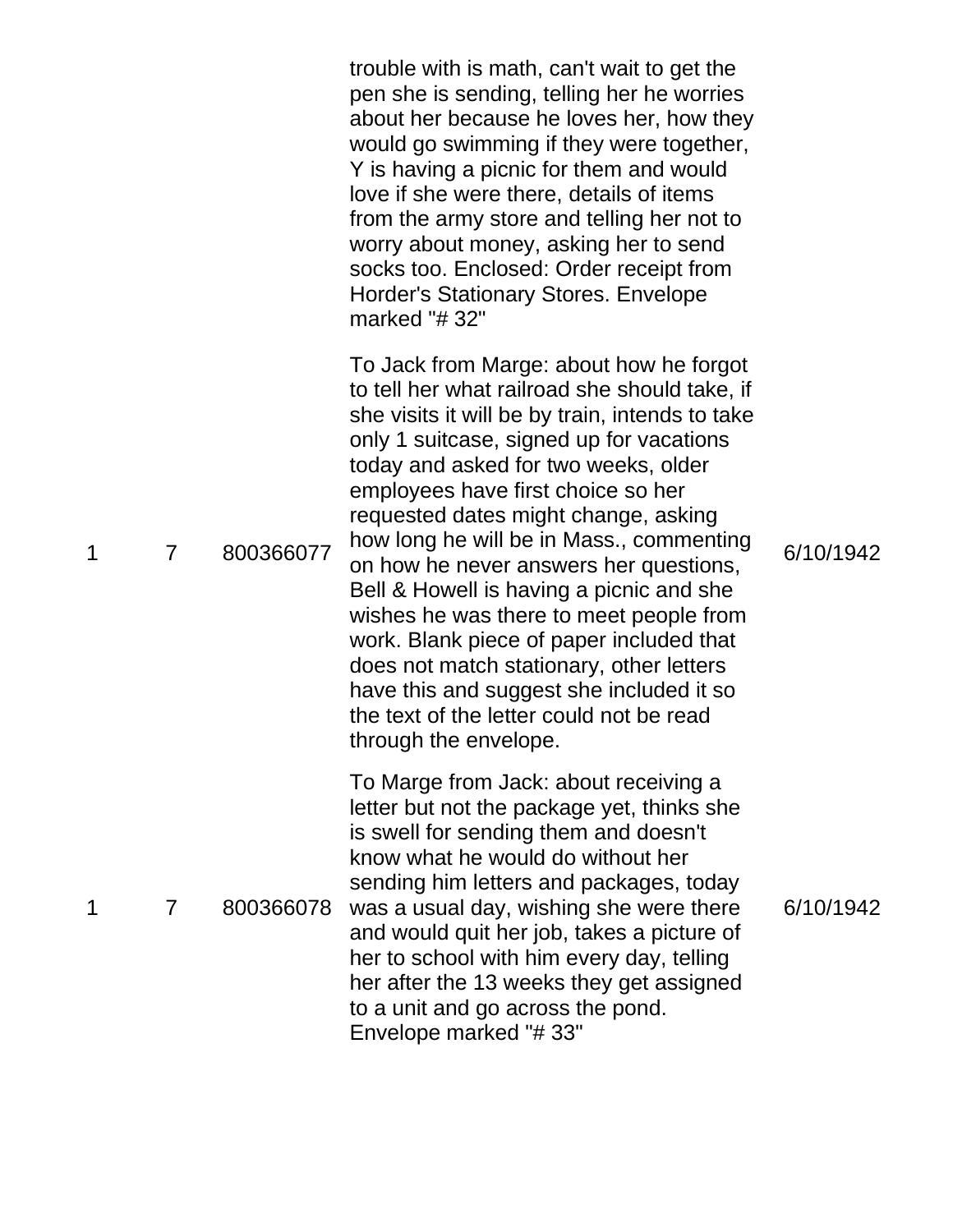|   |                |           | trouble with is math, can't wait to get the<br>pen she is sending, telling her he worries<br>about her because he loves her, how they<br>would go swimming if they were together,<br>Y is having a picnic for them and would<br>love if she were there, details of items<br>from the army store and telling her not to<br>worry about money, asking her to send<br>socks too. Enclosed: Order receipt from<br><b>Horder's Stationary Stores. Envelope</b><br>marked "#32"                                                                                                                                                                                                                           |           |
|---|----------------|-----------|-----------------------------------------------------------------------------------------------------------------------------------------------------------------------------------------------------------------------------------------------------------------------------------------------------------------------------------------------------------------------------------------------------------------------------------------------------------------------------------------------------------------------------------------------------------------------------------------------------------------------------------------------------------------------------------------------------|-----------|
| 1 | $\overline{7}$ | 800366077 | To Jack from Marge: about how he forgot<br>to tell her what railroad she should take, if<br>she visits it will be by train, intends to take<br>only 1 suitcase, signed up for vacations<br>today and asked for two weeks, older<br>employees have first choice so her<br>requested dates might change, asking<br>how long he will be in Mass., commenting<br>on how he never answers her questions,<br>Bell & Howell is having a picnic and she<br>wishes he was there to meet people from<br>work. Blank piece of paper included that<br>does not match stationary, other letters<br>have this and suggest she included it so<br>the text of the letter could not be read<br>through the envelope. | 6/10/1942 |
| 1 | $\overline{7}$ | 800366078 | To Marge from Jack: about receiving a<br>letter but not the package yet, thinks she<br>is swell for sending them and doesn't<br>know what he would do without her<br>sending him letters and packages, today<br>was a usual day, wishing she were there<br>and would quit her job, takes a picture of<br>her to school with him every day, telling<br>her after the 13 weeks they get assigned<br>to a unit and go across the pond.<br>Envelope marked "#33"                                                                                                                                                                                                                                        | 6/10/1942 |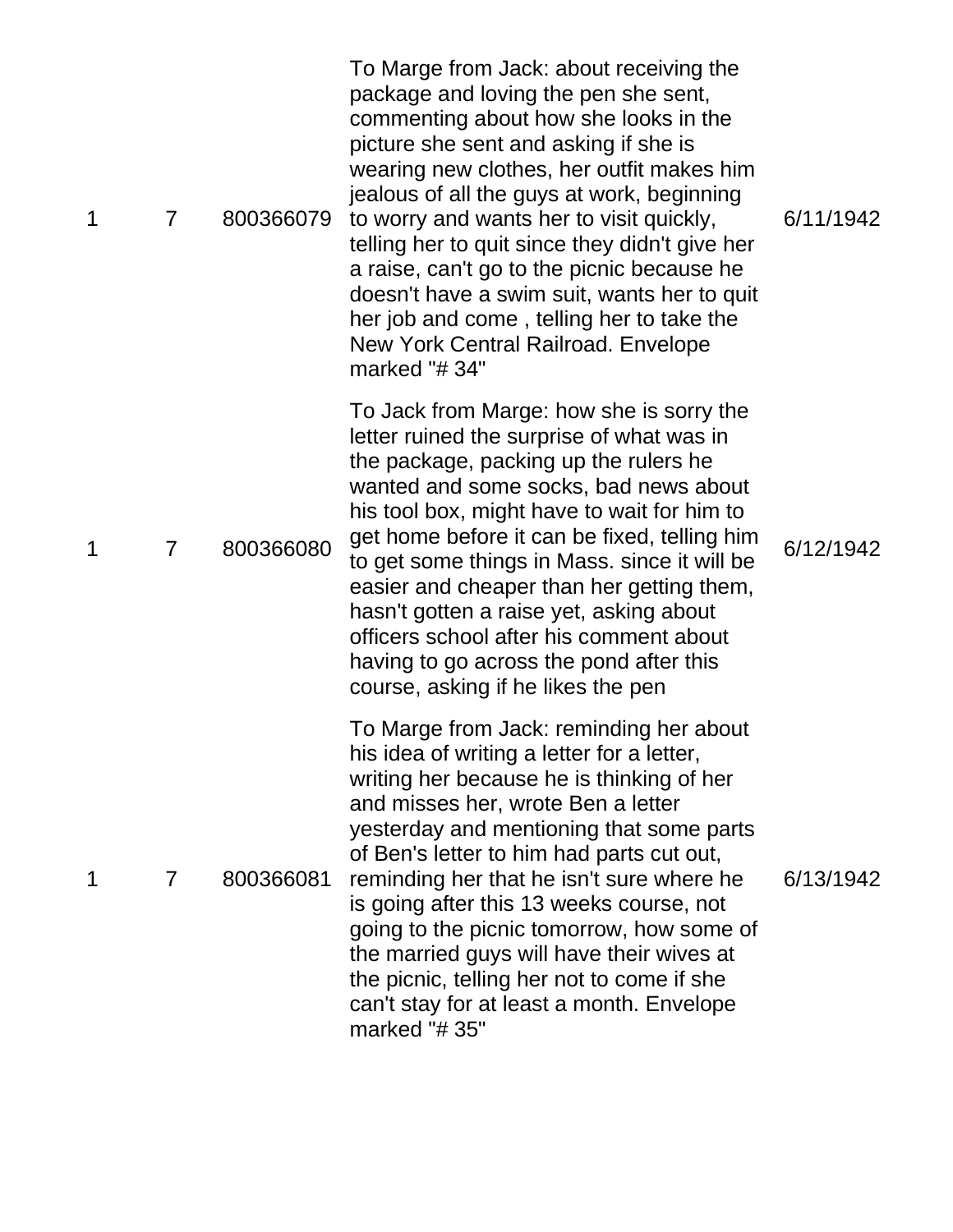| 1 | $\overline{7}$ | 800366079 | To Marge from Jack: about receiving the<br>package and loving the pen she sent,<br>commenting about how she looks in the<br>picture she sent and asking if she is<br>wearing new clothes, her outfit makes him<br>jealous of all the guys at work, beginning<br>to worry and wants her to visit quickly,<br>telling her to quit since they didn't give her<br>a raise, can't go to the picnic because he<br>doesn't have a swim suit, wants her to quit<br>her job and come, telling her to take the<br>New York Central Railroad. Envelope<br>marked "#34"     | 6/11/1942 |
|---|----------------|-----------|-----------------------------------------------------------------------------------------------------------------------------------------------------------------------------------------------------------------------------------------------------------------------------------------------------------------------------------------------------------------------------------------------------------------------------------------------------------------------------------------------------------------------------------------------------------------|-----------|
| 1 | $\overline{7}$ | 800366080 | To Jack from Marge: how she is sorry the<br>letter ruined the surprise of what was in<br>the package, packing up the rulers he<br>wanted and some socks, bad news about<br>his tool box, might have to wait for him to<br>get home before it can be fixed, telling him<br>to get some things in Mass. since it will be<br>easier and cheaper than her getting them,<br>hasn't gotten a raise yet, asking about<br>officers school after his comment about<br>having to go across the pond after this<br>course, asking if he likes the pen                      | 6/12/1942 |
| 1 | $\overline{7}$ | 800366081 | To Marge from Jack: reminding her about<br>his idea of writing a letter for a letter,<br>writing her because he is thinking of her<br>and misses her, wrote Ben a letter<br>yesterday and mentioning that some parts<br>of Ben's letter to him had parts cut out,<br>reminding her that he isn't sure where he<br>is going after this 13 weeks course, not<br>going to the picnic tomorrow, how some of<br>the married guys will have their wives at<br>the picnic, telling her not to come if she<br>can't stay for at least a month. Envelope<br>marked "#35" | 6/13/1942 |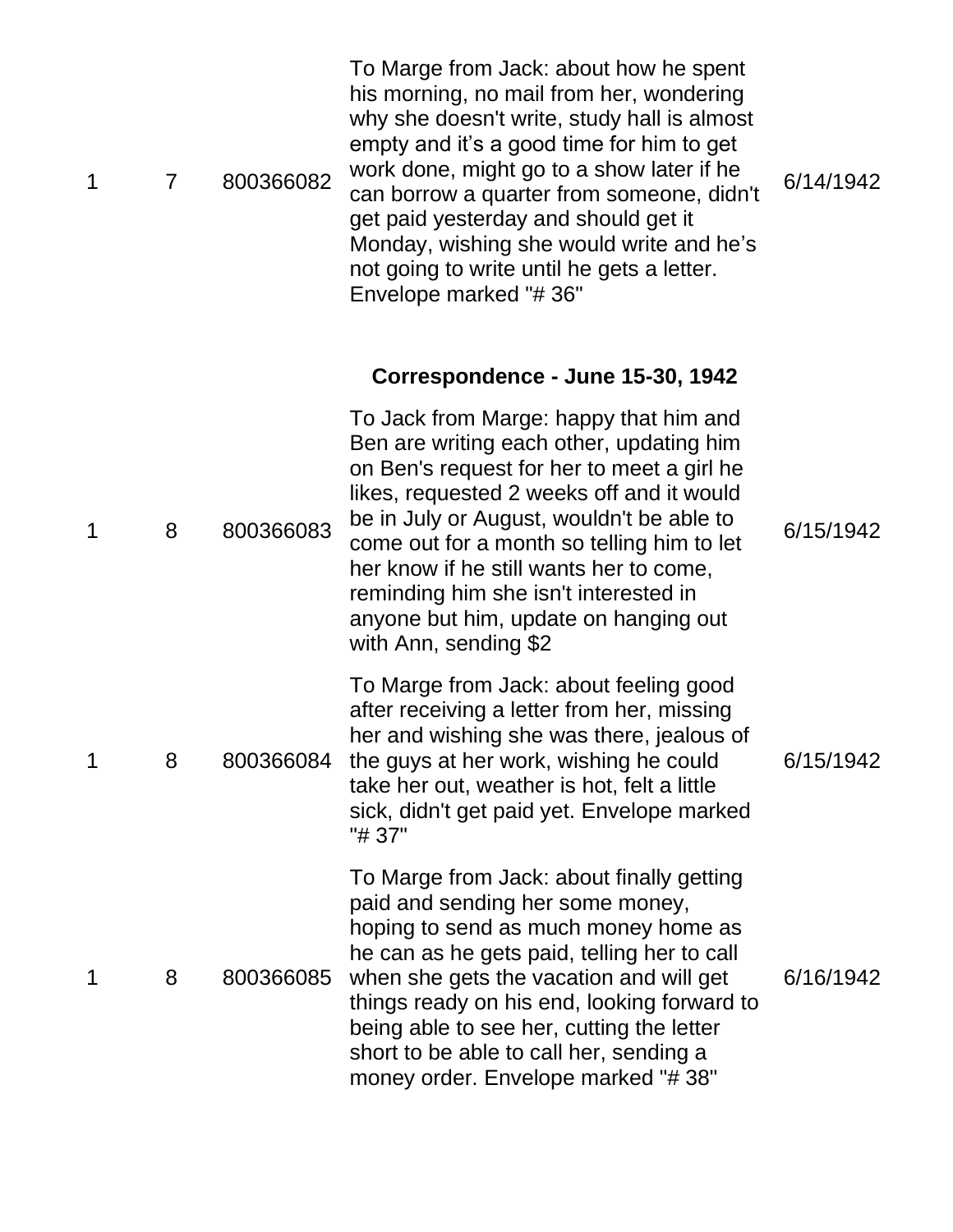| 1 | $\overline{7}$ | 800366082 | To Marge from Jack: about how he spent<br>his morning, no mail from her, wondering<br>why she doesn't write, study hall is almost<br>empty and it's a good time for him to get<br>work done, might go to a show later if he<br>can borrow a quarter from someone, didn't<br>get paid yesterday and should get it<br>Monday, wishing she would write and he's<br>not going to write until he gets a letter.<br>Envelope marked "#36" | 6/14/1942 |
|---|----------------|-----------|-------------------------------------------------------------------------------------------------------------------------------------------------------------------------------------------------------------------------------------------------------------------------------------------------------------------------------------------------------------------------------------------------------------------------------------|-----------|
|   |                |           | Correspondence - June 15-30, 1942                                                                                                                                                                                                                                                                                                                                                                                                   |           |
| 1 | 8              | 800366083 | To Jack from Marge: happy that him and<br>Ben are writing each other, updating him<br>on Ben's request for her to meet a girl he<br>likes, requested 2 weeks off and it would<br>be in July or August, wouldn't be able to<br>come out for a month so telling him to let<br>her know if he still wants her to come,<br>reminding him she isn't interested in<br>anyone but him, update on hanging out<br>with Ann, sending \$2      | 6/15/1942 |
| 1 | 8              | 800366084 | To Marge from Jack: about feeling good<br>after receiving a letter from her, missing<br>her and wishing she was there, jealous of<br>the guys at her work, wishing he could<br>take her out, weather is hot, felt a little<br>sick, didn't get paid yet. Envelope marked<br>"# 37"                                                                                                                                                  | 6/15/1942 |
| 1 | 8              | 800366085 | To Marge from Jack: about finally getting<br>paid and sending her some money,<br>hoping to send as much money home as<br>he can as he gets paid, telling her to call<br>when she gets the vacation and will get<br>things ready on his end, looking forward to<br>being able to see her, cutting the letter<br>short to be able to call her, sending a<br>money order. Envelope marked "#38"                                        | 6/16/1942 |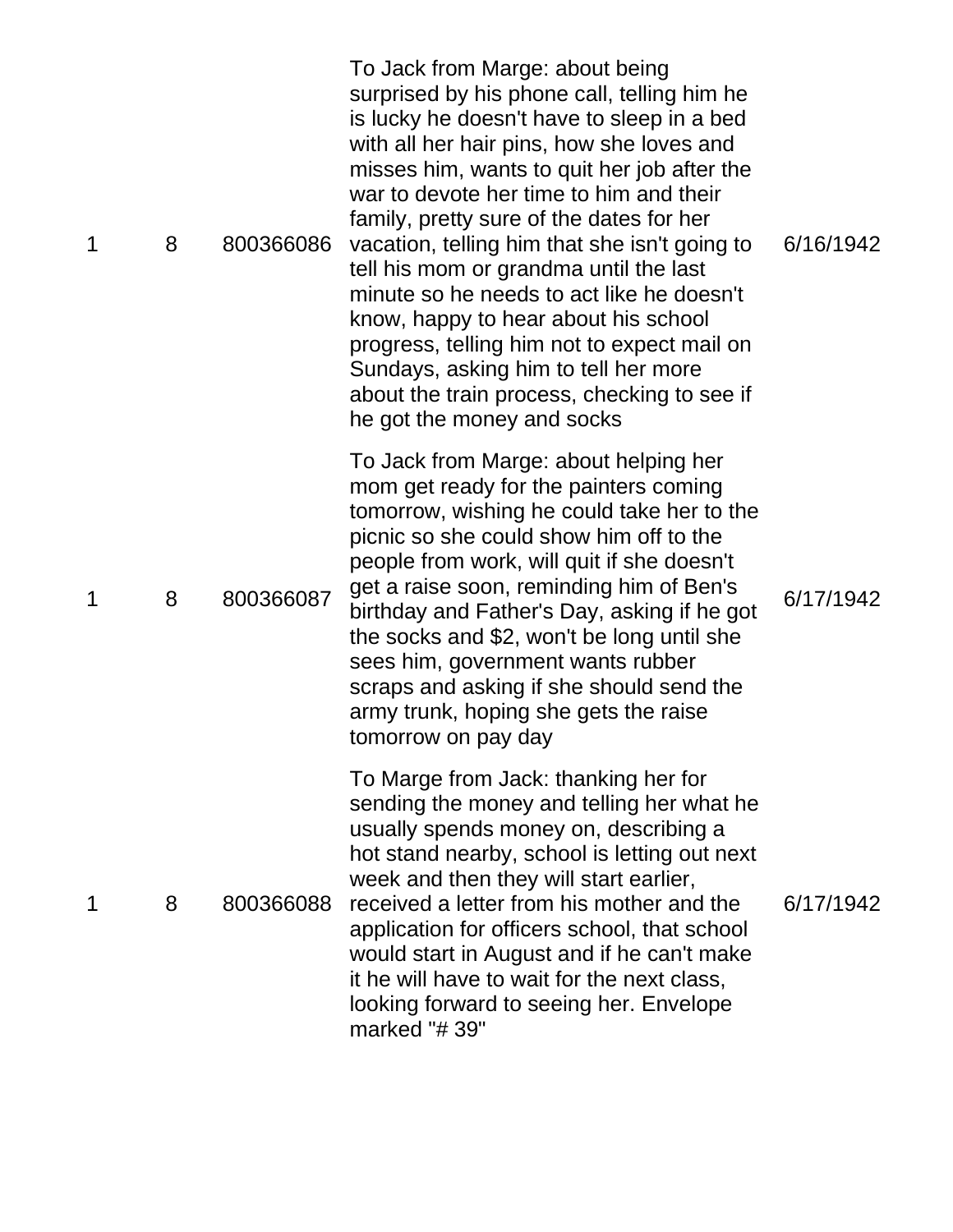| 1 | 8 | 800366086 | To Jack from Marge: about being<br>surprised by his phone call, telling him he<br>is lucky he doesn't have to sleep in a bed<br>with all her hair pins, how she loves and<br>misses him, wants to quit her job after the<br>war to devote her time to him and their<br>family, pretty sure of the dates for her<br>vacation, telling him that she isn't going to<br>tell his mom or grandma until the last<br>minute so he needs to act like he doesn't<br>know, happy to hear about his school<br>progress, telling him not to expect mail on<br>Sundays, asking him to tell her more<br>about the train process, checking to see if<br>he got the money and socks | 6/16/1942 |
|---|---|-----------|---------------------------------------------------------------------------------------------------------------------------------------------------------------------------------------------------------------------------------------------------------------------------------------------------------------------------------------------------------------------------------------------------------------------------------------------------------------------------------------------------------------------------------------------------------------------------------------------------------------------------------------------------------------------|-----------|
| 1 | 8 | 800366087 | To Jack from Marge: about helping her<br>mom get ready for the painters coming<br>tomorrow, wishing he could take her to the<br>picnic so she could show him off to the<br>people from work, will quit if she doesn't<br>get a raise soon, reminding him of Ben's<br>birthday and Father's Day, asking if he got<br>the socks and \$2, won't be long until she<br>sees him, government wants rubber<br>scraps and asking if she should send the<br>army trunk, hoping she gets the raise<br>tomorrow on pay day                                                                                                                                                     | 6/17/1942 |
| 1 | 8 | 800366088 | To Marge from Jack: thanking her for<br>sending the money and telling her what he<br>usually spends money on, describing a<br>hot stand nearby, school is letting out next<br>week and then they will start earlier,<br>received a letter from his mother and the<br>application for officers school, that school<br>would start in August and if he can't make<br>it he will have to wait for the next class,<br>looking forward to seeing her. Envelope<br>marked "#39"                                                                                                                                                                                           | 6/17/1942 |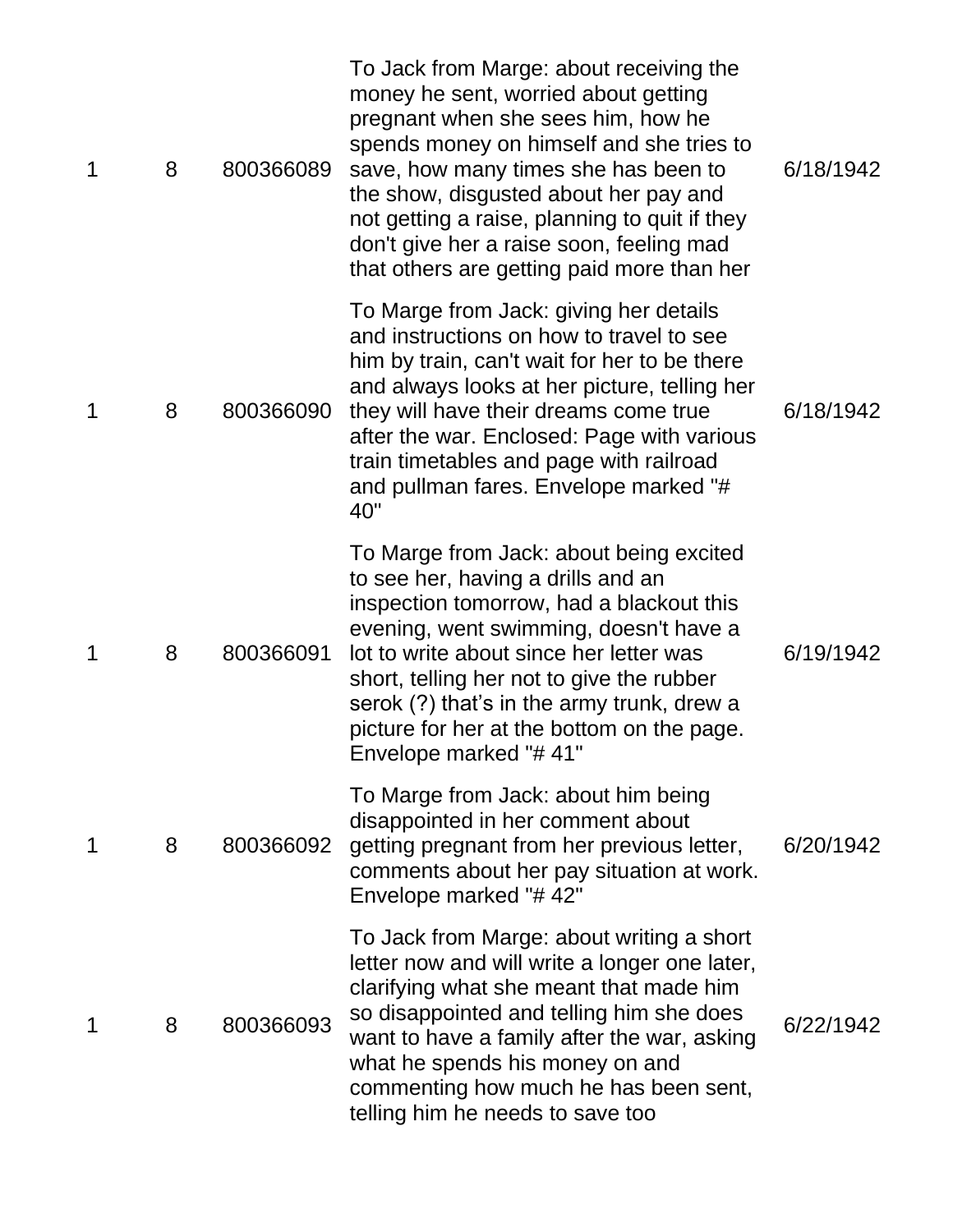| 1 | 8 | 800366089 | To Jack from Marge: about receiving the<br>money he sent, worried about getting<br>pregnant when she sees him, how he<br>spends money on himself and she tries to<br>save, how many times she has been to<br>the show, disgusted about her pay and<br>not getting a raise, planning to quit if they<br>don't give her a raise soon, feeling mad<br>that others are getting paid more than her | 6/18/1942 |
|---|---|-----------|-----------------------------------------------------------------------------------------------------------------------------------------------------------------------------------------------------------------------------------------------------------------------------------------------------------------------------------------------------------------------------------------------|-----------|
| 1 | 8 | 800366090 | To Marge from Jack: giving her details<br>and instructions on how to travel to see<br>him by train, can't wait for her to be there<br>and always looks at her picture, telling her<br>they will have their dreams come true<br>after the war. Enclosed: Page with various<br>train timetables and page with railroad<br>and pullman fares. Envelope marked "#<br>40"                          | 6/18/1942 |
| 1 | 8 | 800366091 | To Marge from Jack: about being excited<br>to see her, having a drills and an<br>inspection tomorrow, had a blackout this<br>evening, went swimming, doesn't have a<br>lot to write about since her letter was<br>short, telling her not to give the rubber<br>serok (?) that's in the army trunk, drew a<br>picture for her at the bottom on the page.<br>Envelope marked "#41"              | 6/19/1942 |
| 1 | 8 | 800366092 | To Marge from Jack: about him being<br>disappointed in her comment about<br>getting pregnant from her previous letter,<br>comments about her pay situation at work.<br>Envelope marked "#42"                                                                                                                                                                                                  | 6/20/1942 |
| 1 | 8 | 800366093 | To Jack from Marge: about writing a short<br>letter now and will write a longer one later,<br>clarifying what she meant that made him<br>so disappointed and telling him she does<br>want to have a family after the war, asking<br>what he spends his money on and<br>commenting how much he has been sent,<br>telling him he needs to save too                                              | 6/22/1942 |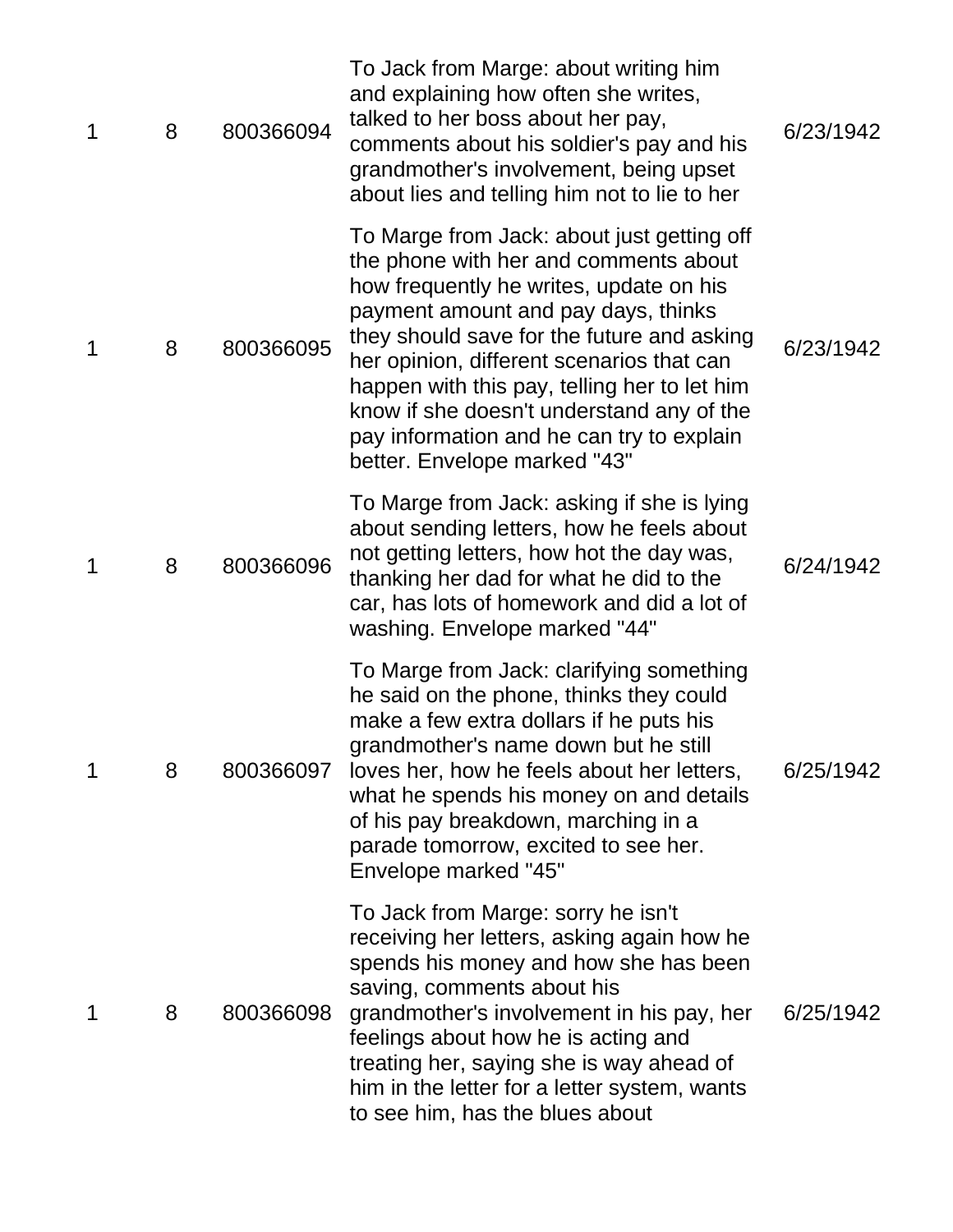| 1 | 8 | 800366094 | To Jack from Marge: about writing him<br>and explaining how often she writes,<br>talked to her boss about her pay,<br>comments about his soldier's pay and his<br>grandmother's involvement, being upset<br>about lies and telling him not to lie to her                                                                                                                                                                                   | 6/23/1942 |
|---|---|-----------|--------------------------------------------------------------------------------------------------------------------------------------------------------------------------------------------------------------------------------------------------------------------------------------------------------------------------------------------------------------------------------------------------------------------------------------------|-----------|
| 1 | 8 | 800366095 | To Marge from Jack: about just getting off<br>the phone with her and comments about<br>how frequently he writes, update on his<br>payment amount and pay days, thinks<br>they should save for the future and asking<br>her opinion, different scenarios that can<br>happen with this pay, telling her to let him<br>know if she doesn't understand any of the<br>pay information and he can try to explain<br>better. Envelope marked "43" | 6/23/1942 |
| 1 | 8 | 800366096 | To Marge from Jack: asking if she is lying<br>about sending letters, how he feels about<br>not getting letters, how hot the day was,<br>thanking her dad for what he did to the<br>car, has lots of homework and did a lot of<br>washing. Envelope marked "44"                                                                                                                                                                             | 6/24/1942 |
| 1 | 8 | 800366097 | To Marge from Jack: clarifying something<br>he said on the phone, thinks they could<br>make a few extra dollars if he puts his<br>grandmother's name down but he still<br>loves her, how he feels about her letters,<br>what he spends his money on and details<br>of his pay breakdown, marching in a<br>parade tomorrow, excited to see her.<br>Envelope marked "45"                                                                     | 6/25/1942 |
| 1 | 8 | 800366098 | To Jack from Marge: sorry he isn't<br>receiving her letters, asking again how he<br>spends his money and how she has been<br>saving, comments about his<br>grandmother's involvement in his pay, her<br>feelings about how he is acting and<br>treating her, saying she is way ahead of<br>him in the letter for a letter system, wants<br>to see him, has the blues about                                                                 | 6/25/1942 |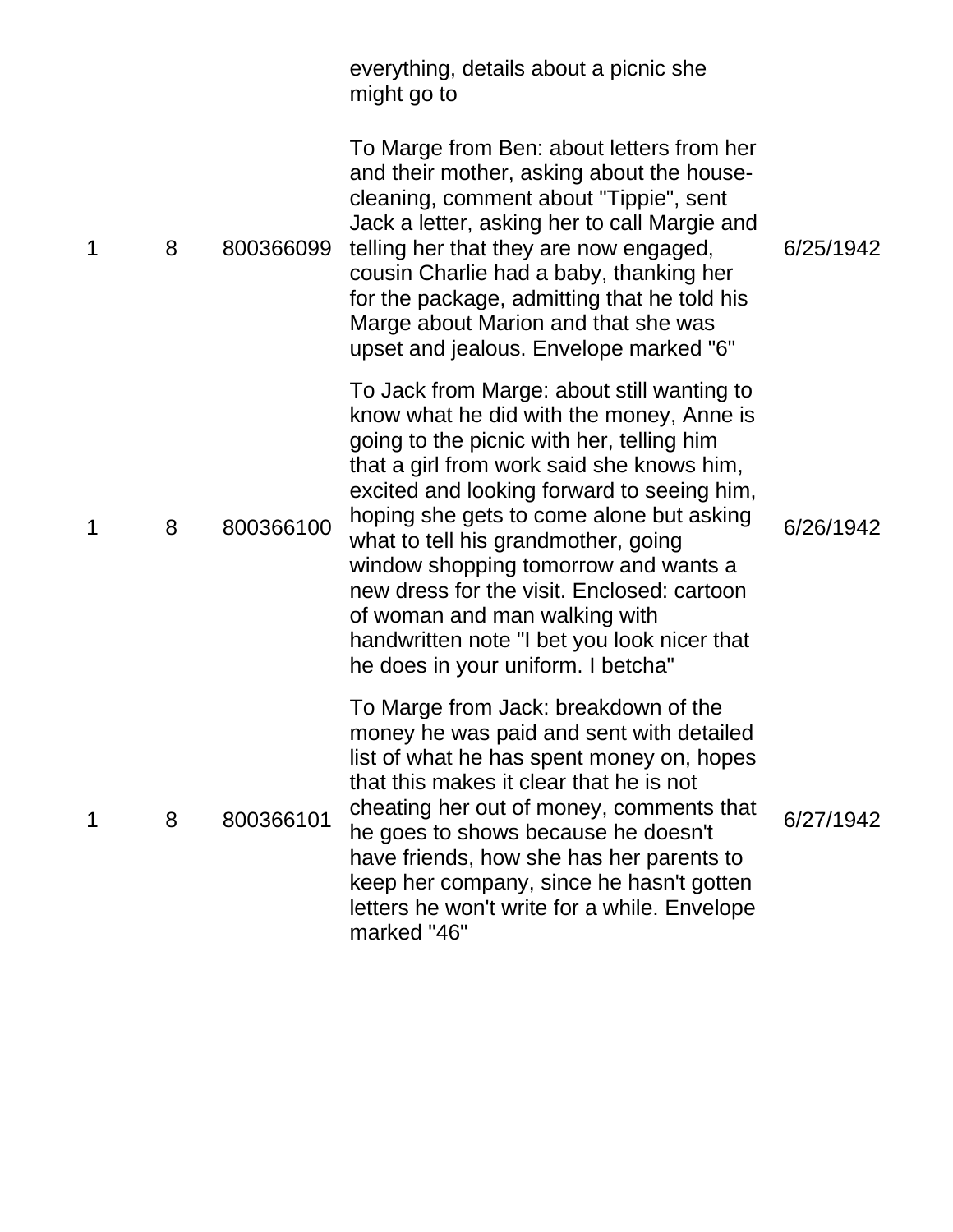|   |   |           | everything, details about a picnic she<br>might go to                                                                                                                                                                                                                                                                                                                                                                                                                                                                         |           |
|---|---|-----------|-------------------------------------------------------------------------------------------------------------------------------------------------------------------------------------------------------------------------------------------------------------------------------------------------------------------------------------------------------------------------------------------------------------------------------------------------------------------------------------------------------------------------------|-----------|
| 1 | 8 | 800366099 | To Marge from Ben: about letters from her<br>and their mother, asking about the house-<br>cleaning, comment about "Tippie", sent<br>Jack a letter, asking her to call Margie and<br>telling her that they are now engaged,<br>cousin Charlie had a baby, thanking her<br>for the package, admitting that he told his<br>Marge about Marion and that she was<br>upset and jealous. Envelope marked "6"                                                                                                                         | 6/25/1942 |
| 1 | 8 | 800366100 | To Jack from Marge: about still wanting to<br>know what he did with the money, Anne is<br>going to the picnic with her, telling him<br>that a girl from work said she knows him,<br>excited and looking forward to seeing him,<br>hoping she gets to come alone but asking<br>what to tell his grandmother, going<br>window shopping tomorrow and wants a<br>new dress for the visit. Enclosed: cartoon<br>of woman and man walking with<br>handwritten note "I bet you look nicer that<br>he does in your uniform. I betcha" | 6/26/1942 |
| 1 | 8 | 800366101 | To Marge from Jack: breakdown of the<br>money he was paid and sent with detailed<br>list of what he has spent money on, hopes<br>that this makes it clear that he is not<br>cheating her out of money, comments that<br>he goes to shows because he doesn't<br>have friends, how she has her parents to<br>keep her company, since he hasn't gotten<br>letters he won't write for a while. Envelope<br>marked "46"                                                                                                            | 6/27/1942 |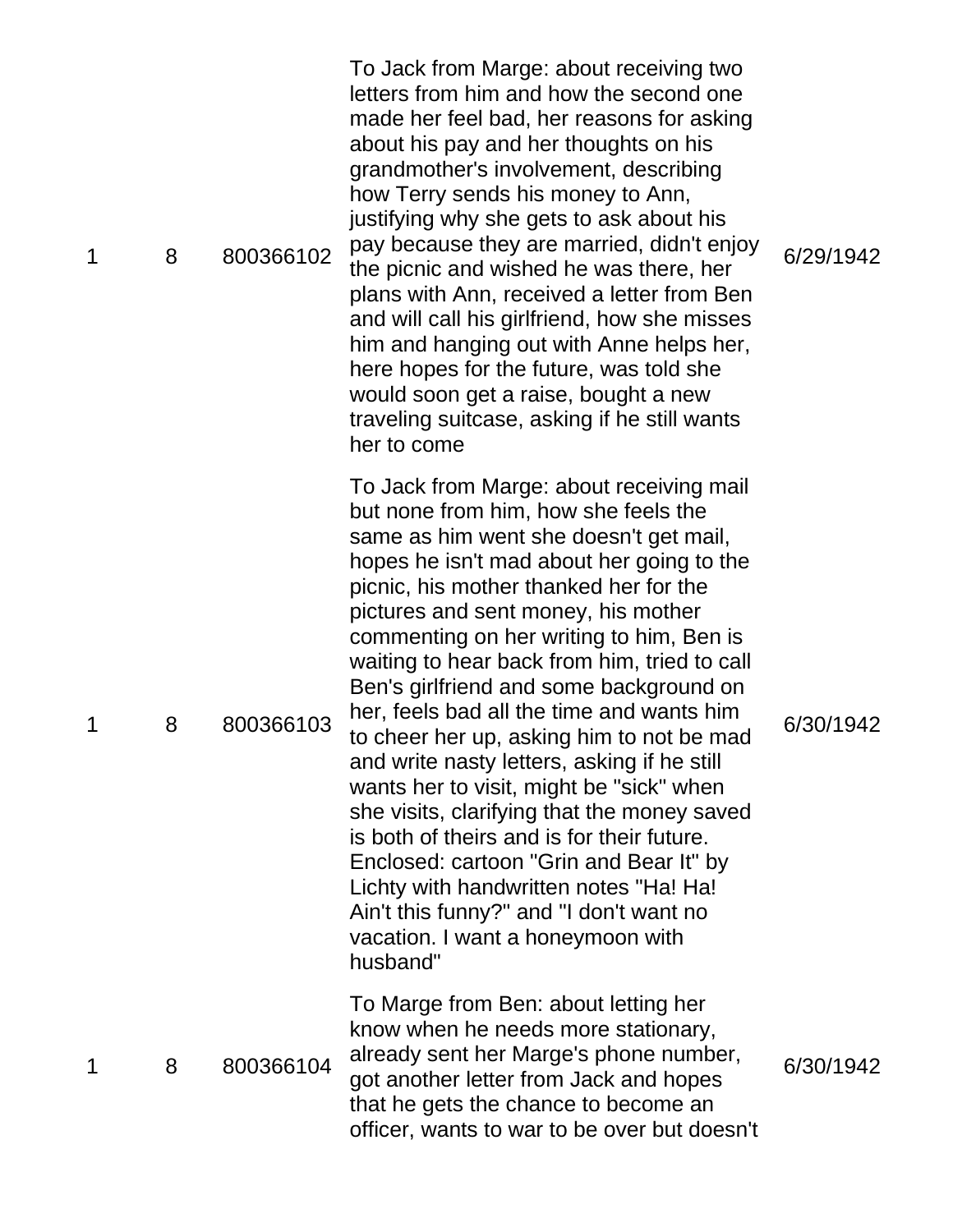| 1 | 8 | 800366102 | To Jack from Marge: about receiving two<br>letters from him and how the second one<br>made her feel bad, her reasons for asking<br>about his pay and her thoughts on his<br>grandmother's involvement, describing<br>how Terry sends his money to Ann,<br>justifying why she gets to ask about his<br>pay because they are married, didn't enjoy<br>the picnic and wished he was there, her<br>plans with Ann, received a letter from Ben<br>and will call his girlfriend, how she misses<br>him and hanging out with Anne helps her,<br>here hopes for the future, was told she<br>would soon get a raise, bought a new<br>traveling suitcase, asking if he still wants<br>her to come                                                                                                                                                                            | 6/29/1942 |
|---|---|-----------|--------------------------------------------------------------------------------------------------------------------------------------------------------------------------------------------------------------------------------------------------------------------------------------------------------------------------------------------------------------------------------------------------------------------------------------------------------------------------------------------------------------------------------------------------------------------------------------------------------------------------------------------------------------------------------------------------------------------------------------------------------------------------------------------------------------------------------------------------------------------|-----------|
| 1 | 8 | 800366103 | To Jack from Marge: about receiving mail<br>but none from him, how she feels the<br>same as him went she doesn't get mail,<br>hopes he isn't mad about her going to the<br>picnic, his mother thanked her for the<br>pictures and sent money, his mother<br>commenting on her writing to him, Ben is<br>waiting to hear back from him, tried to call<br>Ben's girlfriend and some background on<br>her, feels bad all the time and wants him<br>to cheer her up, asking him to not be mad<br>and write nasty letters, asking if he still<br>wants her to visit, might be "sick" when<br>she visits, clarifying that the money saved<br>is both of theirs and is for their future.<br>Enclosed: cartoon "Grin and Bear It" by<br>Lichty with handwritten notes "Ha! Ha!<br>Ain't this funny?" and "I don't want no<br>vacation. I want a honeymoon with<br>husband" | 6/30/1942 |
| 1 | 8 | 800366104 | To Marge from Ben: about letting her<br>know when he needs more stationary,<br>already sent her Marge's phone number,<br>got another letter from Jack and hopes<br>that he gets the chance to become an<br>officer, wants to war to be over but doesn't                                                                                                                                                                                                                                                                                                                                                                                                                                                                                                                                                                                                            | 6/30/1942 |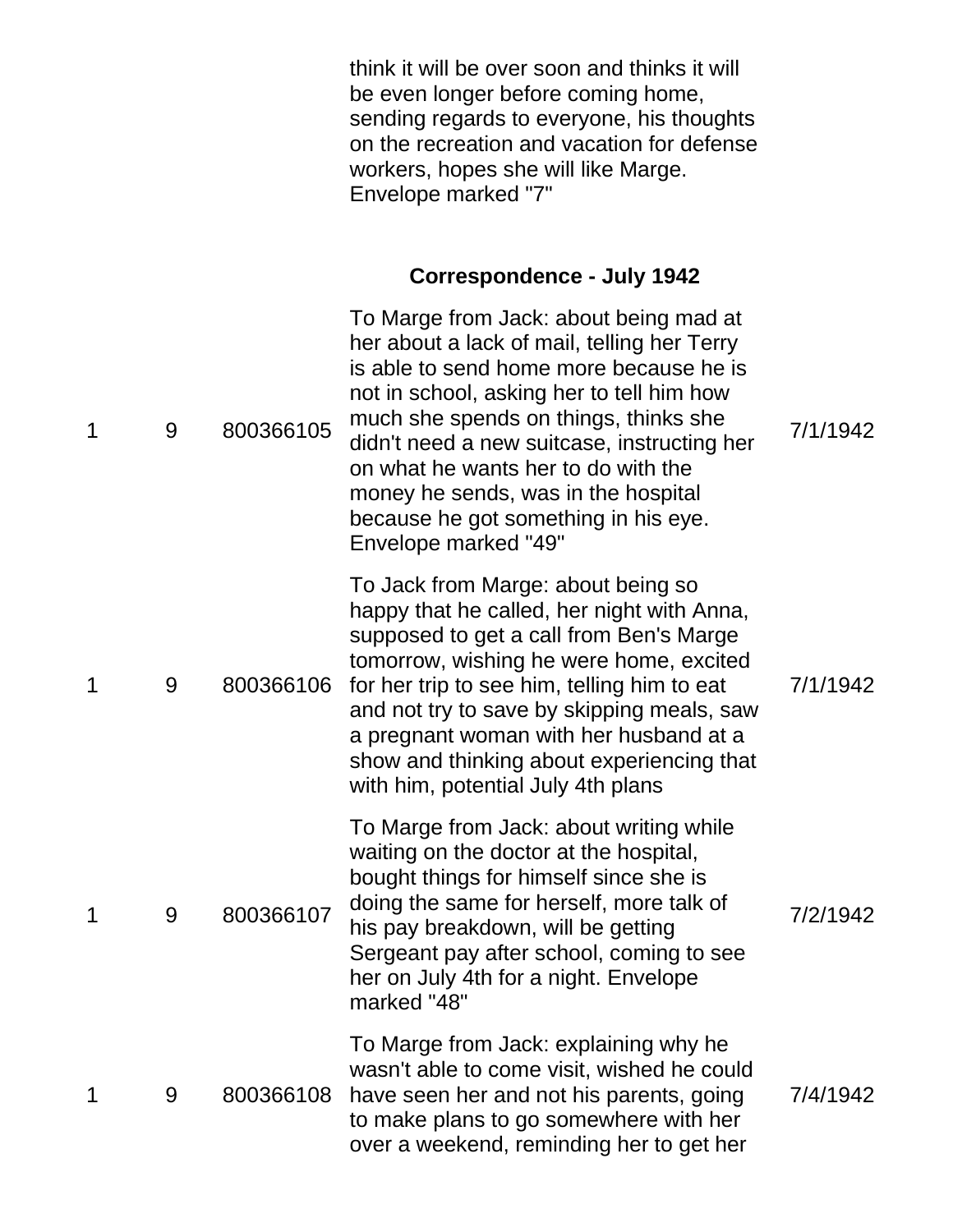think it will be over soon and thinks it will be even longer before coming home, sending regards to everyone, his thoughts on the recreation and vacation for defense workers, hopes she will like Marge. Envelope marked "7"

#### **Correspondence - July 1942**

| 1 | 9 | 800366105 | To Marge from Jack: about being mad at<br>her about a lack of mail, telling her Terry<br>is able to send home more because he is<br>not in school, asking her to tell him how<br>much she spends on things, thinks she<br>didn't need a new suitcase, instructing her<br>on what he wants her to do with the<br>money he sends, was in the hospital<br>because he got something in his eye.<br>Envelope marked "49" | 7/1/1942 |
|---|---|-----------|---------------------------------------------------------------------------------------------------------------------------------------------------------------------------------------------------------------------------------------------------------------------------------------------------------------------------------------------------------------------------------------------------------------------|----------|
| 1 | 9 | 800366106 | To Jack from Marge: about being so<br>happy that he called, her night with Anna,<br>supposed to get a call from Ben's Marge<br>tomorrow, wishing he were home, excited<br>for her trip to see him, telling him to eat<br>and not try to save by skipping meals, saw<br>a pregnant woman with her husband at a<br>show and thinking about experiencing that<br>with him, potential July 4th plans                    | 7/1/1942 |
| 1 | 9 | 800366107 | To Marge from Jack: about writing while<br>waiting on the doctor at the hospital,<br>bought things for himself since she is<br>doing the same for herself, more talk of<br>his pay breakdown, will be getting<br>Sergeant pay after school, coming to see<br>her on July 4th for a night. Envelope<br>marked "48"                                                                                                   | 7/2/1942 |
| 1 | 9 | 800366108 | To Marge from Jack: explaining why he<br>wasn't able to come visit, wished he could<br>have seen her and not his parents, going<br>to make plans to go somewhere with her<br>over a weekend, reminding her to get her                                                                                                                                                                                               | 7/4/1942 |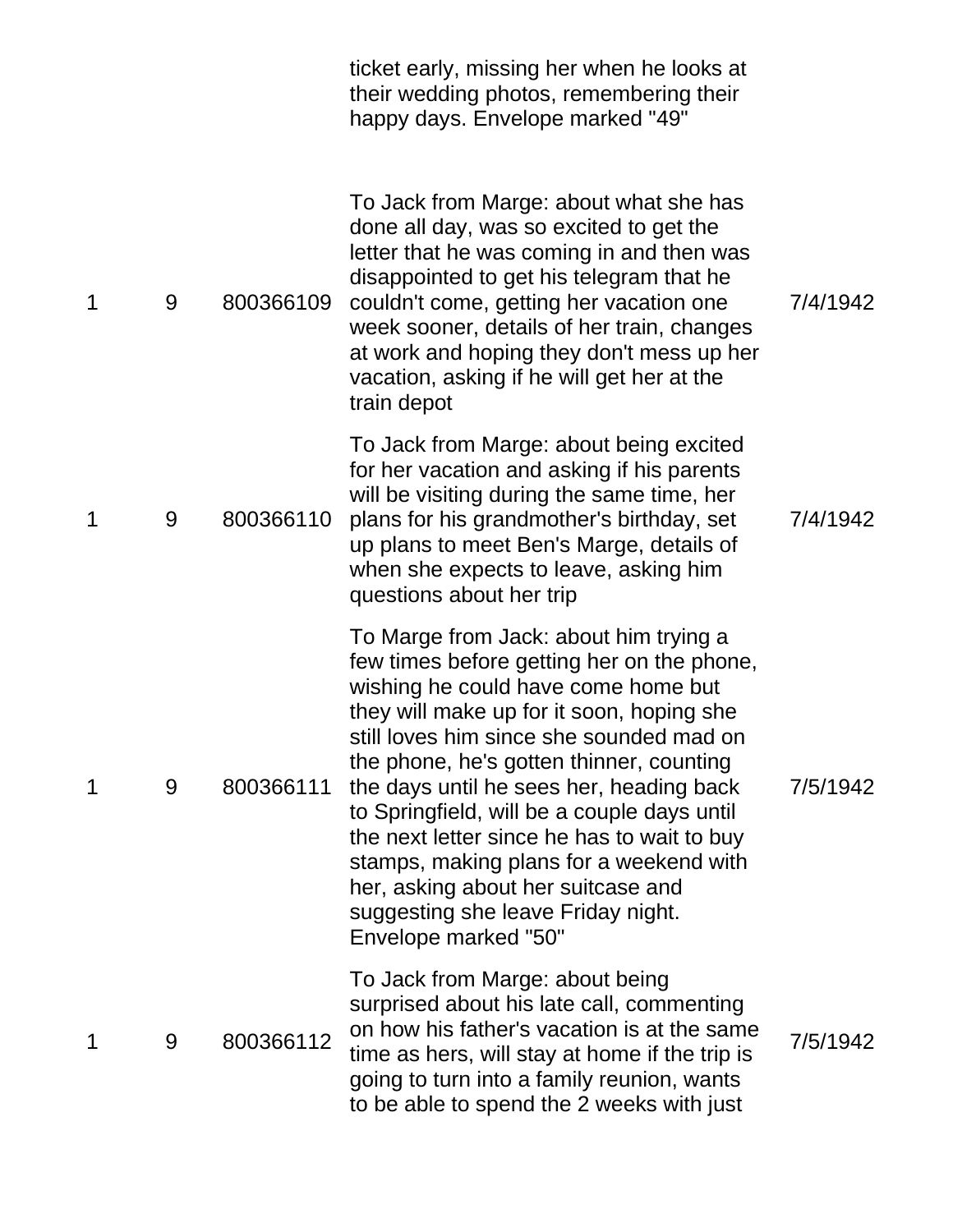|   |   |           | ticket early, missing her when he looks at<br>their wedding photos, remembering their<br>happy days. Envelope marked "49"                                                                                                                                                                                                                                                                                                                                                                                                                                 |          |
|---|---|-----------|-----------------------------------------------------------------------------------------------------------------------------------------------------------------------------------------------------------------------------------------------------------------------------------------------------------------------------------------------------------------------------------------------------------------------------------------------------------------------------------------------------------------------------------------------------------|----------|
| 1 | 9 | 800366109 | To Jack from Marge: about what she has<br>done all day, was so excited to get the<br>letter that he was coming in and then was<br>disappointed to get his telegram that he<br>couldn't come, getting her vacation one<br>week sooner, details of her train, changes<br>at work and hoping they don't mess up her<br>vacation, asking if he will get her at the<br>train depot                                                                                                                                                                             | 7/4/1942 |
| 1 | 9 | 800366110 | To Jack from Marge: about being excited<br>for her vacation and asking if his parents<br>will be visiting during the same time, her<br>plans for his grandmother's birthday, set<br>up plans to meet Ben's Marge, details of<br>when she expects to leave, asking him<br>questions about her trip                                                                                                                                                                                                                                                         | 7/4/1942 |
| 1 | 9 | 800366111 | To Marge from Jack: about him trying a<br>few times before getting her on the phone,<br>wishing he could have come home but<br>they will make up for it soon, hoping she<br>still loves him since she sounded mad on<br>the phone, he's gotten thinner, counting<br>the days until he sees her, heading back<br>to Springfield, will be a couple days until<br>the next letter since he has to wait to buy<br>stamps, making plans for a weekend with<br>her, asking about her suitcase and<br>suggesting she leave Friday night.<br>Envelope marked "50" | 7/5/1942 |
| 1 | 9 | 800366112 | To Jack from Marge: about being<br>surprised about his late call, commenting<br>on how his father's vacation is at the same<br>time as hers, will stay at home if the trip is<br>going to turn into a family reunion, wants<br>to be able to spend the 2 weeks with just                                                                                                                                                                                                                                                                                  | 7/5/1942 |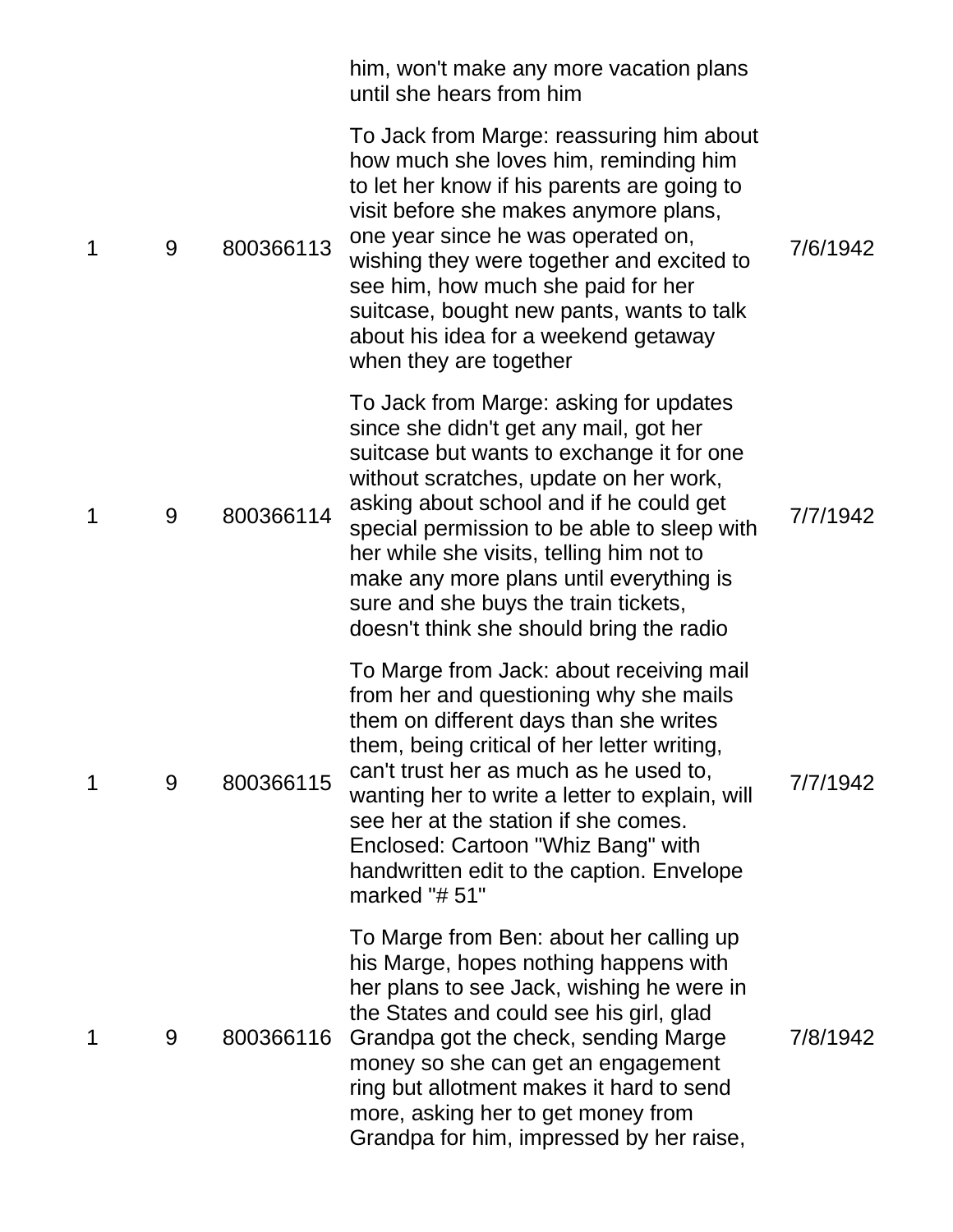|   |   |           | him, won't make any more vacation plans<br>until she hears from him                                                                                                                                                                                                                                                                                                                                                                          |          |
|---|---|-----------|----------------------------------------------------------------------------------------------------------------------------------------------------------------------------------------------------------------------------------------------------------------------------------------------------------------------------------------------------------------------------------------------------------------------------------------------|----------|
| 1 | 9 | 800366113 | To Jack from Marge: reassuring him about<br>how much she loves him, reminding him<br>to let her know if his parents are going to<br>visit before she makes anymore plans,<br>one year since he was operated on,<br>wishing they were together and excited to<br>see him, how much she paid for her<br>suitcase, bought new pants, wants to talk<br>about his idea for a weekend getaway<br>when they are together                            | 7/6/1942 |
| 1 | 9 | 800366114 | To Jack from Marge: asking for updates<br>since she didn't get any mail, got her<br>suitcase but wants to exchange it for one<br>without scratches, update on her work,<br>asking about school and if he could get<br>special permission to be able to sleep with<br>her while she visits, telling him not to<br>make any more plans until everything is<br>sure and she buys the train tickets,<br>doesn't think she should bring the radio | 7/7/1942 |
| 1 | 9 | 800366115 | To Marge from Jack: about receiving mail<br>from her and questioning why she mails<br>them on different days than she writes<br>them, being critical of her letter writing,<br>can't trust her as much as he used to,<br>wanting her to write a letter to explain, will<br>see her at the station if she comes.<br>Enclosed: Cartoon "Whiz Bang" with<br>handwritten edit to the caption. Envelope<br>marked "#51"                           | 7/7/1942 |
| 1 | 9 | 800366116 | To Marge from Ben: about her calling up<br>his Marge, hopes nothing happens with<br>her plans to see Jack, wishing he were in<br>the States and could see his girl, glad<br>Grandpa got the check, sending Marge<br>money so she can get an engagement<br>ring but allotment makes it hard to send<br>more, asking her to get money from<br>Grandpa for him, impressed by her raise,                                                         | 7/8/1942 |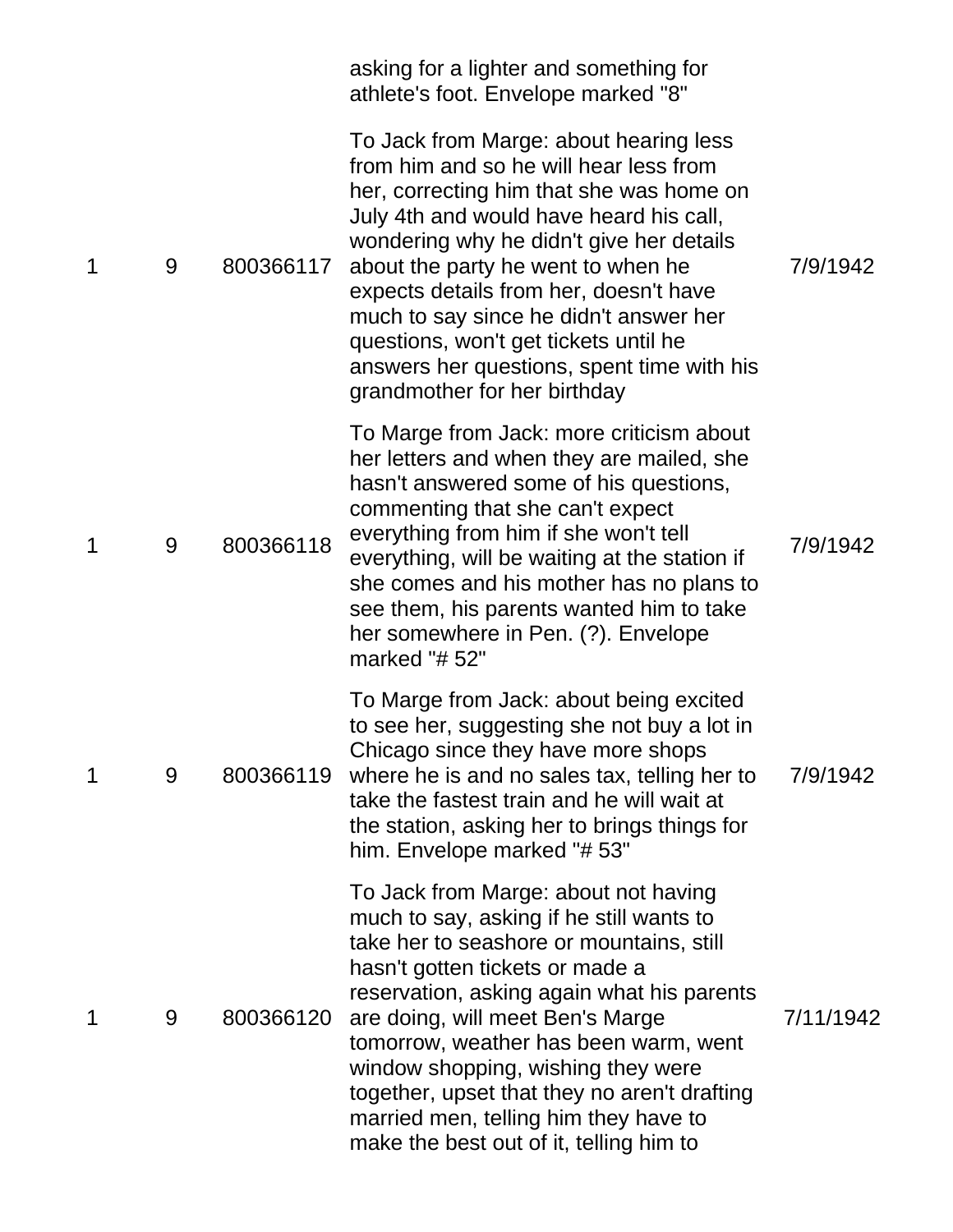|   |   |           | asking for a lighter and something for<br>athlete's foot. Envelope marked "8"                                                                                                                                                                                                                                                                                                                                                                                        |           |
|---|---|-----------|----------------------------------------------------------------------------------------------------------------------------------------------------------------------------------------------------------------------------------------------------------------------------------------------------------------------------------------------------------------------------------------------------------------------------------------------------------------------|-----------|
| 1 | 9 | 800366117 | To Jack from Marge: about hearing less<br>from him and so he will hear less from<br>her, correcting him that she was home on<br>July 4th and would have heard his call,<br>wondering why he didn't give her details<br>about the party he went to when he<br>expects details from her, doesn't have<br>much to say since he didn't answer her<br>questions, won't get tickets until he<br>answers her questions, spent time with his<br>grandmother for her birthday | 7/9/1942  |
| 1 | 9 | 800366118 | To Marge from Jack: more criticism about<br>her letters and when they are mailed, she<br>hasn't answered some of his questions,<br>commenting that she can't expect<br>everything from him if she won't tell<br>everything, will be waiting at the station if<br>she comes and his mother has no plans to<br>see them, his parents wanted him to take<br>her somewhere in Pen. (?). Envelope<br>marked "# 52"                                                        | 7/9/1942  |
| 1 | 9 | 800366119 | To Marge from Jack: about being excited<br>to see her, suggesting she not buy a lot in<br>Chicago since they have more shops<br>where he is and no sales tax, telling her to<br>take the fastest train and he will wait at<br>the station, asking her to brings things for<br>him. Envelope marked "# 53"                                                                                                                                                            | 7/9/1942  |
| 1 | 9 | 800366120 | To Jack from Marge: about not having<br>much to say, asking if he still wants to<br>take her to seashore or mountains, still<br>hasn't gotten tickets or made a<br>reservation, asking again what his parents<br>are doing, will meet Ben's Marge<br>tomorrow, weather has been warm, went<br>window shopping, wishing they were<br>together, upset that they no aren't drafting<br>married men, telling him they have to<br>make the best out of it, telling him to | 7/11/1942 |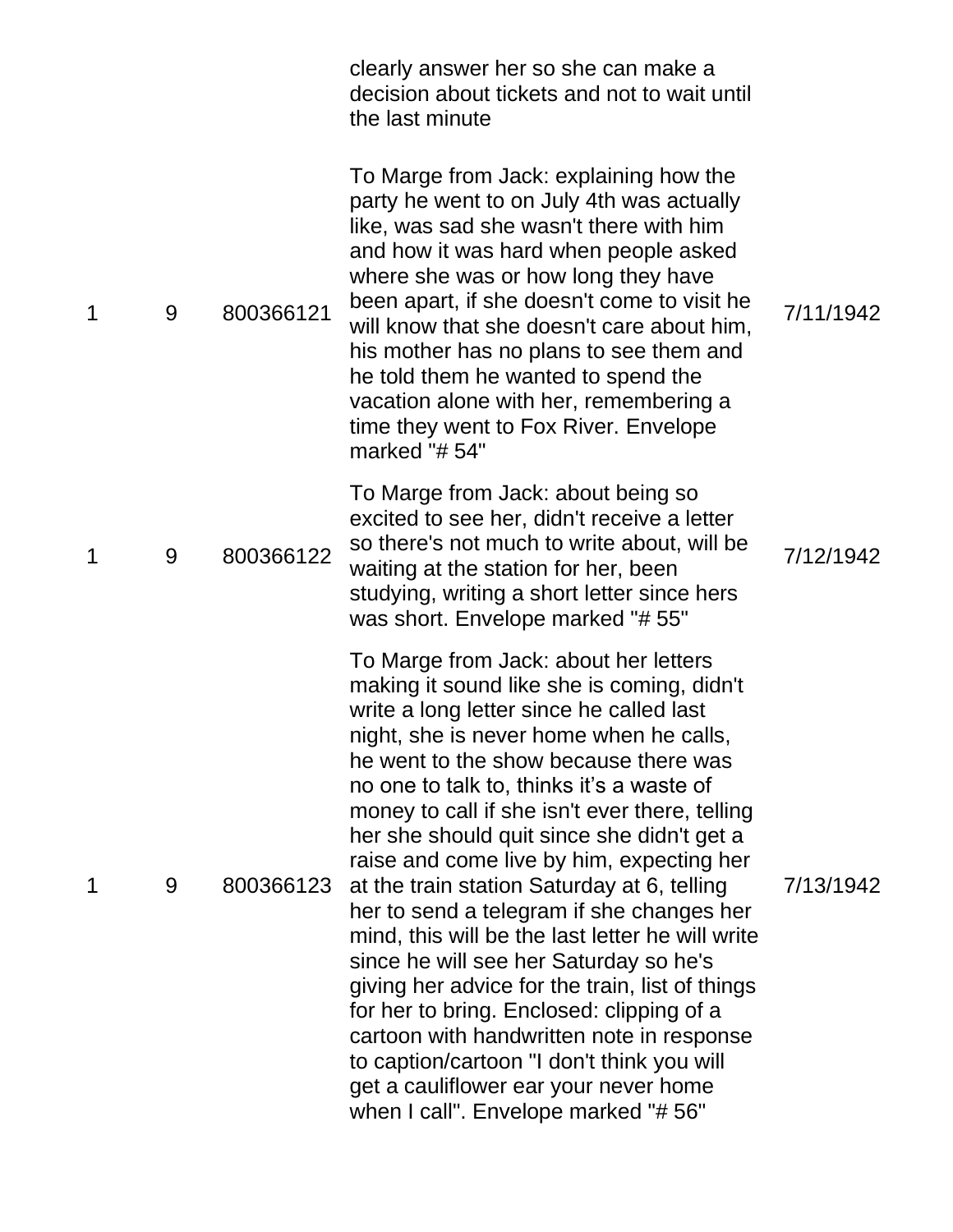|   |   |           | clearly answer her so she can make a<br>decision about tickets and not to wait until<br>the last minute                                                                                                                                                                                                                                                                                                                                                                                                                                                                                                                                                                                                                                                                                                                                                                             |           |
|---|---|-----------|-------------------------------------------------------------------------------------------------------------------------------------------------------------------------------------------------------------------------------------------------------------------------------------------------------------------------------------------------------------------------------------------------------------------------------------------------------------------------------------------------------------------------------------------------------------------------------------------------------------------------------------------------------------------------------------------------------------------------------------------------------------------------------------------------------------------------------------------------------------------------------------|-----------|
| 1 | 9 | 800366121 | To Marge from Jack: explaining how the<br>party he went to on July 4th was actually<br>like, was sad she wasn't there with him<br>and how it was hard when people asked<br>where she was or how long they have<br>been apart, if she doesn't come to visit he<br>will know that she doesn't care about him,<br>his mother has no plans to see them and<br>he told them he wanted to spend the<br>vacation alone with her, remembering a<br>time they went to Fox River. Envelope<br>marked " $# 54"$                                                                                                                                                                                                                                                                                                                                                                                | 7/11/1942 |
| 1 | 9 | 800366122 | To Marge from Jack: about being so<br>excited to see her, didn't receive a letter<br>so there's not much to write about, will be<br>waiting at the station for her, been<br>studying, writing a short letter since hers<br>was short. Envelope marked "#55"                                                                                                                                                                                                                                                                                                                                                                                                                                                                                                                                                                                                                         | 7/12/1942 |
| 1 | 9 | 800366123 | To Marge from Jack: about her letters<br>making it sound like she is coming, didn't<br>write a long letter since he called last<br>night, she is never home when he calls,<br>he went to the show because there was<br>no one to talk to, thinks it's a waste of<br>money to call if she isn't ever there, telling<br>her she should quit since she didn't get a<br>raise and come live by him, expecting her<br>at the train station Saturday at 6, telling<br>her to send a telegram if she changes her<br>mind, this will be the last letter he will write<br>since he will see her Saturday so he's<br>giving her advice for the train, list of things<br>for her to bring. Enclosed: clipping of a<br>cartoon with handwritten note in response<br>to caption/cartoon "I don't think you will<br>get a cauliflower ear your never home<br>when I call". Envelope marked "# 56" | 7/13/1942 |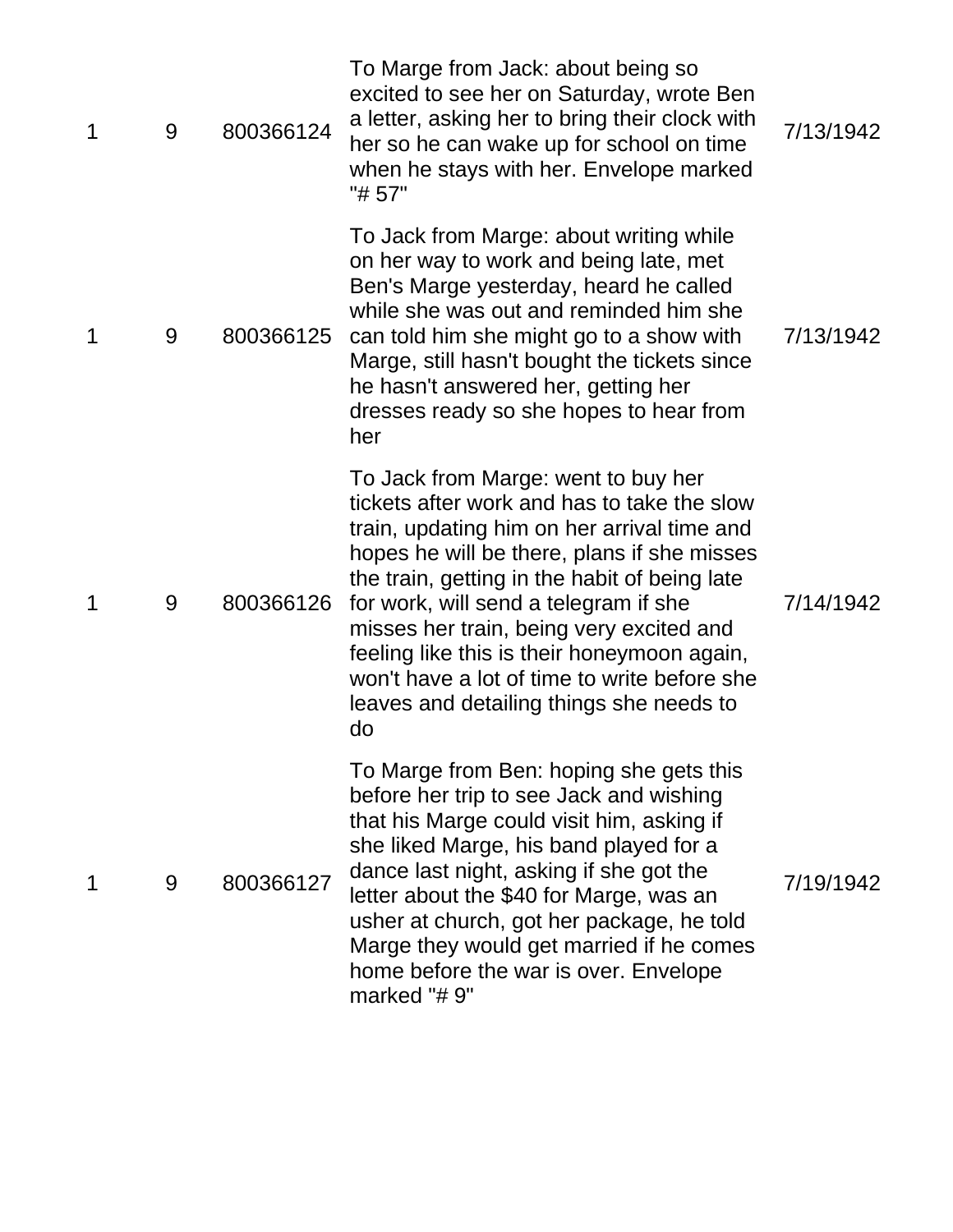| $\mathbf 1$ | 9 | 800366124 | To Marge from Jack: about being so<br>excited to see her on Saturday, wrote Ben<br>a letter, asking her to bring their clock with<br>her so he can wake up for school on time<br>when he stays with her. Envelope marked<br>"# 57"                                                                                                                                                                                                                                      | 7/13/1942 |
|-------------|---|-----------|-------------------------------------------------------------------------------------------------------------------------------------------------------------------------------------------------------------------------------------------------------------------------------------------------------------------------------------------------------------------------------------------------------------------------------------------------------------------------|-----------|
| 1           | 9 | 800366125 | To Jack from Marge: about writing while<br>on her way to work and being late, met<br>Ben's Marge yesterday, heard he called<br>while she was out and reminded him she<br>can told him she might go to a show with<br>Marge, still hasn't bought the tickets since<br>he hasn't answered her, getting her<br>dresses ready so she hopes to hear from<br>her                                                                                                              | 7/13/1942 |
| 1           | 9 | 800366126 | To Jack from Marge: went to buy her<br>tickets after work and has to take the slow<br>train, updating him on her arrival time and<br>hopes he will be there, plans if she misses<br>the train, getting in the habit of being late<br>for work, will send a telegram if she<br>misses her train, being very excited and<br>feeling like this is their honeymoon again,<br>won't have a lot of time to write before she<br>leaves and detailing things she needs to<br>do | 7/14/1942 |
| 1           | 9 | 800366127 | To Marge from Ben: hoping she gets this<br>before her trip to see Jack and wishing<br>that his Marge could visit him, asking if<br>she liked Marge, his band played for a<br>dance last night, asking if she got the<br>letter about the \$40 for Marge, was an<br>usher at church, got her package, he told<br>Marge they would get married if he comes<br>home before the war is over. Envelope<br>marked "#9"                                                        | 7/19/1942 |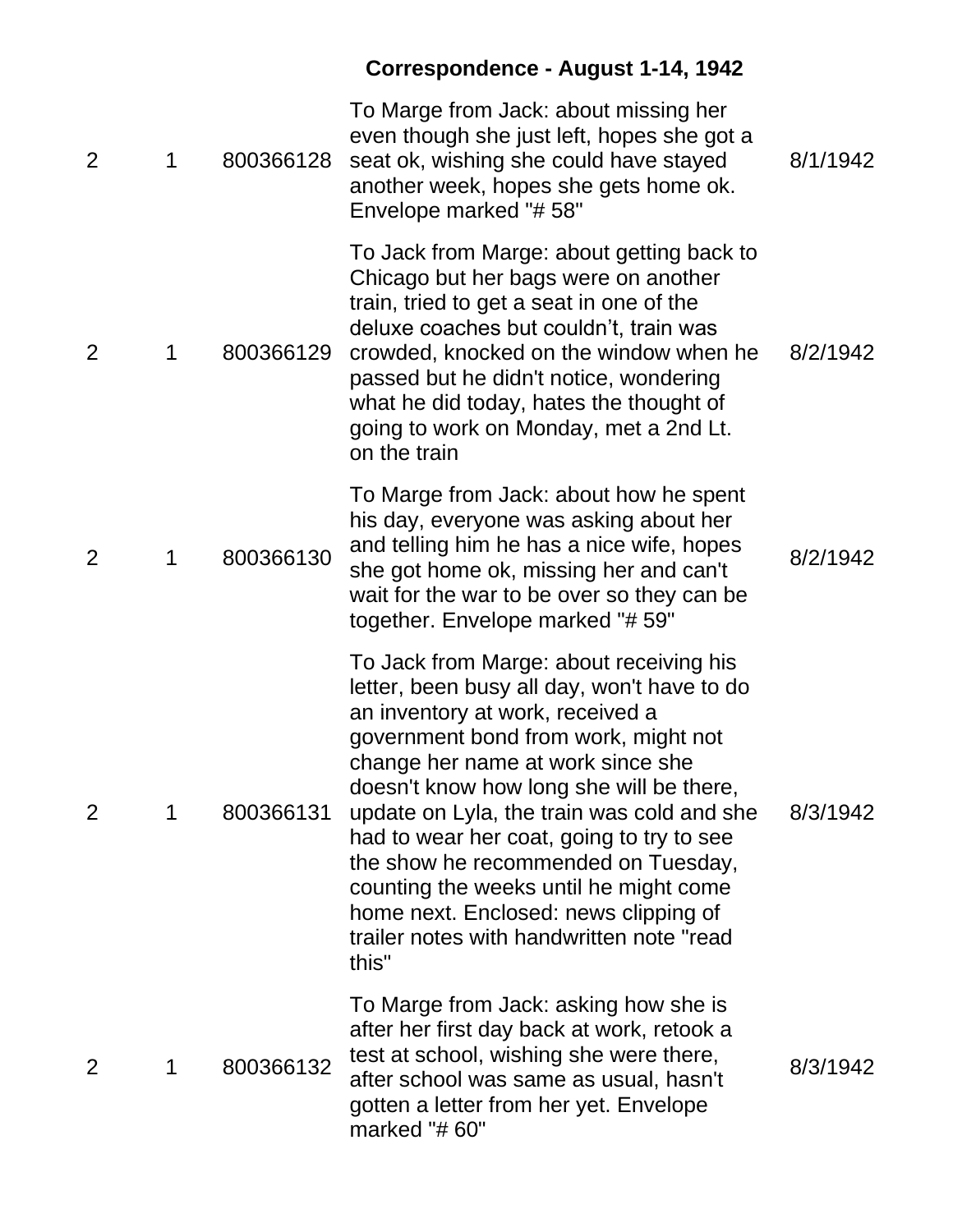# **Correspondence - August 1-14, 1942**

| $\overline{2}$ | 1 | 800366128 | To Marge from Jack: about missing her<br>even though she just left, hopes she got a<br>seat ok, wishing she could have stayed<br>another week, hopes she gets home ok.<br>Envelope marked "#58"                                                                                                                                                                                                                                                                                                                                | 8/1/1942 |
|----------------|---|-----------|--------------------------------------------------------------------------------------------------------------------------------------------------------------------------------------------------------------------------------------------------------------------------------------------------------------------------------------------------------------------------------------------------------------------------------------------------------------------------------------------------------------------------------|----------|
| 2              | 1 | 800366129 | To Jack from Marge: about getting back to<br>Chicago but her bags were on another<br>train, tried to get a seat in one of the<br>deluxe coaches but couldn't, train was<br>crowded, knocked on the window when he<br>passed but he didn't notice, wondering<br>what he did today, hates the thought of<br>going to work on Monday, met a 2nd Lt.<br>on the train                                                                                                                                                               | 8/2/1942 |
| $\overline{2}$ | 1 | 800366130 | To Marge from Jack: about how he spent<br>his day, everyone was asking about her<br>and telling him he has a nice wife, hopes<br>she got home ok, missing her and can't<br>wait for the war to be over so they can be<br>together. Envelope marked "# 59"                                                                                                                                                                                                                                                                      | 8/2/1942 |
| $\overline{2}$ | 1 | 800366131 | To Jack from Marge: about receiving his<br>letter, been busy all day, won't have to do<br>an inventory at work, received a<br>government bond from work, might not<br>change her name at work since she<br>doesn't know how long she will be there,<br>update on Lyla, the train was cold and she<br>had to wear her coat, going to try to see<br>the show he recommended on Tuesday,<br>counting the weeks until he might come<br>home next. Enclosed: news clipping of<br>trailer notes with handwritten note "read<br>this" | 8/3/1942 |
| $\overline{2}$ | 1 | 800366132 | To Marge from Jack: asking how she is<br>after her first day back at work, retook a<br>test at school, wishing she were there,<br>after school was same as usual, hasn't<br>gotten a letter from her yet. Envelope<br>marked "#60"                                                                                                                                                                                                                                                                                             | 8/3/1942 |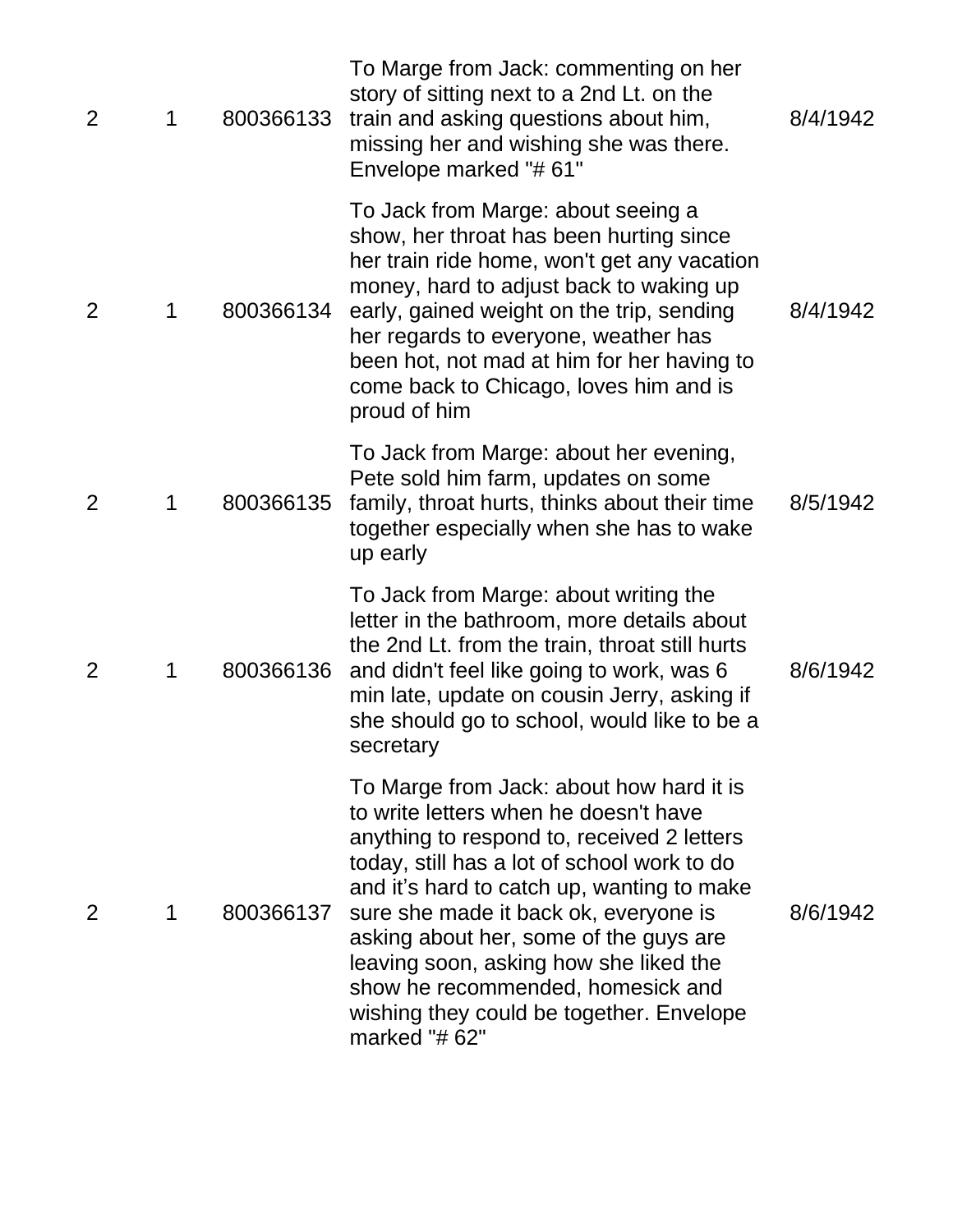| $\overline{2}$ | 1 | 800366133 | To Marge from Jack: commenting on her<br>story of sitting next to a 2nd Lt. on the<br>train and asking questions about him,<br>missing her and wishing she was there.<br>Envelope marked "#61"                                                                                                                                                                                                                                                             | 8/4/1942 |
|----------------|---|-----------|------------------------------------------------------------------------------------------------------------------------------------------------------------------------------------------------------------------------------------------------------------------------------------------------------------------------------------------------------------------------------------------------------------------------------------------------------------|----------|
| 2              | 1 | 800366134 | To Jack from Marge: about seeing a<br>show, her throat has been hurting since<br>her train ride home, won't get any vacation<br>money, hard to adjust back to waking up<br>early, gained weight on the trip, sending<br>her regards to everyone, weather has<br>been hot, not mad at him for her having to<br>come back to Chicago, loves him and is<br>proud of him                                                                                       | 8/4/1942 |
| 2              | 1 | 800366135 | To Jack from Marge: about her evening,<br>Pete sold him farm, updates on some<br>family, throat hurts, thinks about their time<br>together especially when she has to wake<br>up early                                                                                                                                                                                                                                                                     | 8/5/1942 |
| $\overline{2}$ | 1 | 800366136 | To Jack from Marge: about writing the<br>letter in the bathroom, more details about<br>the 2nd Lt. from the train, throat still hurts<br>and didn't feel like going to work, was 6<br>min late, update on cousin Jerry, asking if<br>she should go to school, would like to be a<br>secretary                                                                                                                                                              | 8/6/1942 |
| 2              | 1 | 800366137 | To Marge from Jack: about how hard it is<br>to write letters when he doesn't have<br>anything to respond to, received 2 letters<br>today, still has a lot of school work to do<br>and it's hard to catch up, wanting to make<br>sure she made it back ok, everyone is<br>asking about her, some of the guys are<br>leaving soon, asking how she liked the<br>show he recommended, homesick and<br>wishing they could be together. Envelope<br>marked "#62" | 8/6/1942 |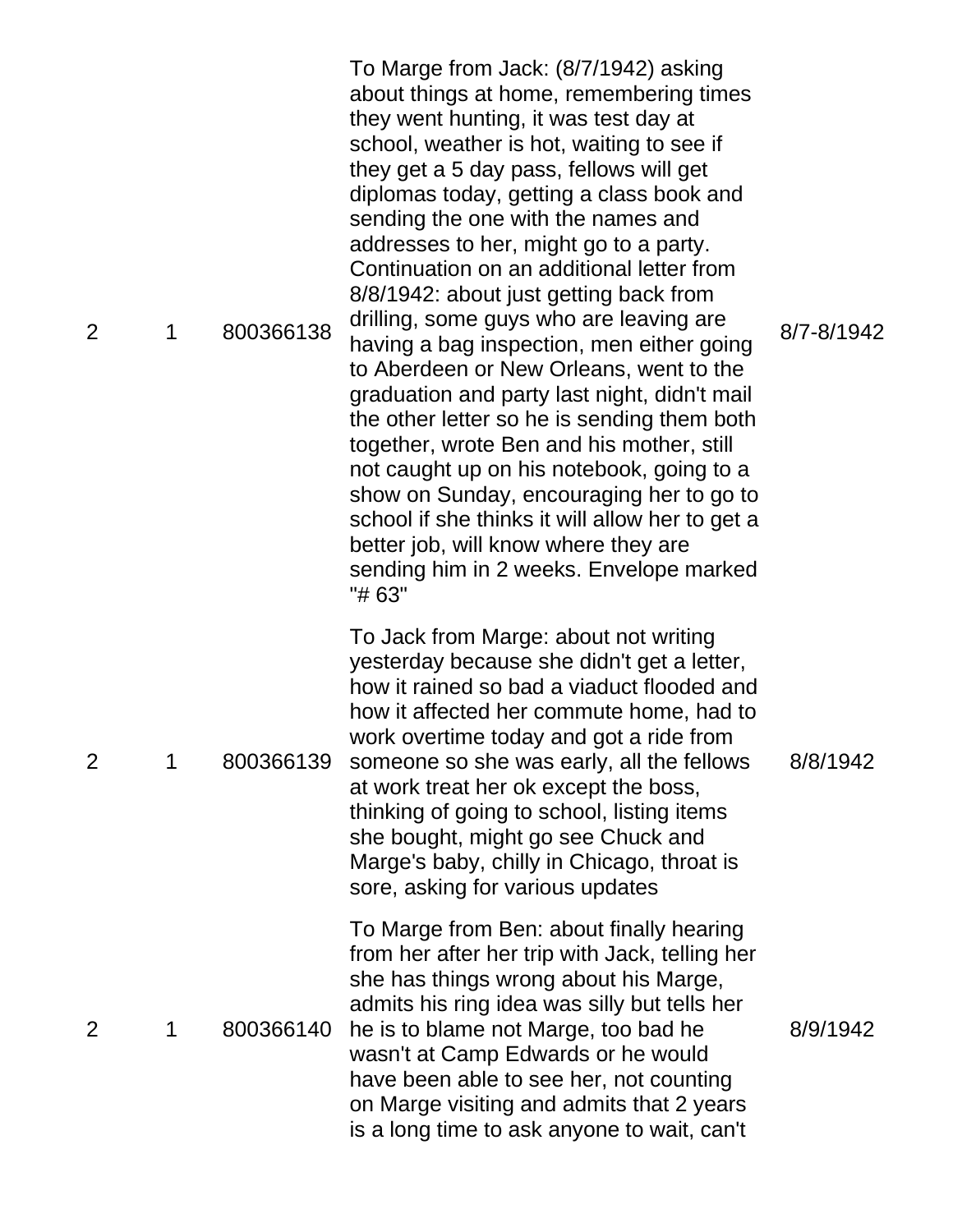| $\overline{2}$ | 1 | 800366138 | To Marge from Jack: (8/7/1942) asking<br>about things at home, remembering times<br>they went hunting, it was test day at<br>school, weather is hot, waiting to see if<br>they get a 5 day pass, fellows will get<br>diplomas today, getting a class book and<br>sending the one with the names and<br>addresses to her, might go to a party.<br>Continuation on an additional letter from<br>8/8/1942: about just getting back from<br>drilling, some guys who are leaving are<br>having a bag inspection, men either going<br>to Aberdeen or New Orleans, went to the<br>graduation and party last night, didn't mail<br>the other letter so he is sending them both<br>together, wrote Ben and his mother, still<br>not caught up on his notebook, going to a<br>show on Sunday, encouraging her to go to<br>school if she thinks it will allow her to get a<br>better job, will know where they are<br>sending him in 2 weeks. Envelope marked<br>"# 63" | 8/7-8/1942 |
|----------------|---|-----------|--------------------------------------------------------------------------------------------------------------------------------------------------------------------------------------------------------------------------------------------------------------------------------------------------------------------------------------------------------------------------------------------------------------------------------------------------------------------------------------------------------------------------------------------------------------------------------------------------------------------------------------------------------------------------------------------------------------------------------------------------------------------------------------------------------------------------------------------------------------------------------------------------------------------------------------------------------------|------------|
| $\overline{2}$ |   | 800366139 | To Jack from Marge: about not writing<br>yesterday because she didn't get a letter,<br>how it rained so bad a viaduct flooded and<br>how it affected her commute home, had to<br>work overtime today and got a ride from<br>someone so she was early, all the fellows<br>at work treat her ok except the boss,<br>thinking of going to school, listing items<br>she bought, might go see Chuck and<br>Marge's baby, chilly in Chicago, throat is<br>sore, asking for various updates                                                                                                                                                                                                                                                                                                                                                                                                                                                                         | 8/8/1942   |
| 2              | 1 | 800366140 | To Marge from Ben: about finally hearing<br>from her after her trip with Jack, telling her<br>she has things wrong about his Marge,<br>admits his ring idea was silly but tells her<br>he is to blame not Marge, too bad he<br>wasn't at Camp Edwards or he would<br>have been able to see her, not counting<br>on Marge visiting and admits that 2 years<br>is a long time to ask anyone to wait, can't                                                                                                                                                                                                                                                                                                                                                                                                                                                                                                                                                     | 8/9/1942   |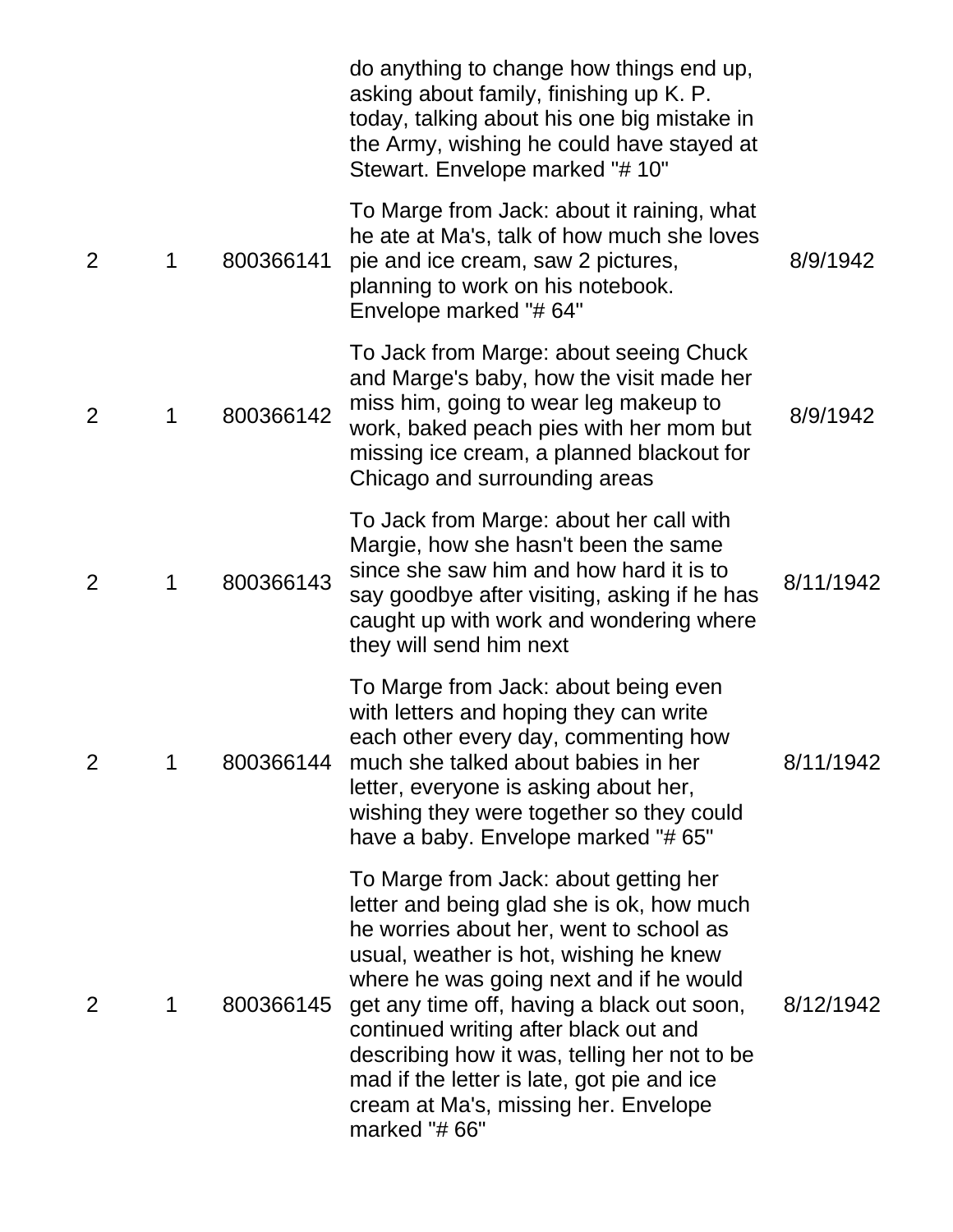|                |   |           | do anything to change how things end up,<br>asking about family, finishing up K. P.<br>today, talking about his one big mistake in<br>the Army, wishing he could have stayed at<br>Stewart. Envelope marked "# 10"                                                                                                                                                                                                                                               |           |
|----------------|---|-----------|------------------------------------------------------------------------------------------------------------------------------------------------------------------------------------------------------------------------------------------------------------------------------------------------------------------------------------------------------------------------------------------------------------------------------------------------------------------|-----------|
| 2              | 1 | 800366141 | To Marge from Jack: about it raining, what<br>he ate at Ma's, talk of how much she loves<br>pie and ice cream, saw 2 pictures,<br>planning to work on his notebook.<br>Envelope marked "#64"                                                                                                                                                                                                                                                                     | 8/9/1942  |
| $\overline{2}$ | 1 | 800366142 | To Jack from Marge: about seeing Chuck<br>and Marge's baby, how the visit made her<br>miss him, going to wear leg makeup to<br>work, baked peach pies with her mom but<br>missing ice cream, a planned blackout for<br>Chicago and surrounding areas                                                                                                                                                                                                             | 8/9/1942  |
| 2              | 1 | 800366143 | To Jack from Marge: about her call with<br>Margie, how she hasn't been the same<br>since she saw him and how hard it is to<br>say goodbye after visiting, asking if he has<br>caught up with work and wondering where<br>they will send him next                                                                                                                                                                                                                 | 8/11/1942 |
| $\overline{2}$ | 1 | 800366144 | To Marge from Jack: about being even<br>with letters and hoping they can write<br>each other every day, commenting how<br>much she talked about babies in her<br>letter, everyone is asking about her,<br>wishing they were together so they could<br>have a baby. Envelope marked "#65"                                                                                                                                                                         | 8/11/1942 |
| 2              | 1 | 800366145 | To Marge from Jack: about getting her<br>letter and being glad she is ok, how much<br>he worries about her, went to school as<br>usual, weather is hot, wishing he knew<br>where he was going next and if he would<br>get any time off, having a black out soon,<br>continued writing after black out and<br>describing how it was, telling her not to be<br>mad if the letter is late, got pie and ice<br>cream at Ma's, missing her. Envelope<br>marked "# 66" | 8/12/1942 |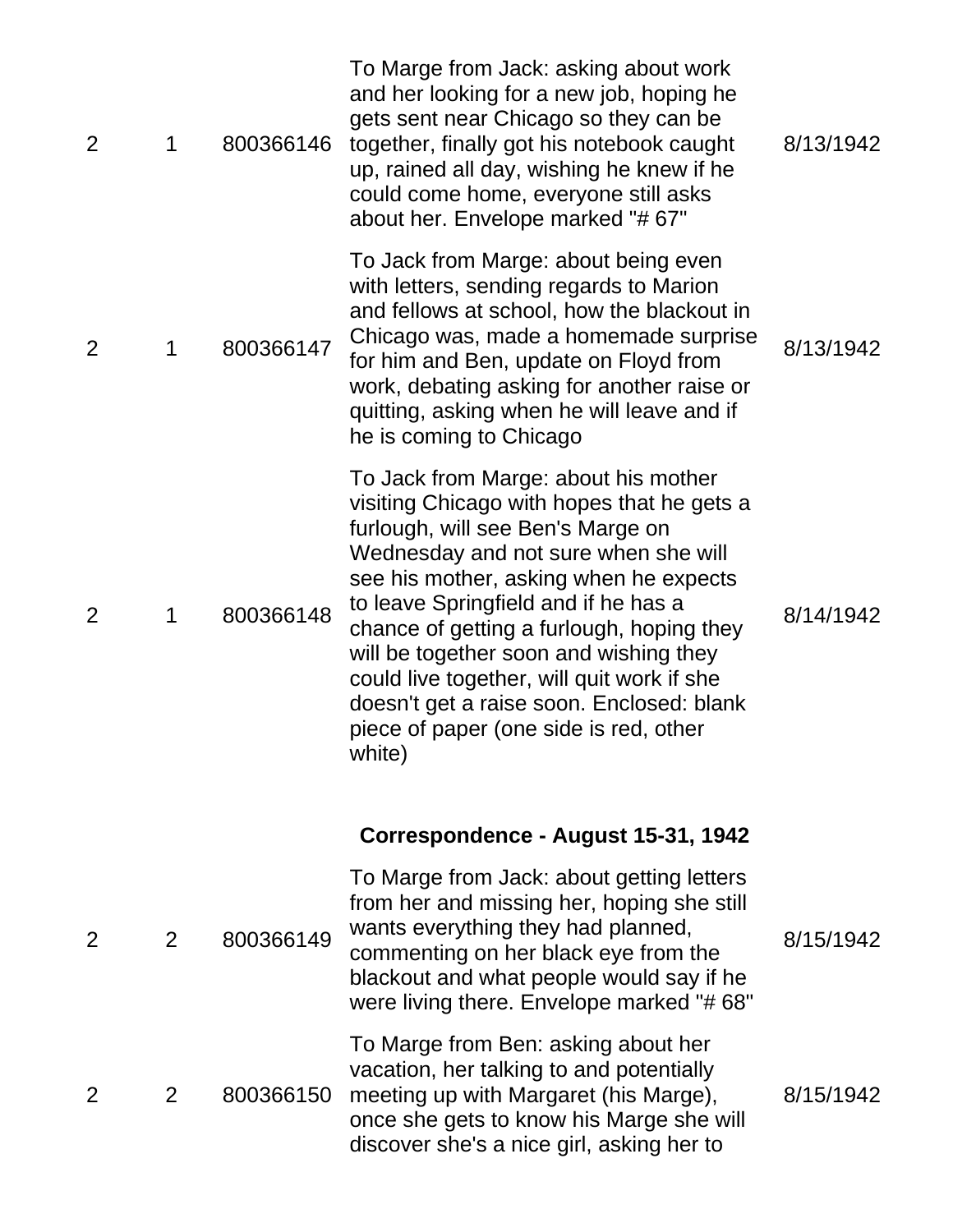| $\overline{2}$ | 1 | 800366146 | To Marge from Jack: asking about work<br>and her looking for a new job, hoping he<br>gets sent near Chicago so they can be<br>together, finally got his notebook caught<br>up, rained all day, wishing he knew if he<br>could come home, everyone still asks<br>about her. Envelope marked "#67"                                                                                                                                                                                        | 8/13/1942 |
|----------------|---|-----------|-----------------------------------------------------------------------------------------------------------------------------------------------------------------------------------------------------------------------------------------------------------------------------------------------------------------------------------------------------------------------------------------------------------------------------------------------------------------------------------------|-----------|
| 2              | 1 | 800366147 | To Jack from Marge: about being even<br>with letters, sending regards to Marion<br>and fellows at school, how the blackout in<br>Chicago was, made a homemade surprise<br>for him and Ben, update on Floyd from<br>work, debating asking for another raise or<br>quitting, asking when he will leave and if<br>he is coming to Chicago                                                                                                                                                  | 8/13/1942 |
| $\overline{2}$ | 1 | 800366148 | To Jack from Marge: about his mother<br>visiting Chicago with hopes that he gets a<br>furlough, will see Ben's Marge on<br>Wednesday and not sure when she will<br>see his mother, asking when he expects<br>to leave Springfield and if he has a<br>chance of getting a furlough, hoping they<br>will be together soon and wishing they<br>could live together, will quit work if she<br>doesn't get a raise soon. Enclosed: blank<br>piece of paper (one side is red, other<br>white) | 8/14/1942 |
|                |   |           | Correspondence - August 15-31, 1942                                                                                                                                                                                                                                                                                                                                                                                                                                                     |           |
| 2              | 2 | 800366149 | To Marge from Jack: about getting letters<br>from her and missing her, hoping she still<br>wants everything they had planned,<br>commenting on her black eye from the<br>blackout and what people would say if he<br>were living there. Envelope marked "#68"                                                                                                                                                                                                                           | 8/15/1942 |
| 2              | 2 | 800366150 | To Marge from Ben: asking about her<br>vacation, her talking to and potentially<br>meeting up with Margaret (his Marge),<br>once she gets to know his Marge she will<br>discover she's a nice girl, asking her to                                                                                                                                                                                                                                                                       | 8/15/1942 |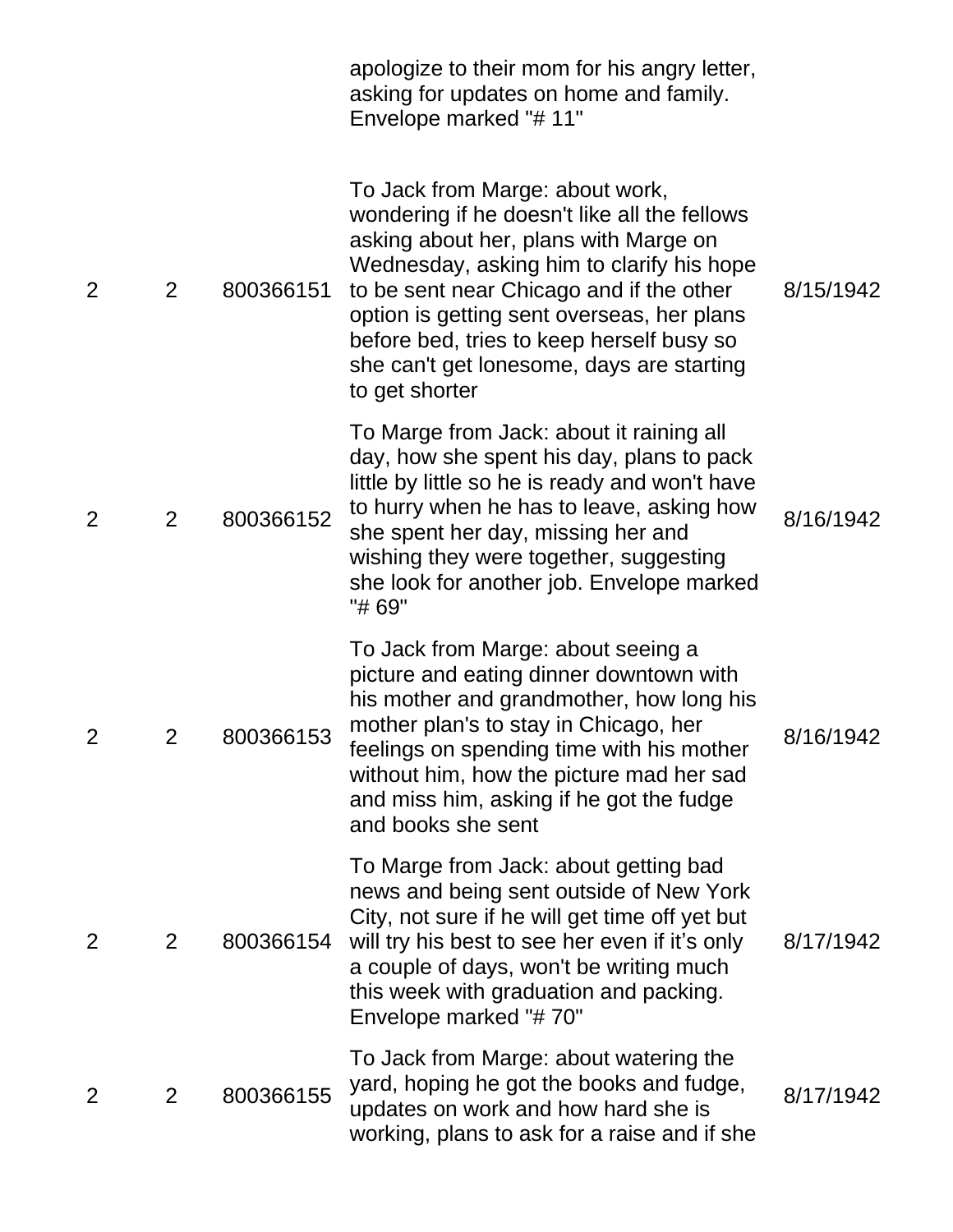|                |                |           | apologize to their mom for his angry letter,<br>asking for updates on home and family.<br>Envelope marked "# 11"                                                                                                                                                                                                                                                            |           |
|----------------|----------------|-----------|-----------------------------------------------------------------------------------------------------------------------------------------------------------------------------------------------------------------------------------------------------------------------------------------------------------------------------------------------------------------------------|-----------|
| 2              | 2              | 800366151 | To Jack from Marge: about work,<br>wondering if he doesn't like all the fellows<br>asking about her, plans with Marge on<br>Wednesday, asking him to clarify his hope<br>to be sent near Chicago and if the other<br>option is getting sent overseas, her plans<br>before bed, tries to keep herself busy so<br>she can't get lonesome, days are starting<br>to get shorter | 8/15/1942 |
| 2              | $\overline{2}$ | 800366152 | To Marge from Jack: about it raining all<br>day, how she spent his day, plans to pack<br>little by little so he is ready and won't have<br>to hurry when he has to leave, asking how<br>she spent her day, missing her and<br>wishing they were together, suggesting<br>she look for another job. Envelope marked<br>"# 69"                                                 | 8/16/1942 |
| $\overline{2}$ | 2              | 800366153 | To Jack from Marge: about seeing a<br>picture and eating dinner downtown with<br>his mother and grandmother, how long his<br>mother plan's to stay in Chicago, her<br>feelings on spending time with his mother<br>without him, how the picture mad her sad<br>and miss him, asking if he got the fudge<br>and books she sent                                               | 8/16/1942 |
| $\overline{2}$ | 2              | 800366154 | To Marge from Jack: about getting bad<br>news and being sent outside of New York<br>City, not sure if he will get time off yet but<br>will try his best to see her even if it's only<br>a couple of days, won't be writing much<br>this week with graduation and packing.<br>Envelope marked "#70"                                                                          | 8/17/1942 |
| 2              | 2              | 800366155 | To Jack from Marge: about watering the<br>yard, hoping he got the books and fudge,<br>updates on work and how hard she is<br>working, plans to ask for a raise and if she                                                                                                                                                                                                   | 8/17/1942 |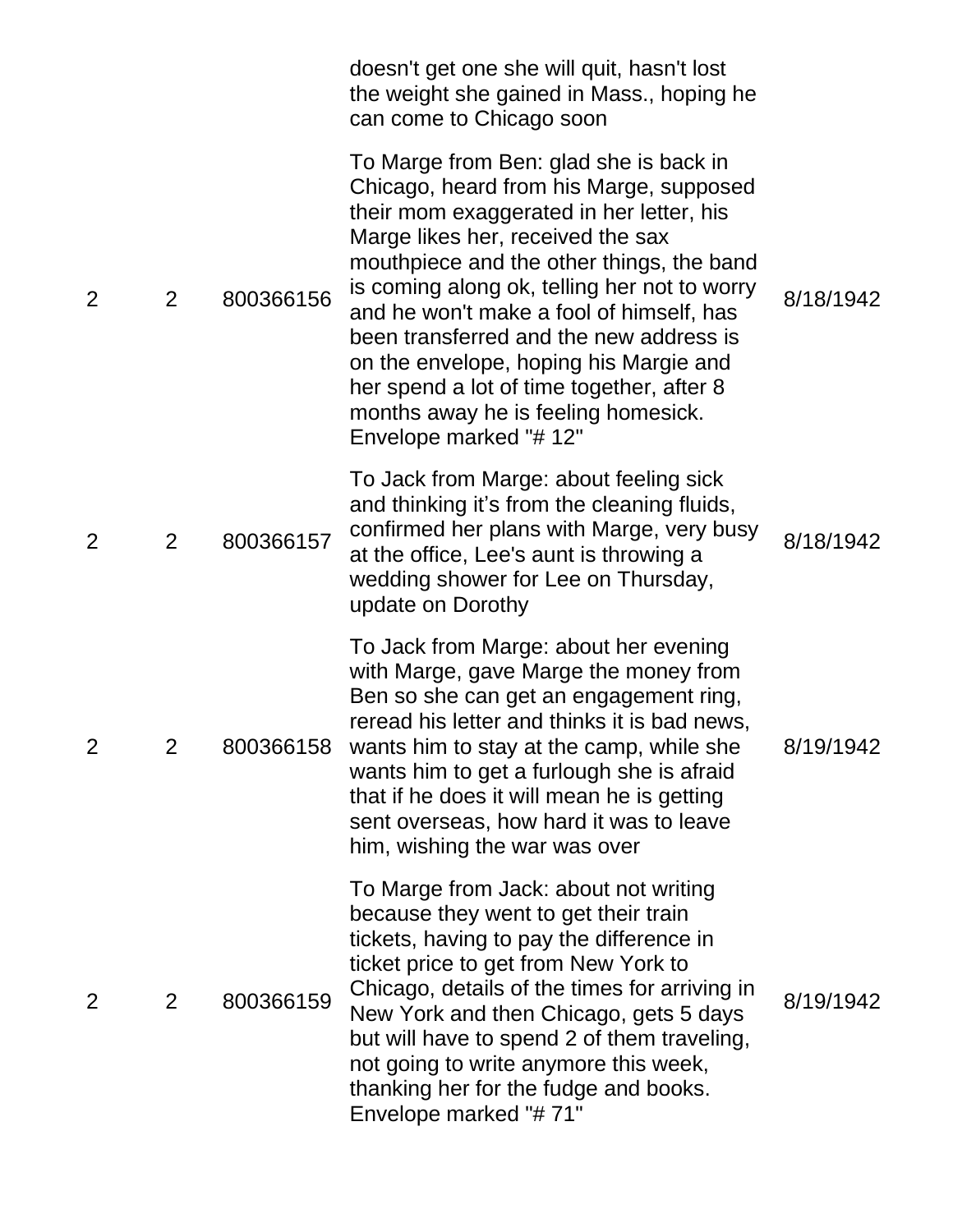|                |                |           | doesn't get one she will quit, hasn't lost<br>the weight she gained in Mass., hoping he<br>can come to Chicago soon                                                                                                                                                                                                                                                                                                                                                                                            |           |
|----------------|----------------|-----------|----------------------------------------------------------------------------------------------------------------------------------------------------------------------------------------------------------------------------------------------------------------------------------------------------------------------------------------------------------------------------------------------------------------------------------------------------------------------------------------------------------------|-----------|
| 2              | $\overline{2}$ | 800366156 | To Marge from Ben: glad she is back in<br>Chicago, heard from his Marge, supposed<br>their mom exaggerated in her letter, his<br>Marge likes her, received the sax<br>mouthpiece and the other things, the band<br>is coming along ok, telling her not to worry<br>and he won't make a fool of himself, has<br>been transferred and the new address is<br>on the envelope, hoping his Margie and<br>her spend a lot of time together, after 8<br>months away he is feeling homesick.<br>Envelope marked "# 12" | 8/18/1942 |
| $\overline{2}$ | $\overline{2}$ | 800366157 | To Jack from Marge: about feeling sick<br>and thinking it's from the cleaning fluids,<br>confirmed her plans with Marge, very busy<br>at the office, Lee's aunt is throwing a<br>wedding shower for Lee on Thursday,<br>update on Dorothy                                                                                                                                                                                                                                                                      | 8/18/1942 |
| 2              | 2              | 800366158 | To Jack from Marge: about her evening<br>with Marge, gave Marge the money from<br>Ben so she can get an engagement ring,<br>reread his letter and thinks it is bad news,<br>wants him to stay at the camp, while she<br>wants him to get a furlough she is afraid<br>that if he does it will mean he is getting<br>sent overseas, how hard it was to leave<br>him, wishing the war was over                                                                                                                    | 8/19/1942 |
| 2              | 2              | 800366159 | To Marge from Jack: about not writing<br>because they went to get their train<br>tickets, having to pay the difference in<br>ticket price to get from New York to<br>Chicago, details of the times for arriving in<br>New York and then Chicago, gets 5 days<br>but will have to spend 2 of them traveling,<br>not going to write anymore this week,<br>thanking her for the fudge and books.<br>Envelope marked "#71"                                                                                         | 8/19/1942 |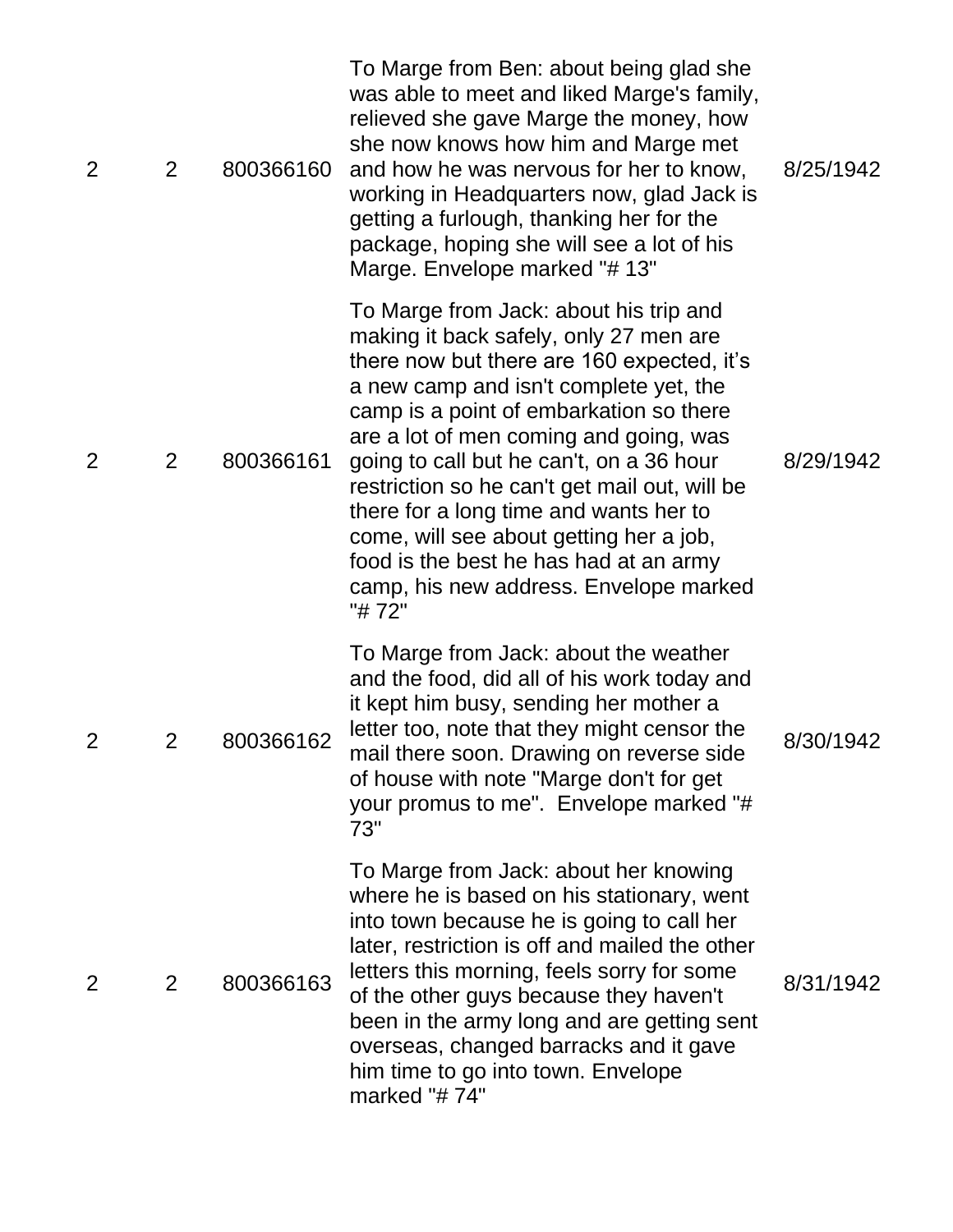| 2              | $\overline{2}$ | 800366160 | To Marge from Ben: about being glad she<br>was able to meet and liked Marge's family,<br>relieved she gave Marge the money, how<br>she now knows how him and Marge met<br>and how he was nervous for her to know,<br>working in Headquarters now, glad Jack is<br>getting a furlough, thanking her for the<br>package, hoping she will see a lot of his<br>Marge. Envelope marked "#13"                                                                                                                                                       | 8/25/1942 |
|----------------|----------------|-----------|-----------------------------------------------------------------------------------------------------------------------------------------------------------------------------------------------------------------------------------------------------------------------------------------------------------------------------------------------------------------------------------------------------------------------------------------------------------------------------------------------------------------------------------------------|-----------|
| $\overline{2}$ | $\overline{2}$ | 800366161 | To Marge from Jack: about his trip and<br>making it back safely, only 27 men are<br>there now but there are 160 expected, it's<br>a new camp and isn't complete yet, the<br>camp is a point of embarkation so there<br>are a lot of men coming and going, was<br>going to call but he can't, on a 36 hour<br>restriction so he can't get mail out, will be<br>there for a long time and wants her to<br>come, will see about getting her a job,<br>food is the best he has had at an army<br>camp, his new address. Envelope marked<br>"# 72" | 8/29/1942 |
| 2              | 2              | 800366162 | To Marge from Jack: about the weather<br>and the food, did all of his work today and<br>it kept him busy, sending her mother a<br>letter too, note that they might censor the<br>mail there soon. Drawing on reverse side<br>of house with note "Marge don't for get<br>your promus to me". Envelope marked "#<br>73"                                                                                                                                                                                                                         | 8/30/1942 |
| 2              | 2              | 800366163 | To Marge from Jack: about her knowing<br>where he is based on his stationary, went<br>into town because he is going to call her<br>later, restriction is off and mailed the other<br>letters this morning, feels sorry for some<br>of the other guys because they haven't<br>been in the army long and are getting sent<br>overseas, changed barracks and it gave<br>him time to go into town. Envelope<br>marked "#74"                                                                                                                       | 8/31/1942 |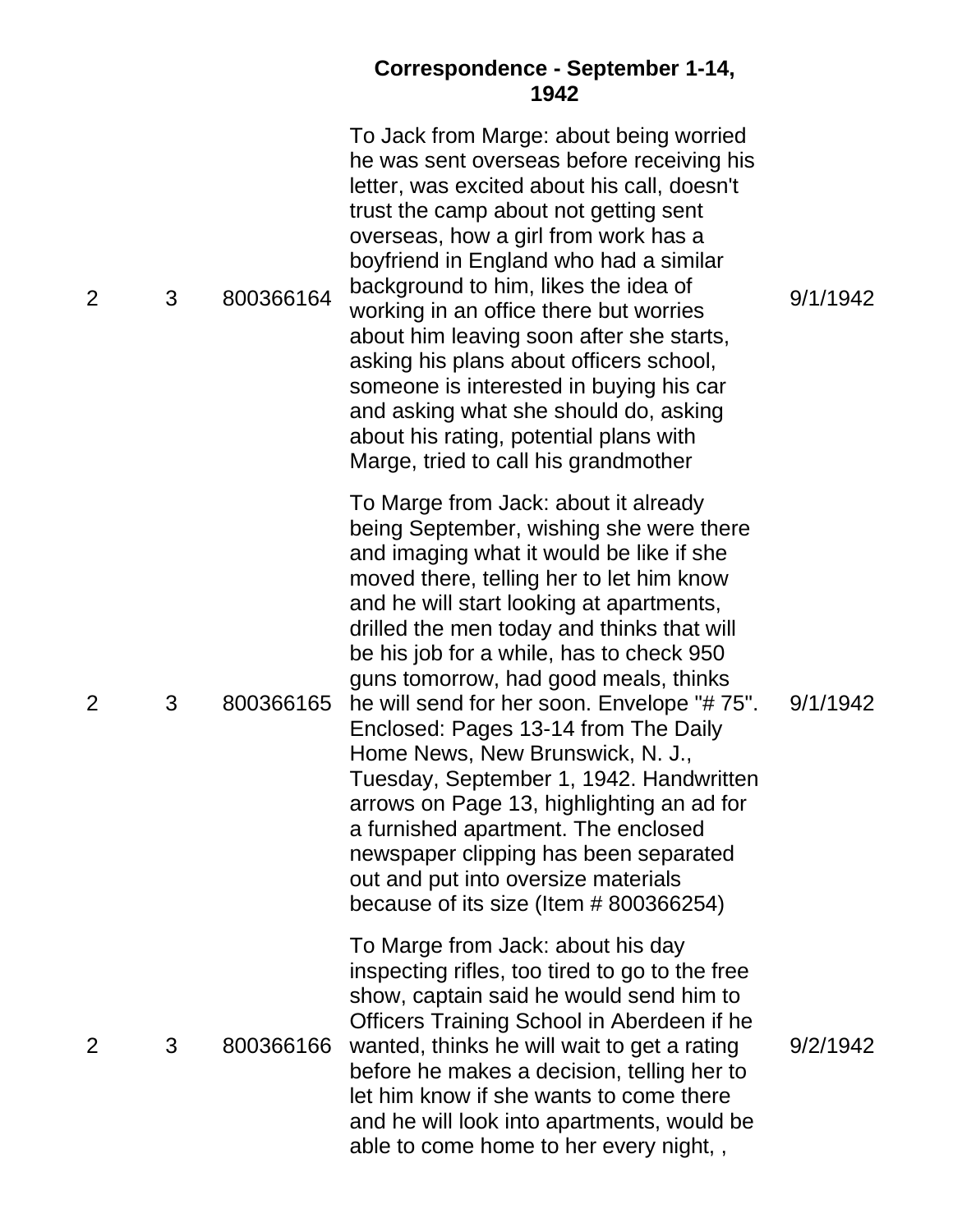#### **Correspondence - September 1-14, 1942**

| 2              | 3 | 800366164 | To Jack from Marge: about being worried<br>he was sent overseas before receiving his<br>letter, was excited about his call, doesn't<br>trust the camp about not getting sent<br>overseas, how a girl from work has a<br>boyfriend in England who had a similar<br>background to him, likes the idea of<br>working in an office there but worries<br>about him leaving soon after she starts,<br>asking his plans about officers school,<br>someone is interested in buying his car<br>and asking what she should do, asking<br>about his rating, potential plans with<br>Marge, tried to call his grandmother                                                                                                                             | 9/1/1942 |
|----------------|---|-----------|-------------------------------------------------------------------------------------------------------------------------------------------------------------------------------------------------------------------------------------------------------------------------------------------------------------------------------------------------------------------------------------------------------------------------------------------------------------------------------------------------------------------------------------------------------------------------------------------------------------------------------------------------------------------------------------------------------------------------------------------|----------|
| $\overline{2}$ | 3 | 800366165 | To Marge from Jack: about it already<br>being September, wishing she were there<br>and imaging what it would be like if she<br>moved there, telling her to let him know<br>and he will start looking at apartments,<br>drilled the men today and thinks that will<br>be his job for a while, has to check 950<br>guns tomorrow, had good meals, thinks<br>he will send for her soon. Envelope "#75".<br>Enclosed: Pages 13-14 from The Daily<br>Home News, New Brunswick, N. J.,<br>Tuesday, September 1, 1942. Handwritten<br>arrows on Page 13, highlighting an ad for<br>a furnished apartment. The enclosed<br>newspaper clipping has been separated<br>out and put into oversize materials<br>because of its size (Item # 800366254) | 9/1/1942 |
| 2              | 3 | 800366166 | To Marge from Jack: about his day<br>inspecting rifles, too tired to go to the free<br>show, captain said he would send him to<br>Officers Training School in Aberdeen if he<br>wanted, thinks he will wait to get a rating<br>before he makes a decision, telling her to<br>let him know if she wants to come there<br>and he will look into apartments, would be<br>able to come home to her every night,,                                                                                                                                                                                                                                                                                                                              | 9/2/1942 |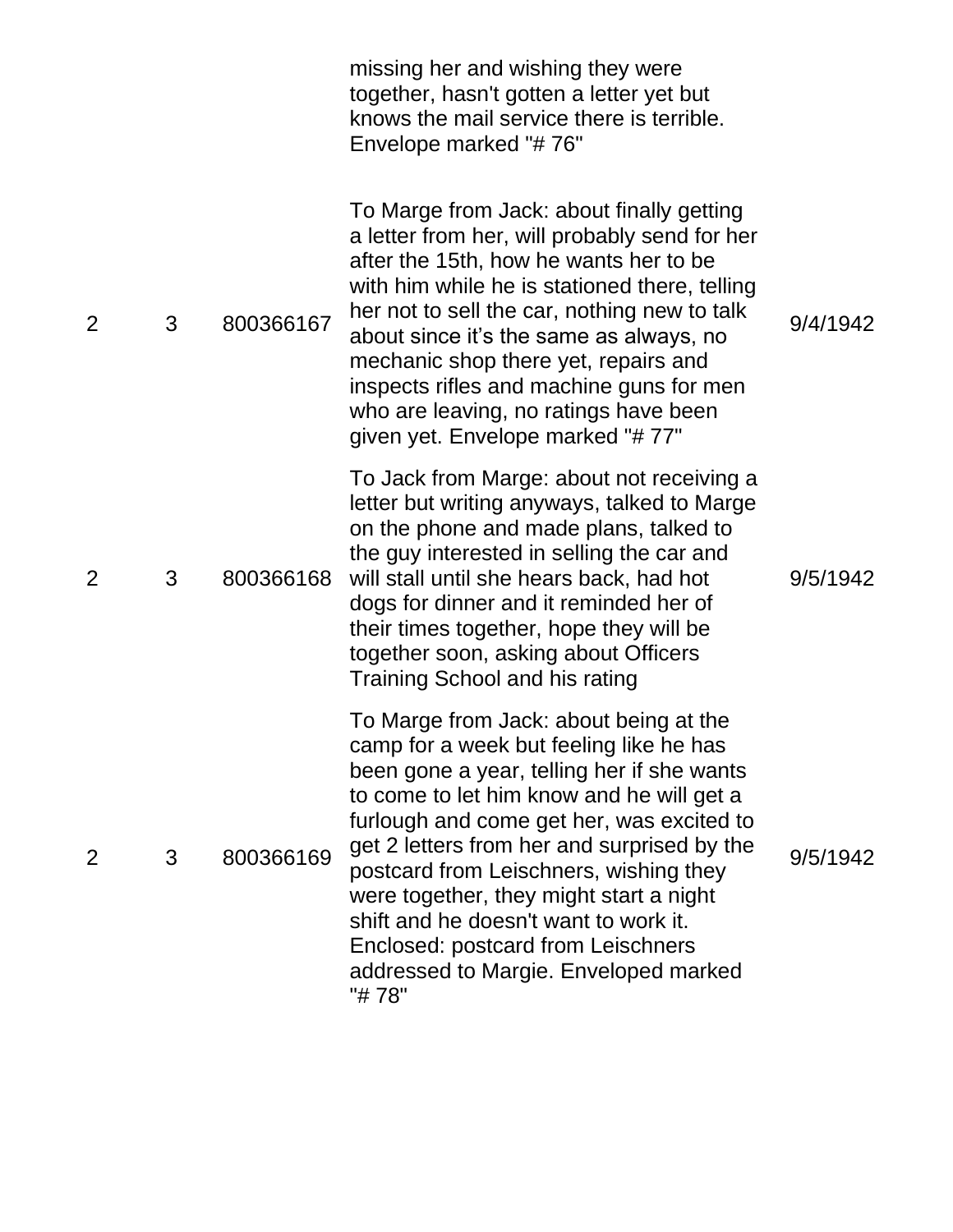|                |   |           | missing her and wishing they were<br>together, hasn't gotten a letter yet but<br>knows the mail service there is terrible.<br>Envelope marked "#76"                                                                                                                                                                                                                                                                                                                                             |          |
|----------------|---|-----------|-------------------------------------------------------------------------------------------------------------------------------------------------------------------------------------------------------------------------------------------------------------------------------------------------------------------------------------------------------------------------------------------------------------------------------------------------------------------------------------------------|----------|
| $\overline{2}$ | 3 | 800366167 | To Marge from Jack: about finally getting<br>a letter from her, will probably send for her<br>after the 15th, how he wants her to be<br>with him while he is stationed there, telling<br>her not to sell the car, nothing new to talk<br>about since it's the same as always, no<br>mechanic shop there yet, repairs and<br>inspects rifles and machine guns for men<br>who are leaving, no ratings have been<br>given yet. Envelope marked "#77"                                               | 9/4/1942 |
| $\overline{2}$ | 3 | 800366168 | To Jack from Marge: about not receiving a<br>letter but writing anyways, talked to Marge<br>on the phone and made plans, talked to<br>the guy interested in selling the car and<br>will stall until she hears back, had hot<br>dogs for dinner and it reminded her of<br>their times together, hope they will be<br>together soon, asking about Officers<br>Training School and his rating                                                                                                      | 9/5/1942 |
| $\overline{2}$ | 3 | 800366169 | To Marge from Jack: about being at the<br>camp for a week but feeling like he has<br>been gone a year, telling her if she wants<br>to come to let him know and he will get a<br>furlough and come get her, was excited to<br>get 2 letters from her and surprised by the<br>postcard from Leischners, wishing they<br>were together, they might start a night<br>shift and he doesn't want to work it.<br>Enclosed: postcard from Leischners<br>addressed to Margie. Enveloped marked<br>"# 78" | 9/5/1942 |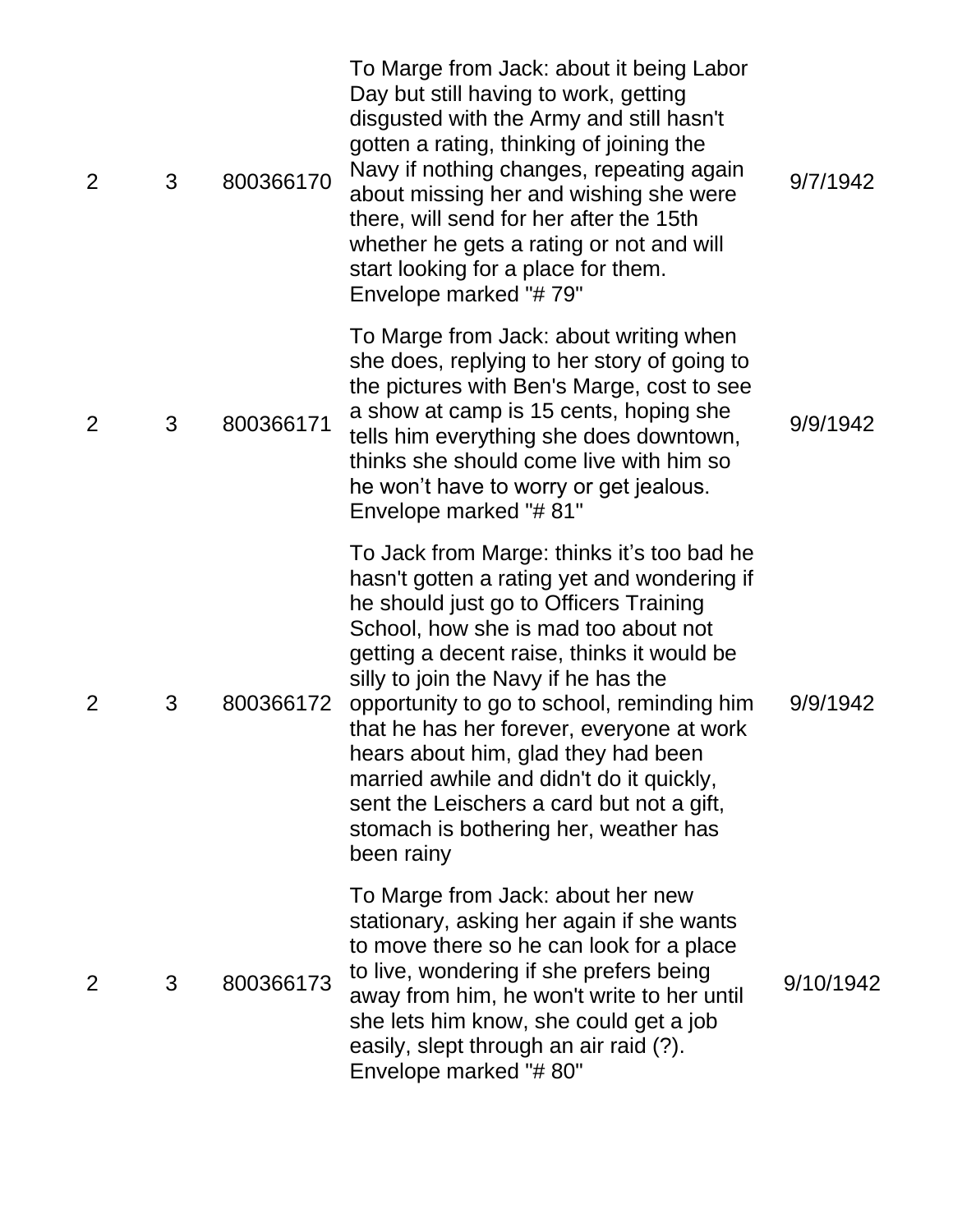| $\overline{2}$ | 3 | 800366170 | To Marge from Jack: about it being Labor<br>Day but still having to work, getting<br>disgusted with the Army and still hasn't<br>gotten a rating, thinking of joining the<br>Navy if nothing changes, repeating again<br>about missing her and wishing she were<br>there, will send for her after the 15th<br>whether he gets a rating or not and will<br>start looking for a place for them.<br>Envelope marked "#79"                                                                                                                              | 9/7/1942  |
|----------------|---|-----------|-----------------------------------------------------------------------------------------------------------------------------------------------------------------------------------------------------------------------------------------------------------------------------------------------------------------------------------------------------------------------------------------------------------------------------------------------------------------------------------------------------------------------------------------------------|-----------|
| $\overline{2}$ | 3 | 800366171 | To Marge from Jack: about writing when<br>she does, replying to her story of going to<br>the pictures with Ben's Marge, cost to see<br>a show at camp is 15 cents, hoping she<br>tells him everything she does downtown,<br>thinks she should come live with him so<br>he won't have to worry or get jealous.<br>Envelope marked "#81"                                                                                                                                                                                                              | 9/9/1942  |
| 2              | 3 | 800366172 | To Jack from Marge: thinks it's too bad he<br>hasn't gotten a rating yet and wondering if<br>he should just go to Officers Training<br>School, how she is mad too about not<br>getting a decent raise, thinks it would be<br>silly to join the Navy if he has the<br>opportunity to go to school, reminding him<br>that he has her forever, everyone at work<br>hears about him, glad they had been<br>married awhile and didn't do it quickly,<br>sent the Leischers a card but not a gift,<br>stomach is bothering her, weather has<br>been rainy | 9/9/1942  |
| 2              | 3 | 800366173 | To Marge from Jack: about her new<br>stationary, asking her again if she wants<br>to move there so he can look for a place<br>to live, wondering if she prefers being<br>away from him, he won't write to her until<br>she lets him know, she could get a job<br>easily, slept through an air raid (?).<br>Envelope marked "#80"                                                                                                                                                                                                                    | 9/10/1942 |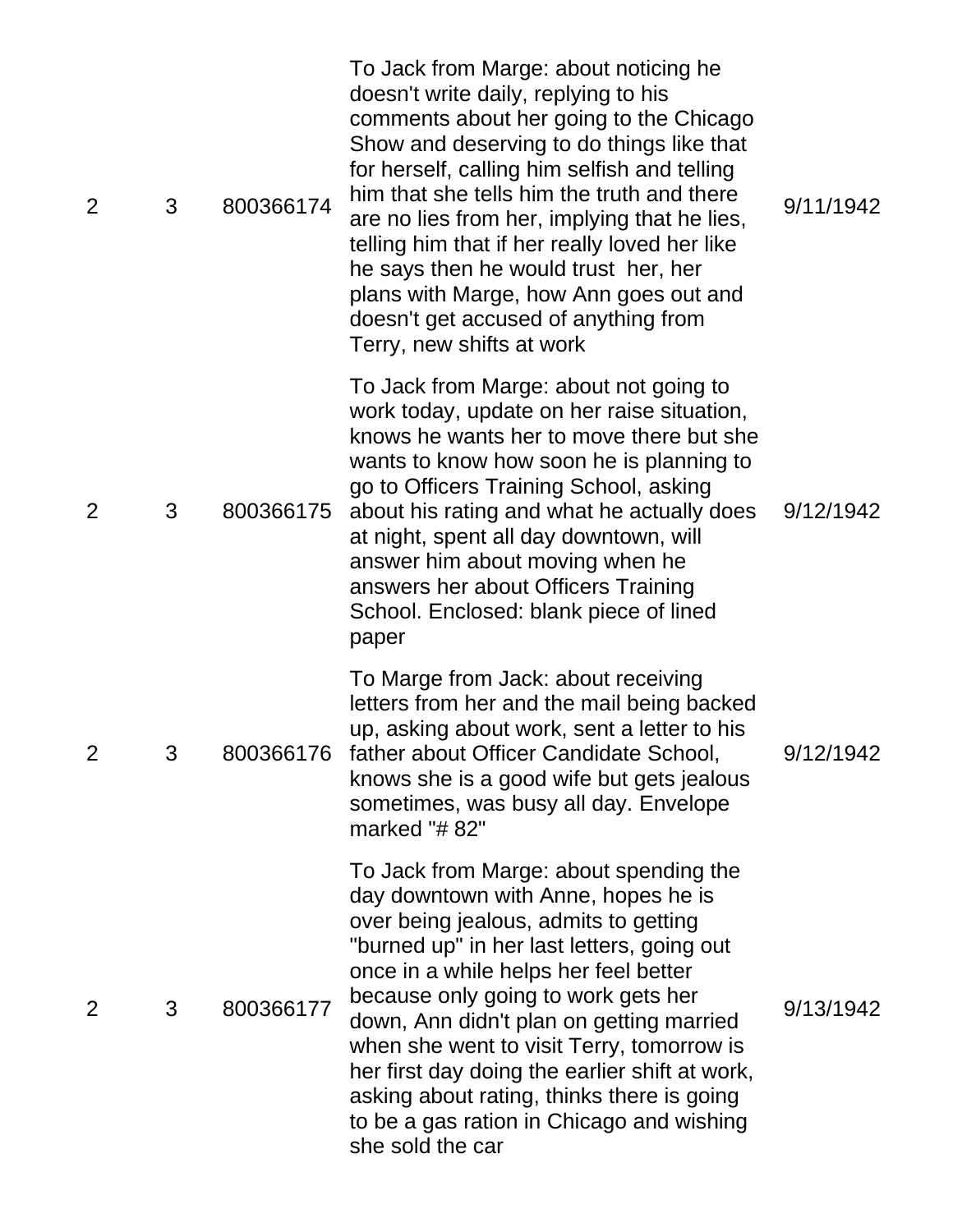| 2              | 3 | 800366174 | To Jack from Marge: about noticing he<br>doesn't write daily, replying to his<br>comments about her going to the Chicago<br>Show and deserving to do things like that<br>for herself, calling him selfish and telling<br>him that she tells him the truth and there<br>are no lies from her, implying that he lies,<br>telling him that if her really loved her like<br>he says then he would trust her, her<br>plans with Marge, how Ann goes out and<br>doesn't get accused of anything from<br>Terry, new shifts at work | 9/11/1942 |
|----------------|---|-----------|-----------------------------------------------------------------------------------------------------------------------------------------------------------------------------------------------------------------------------------------------------------------------------------------------------------------------------------------------------------------------------------------------------------------------------------------------------------------------------------------------------------------------------|-----------|
| 2              | 3 | 800366175 | To Jack from Marge: about not going to<br>work today, update on her raise situation,<br>knows he wants her to move there but she<br>wants to know how soon he is planning to<br>go to Officers Training School, asking<br>about his rating and what he actually does<br>at night, spent all day downtown, will<br>answer him about moving when he<br>answers her about Officers Training<br>School. Enclosed: blank piece of lined<br>paper                                                                                 | 9/12/1942 |
| $\overline{2}$ | 3 | 800366176 | To Marge from Jack: about receiving<br>letters from her and the mail being backed<br>up, asking about work, sent a letter to his<br>father about Officer Candidate School,<br>knows she is a good wife but gets jealous<br>sometimes, was busy all day. Envelope<br>marked "#82"                                                                                                                                                                                                                                            | 9/12/1942 |
| $\overline{2}$ | 3 | 800366177 | To Jack from Marge: about spending the<br>day downtown with Anne, hopes he is<br>over being jealous, admits to getting<br>"burned up" in her last letters, going out<br>once in a while helps her feel better<br>because only going to work gets her<br>down, Ann didn't plan on getting married<br>when she went to visit Terry, tomorrow is<br>her first day doing the earlier shift at work,<br>asking about rating, thinks there is going<br>to be a gas ration in Chicago and wishing<br>she sold the car              | 9/13/1942 |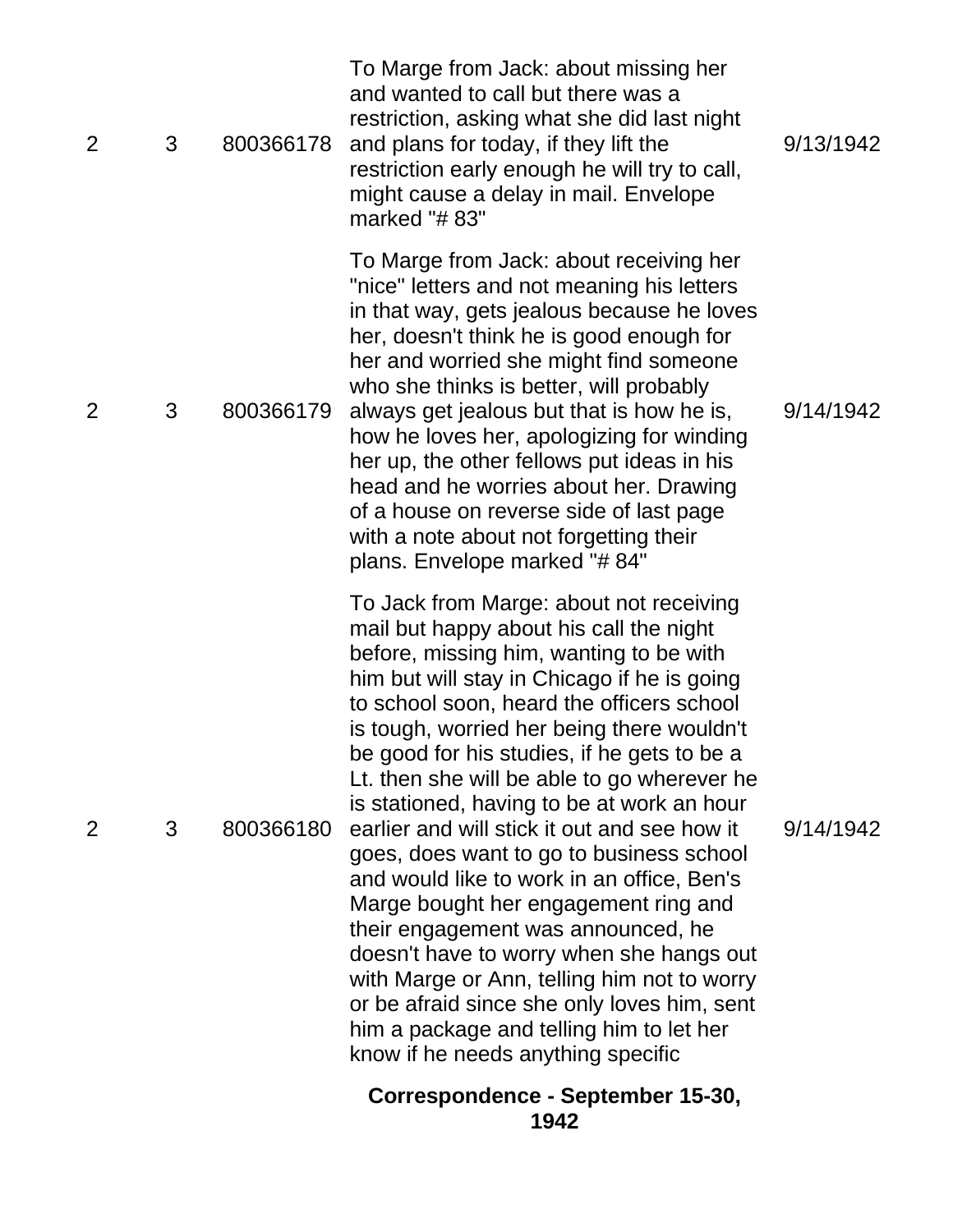|                |   |           | Correspondence - September 15-30,<br>1942                                                                                                                                                                                                                                                                                                                                                                                                                                                                                                                                                                                                                                                                                                                                                                                                                               |           |
|----------------|---|-----------|-------------------------------------------------------------------------------------------------------------------------------------------------------------------------------------------------------------------------------------------------------------------------------------------------------------------------------------------------------------------------------------------------------------------------------------------------------------------------------------------------------------------------------------------------------------------------------------------------------------------------------------------------------------------------------------------------------------------------------------------------------------------------------------------------------------------------------------------------------------------------|-----------|
| 2              | 3 | 800366180 | To Jack from Marge: about not receiving<br>mail but happy about his call the night<br>before, missing him, wanting to be with<br>him but will stay in Chicago if he is going<br>to school soon, heard the officers school<br>is tough, worried her being there wouldn't<br>be good for his studies, if he gets to be a<br>Lt. then she will be able to go wherever he<br>is stationed, having to be at work an hour<br>earlier and will stick it out and see how it<br>goes, does want to go to business school<br>and would like to work in an office, Ben's<br>Marge bought her engagement ring and<br>their engagement was announced, he<br>doesn't have to worry when she hangs out<br>with Marge or Ann, telling him not to worry<br>or be afraid since she only loves him, sent<br>him a package and telling him to let her<br>know if he needs anything specific | 9/14/1942 |
| 2              | 3 | 800366179 | To Marge from Jack: about receiving her<br>"nice" letters and not meaning his letters<br>in that way, gets jealous because he loves<br>her, doesn't think he is good enough for<br>her and worried she might find someone<br>who she thinks is better, will probably<br>always get jealous but that is how he is,<br>how he loves her, apologizing for winding<br>her up, the other fellows put ideas in his<br>head and he worries about her. Drawing<br>of a house on reverse side of last page<br>with a note about not forgetting their<br>plans. Envelope marked "# 84"                                                                                                                                                                                                                                                                                            | 9/14/1942 |
| $\overline{2}$ | 3 | 800366178 | To Marge from Jack: about missing her<br>and wanted to call but there was a<br>restriction, asking what she did last night<br>and plans for today, if they lift the<br>restriction early enough he will try to call,<br>might cause a delay in mail. Envelope<br>marked "# 83"                                                                                                                                                                                                                                                                                                                                                                                                                                                                                                                                                                                          | 9/13/1942 |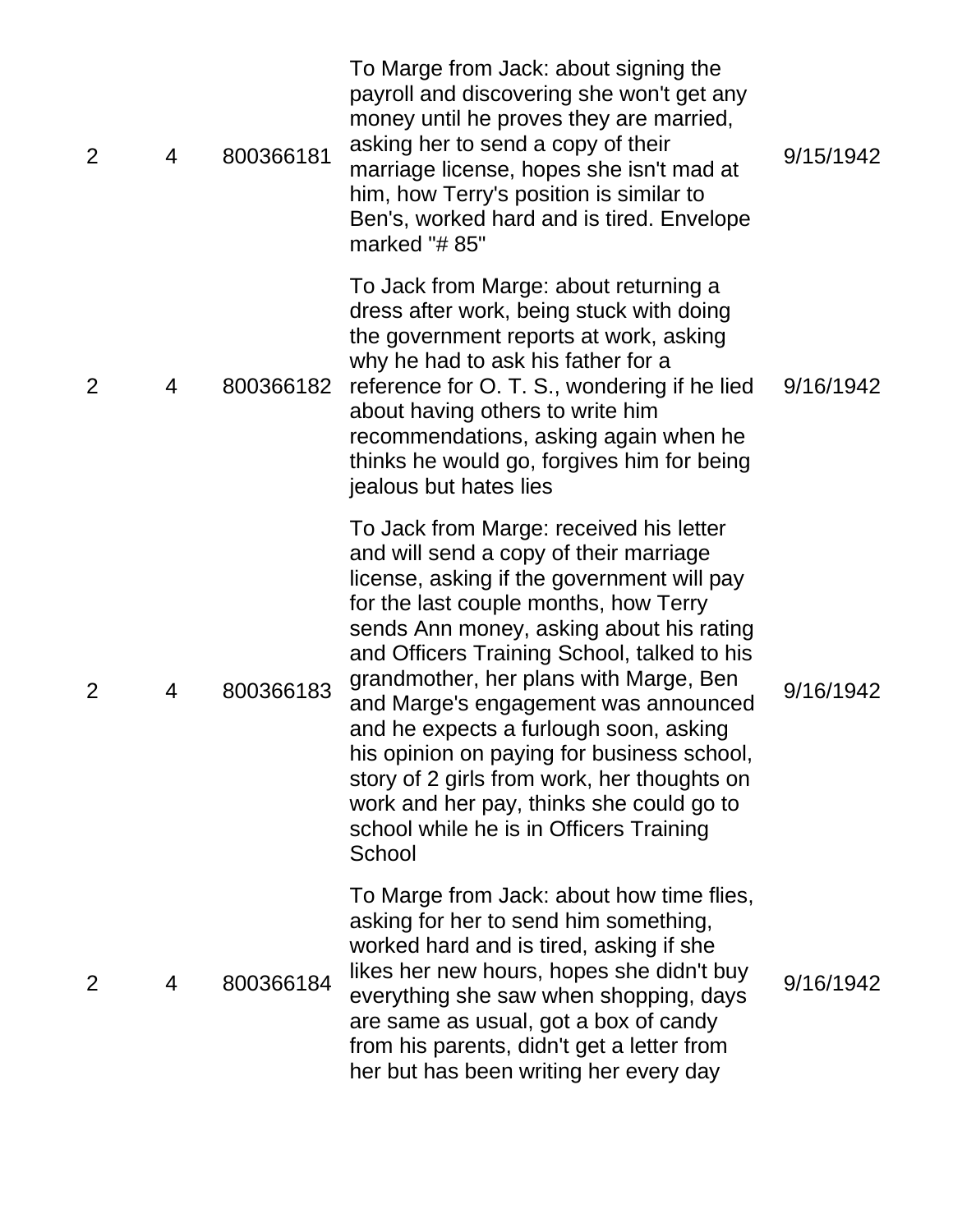| $\overline{2}$ | 4 | 800366181 | To Marge from Jack: about signing the<br>payroll and discovering she won't get any<br>money until he proves they are married,<br>asking her to send a copy of their<br>marriage license, hopes she isn't mad at<br>him, how Terry's position is similar to<br>Ben's, worked hard and is tired. Envelope<br>marked "# 85"                                                                                                                                                                                                                                                                      | 9/15/1942 |
|----------------|---|-----------|-----------------------------------------------------------------------------------------------------------------------------------------------------------------------------------------------------------------------------------------------------------------------------------------------------------------------------------------------------------------------------------------------------------------------------------------------------------------------------------------------------------------------------------------------------------------------------------------------|-----------|
| $\overline{2}$ | 4 | 800366182 | To Jack from Marge: about returning a<br>dress after work, being stuck with doing<br>the government reports at work, asking<br>why he had to ask his father for a<br>reference for O. T. S., wondering if he lied<br>about having others to write him<br>recommendations, asking again when he<br>thinks he would go, forgives him for being<br>jealous but hates lies                                                                                                                                                                                                                        | 9/16/1942 |
| 2              | 4 | 800366183 | To Jack from Marge: received his letter<br>and will send a copy of their marriage<br>license, asking if the government will pay<br>for the last couple months, how Terry<br>sends Ann money, asking about his rating<br>and Officers Training School, talked to his<br>grandmother, her plans with Marge, Ben<br>and Marge's engagement was announced<br>and he expects a furlough soon, asking<br>his opinion on paying for business school,<br>story of 2 girls from work, her thoughts on<br>work and her pay, thinks she could go to<br>school while he is in Officers Training<br>School | 9/16/1942 |
| 2              | 4 | 800366184 | To Marge from Jack: about how time flies,<br>asking for her to send him something,<br>worked hard and is tired, asking if she<br>likes her new hours, hopes she didn't buy<br>everything she saw when shopping, days<br>are same as usual, got a box of candy<br>from his parents, didn't get a letter from<br>her but has been writing her every day                                                                                                                                                                                                                                         | 9/16/1942 |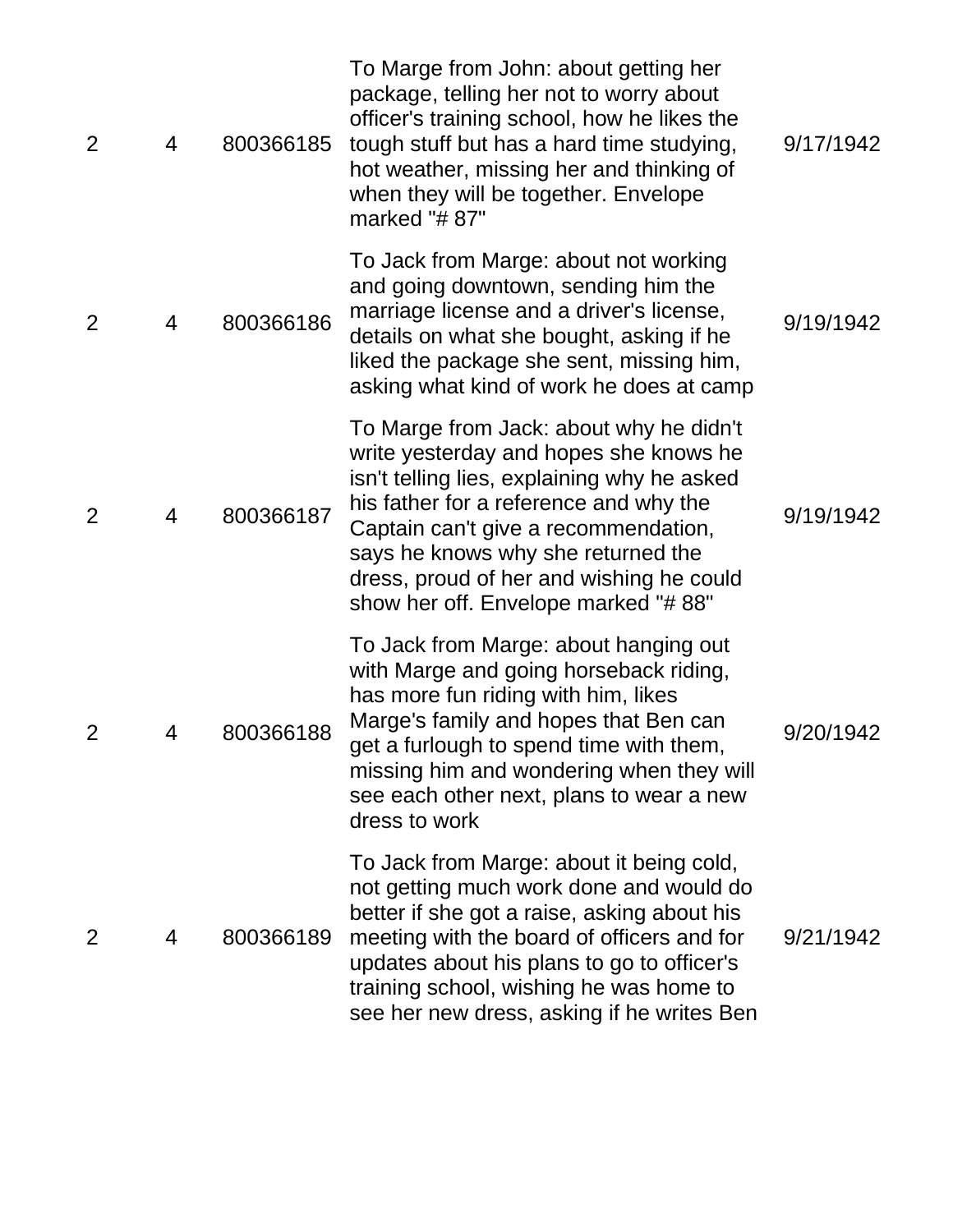| 2              | 4 | 800366185 | To Marge from John: about getting her<br>package, telling her not to worry about<br>officer's training school, how he likes the<br>tough stuff but has a hard time studying,<br>hot weather, missing her and thinking of<br>when they will be together. Envelope<br>marked "#87"                                                            | 9/17/1942 |
|----------------|---|-----------|---------------------------------------------------------------------------------------------------------------------------------------------------------------------------------------------------------------------------------------------------------------------------------------------------------------------------------------------|-----------|
| 2              | 4 | 800366186 | To Jack from Marge: about not working<br>and going downtown, sending him the<br>marriage license and a driver's license,<br>details on what she bought, asking if he<br>liked the package she sent, missing him,<br>asking what kind of work he does at camp                                                                                | 9/19/1942 |
| $\overline{2}$ | 4 | 800366187 | To Marge from Jack: about why he didn't<br>write yesterday and hopes she knows he<br>isn't telling lies, explaining why he asked<br>his father for a reference and why the<br>Captain can't give a recommendation,<br>says he knows why she returned the<br>dress, proud of her and wishing he could<br>show her off. Envelope marked "#88" | 9/19/1942 |
| $\overline{2}$ | 4 | 800366188 | To Jack from Marge: about hanging out<br>with Marge and going horseback riding,<br>has more fun riding with him, likes<br>Marge's family and hopes that Ben can<br>get a furlough to spend time with them,<br>missing him and wondering when they will<br>see each other next, plans to wear a new<br>dress to work                         | 9/20/1942 |
| 2              | 4 | 800366189 | To Jack from Marge: about it being cold,<br>not getting much work done and would do<br>better if she got a raise, asking about his<br>meeting with the board of officers and for<br>updates about his plans to go to officer's<br>training school, wishing he was home to<br>see her new dress, asking if he writes Ben                     | 9/21/1942 |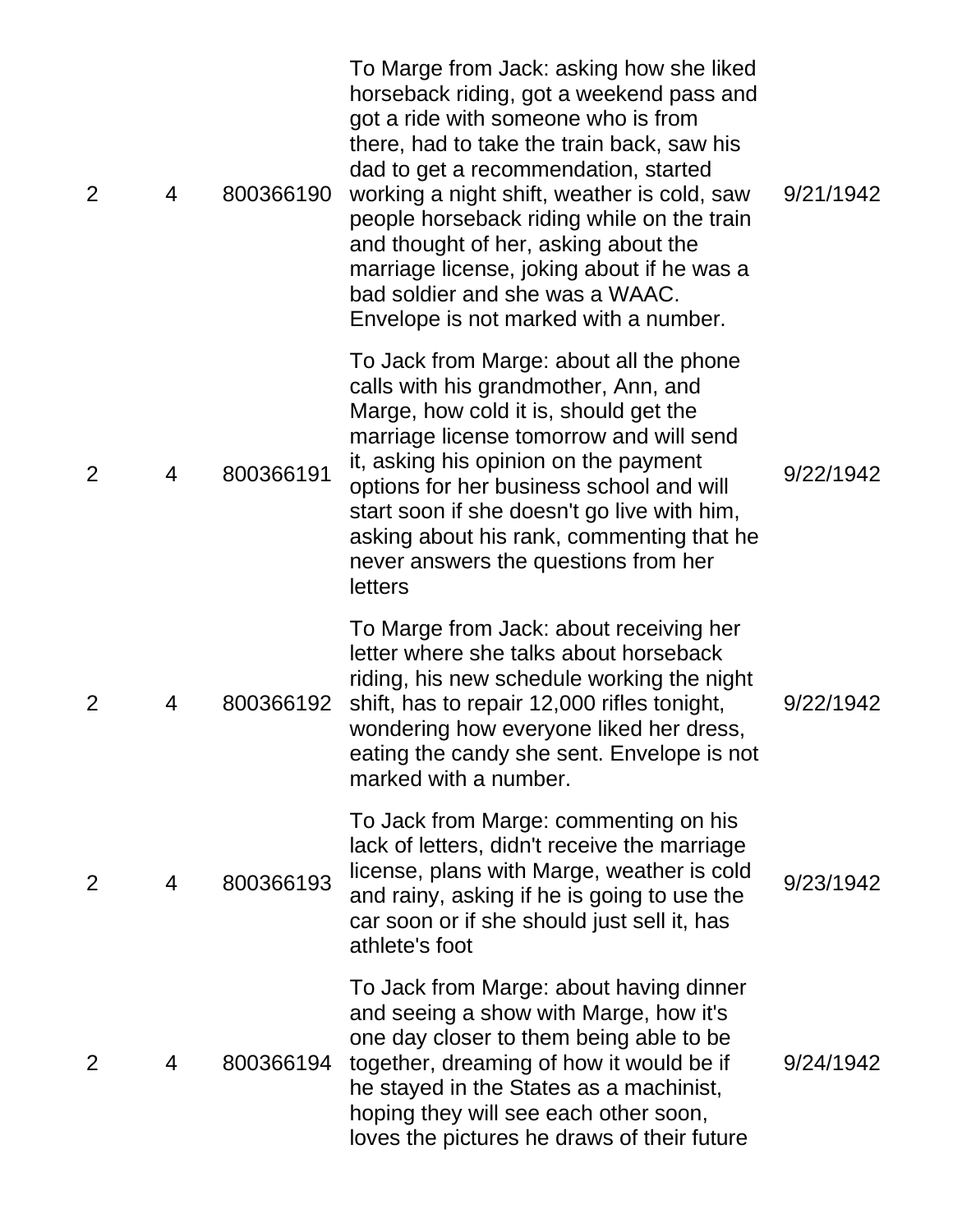| $\overline{2}$ | 4 | 800366190 | To Marge from Jack: asking how she liked<br>horseback riding, got a weekend pass and<br>got a ride with someone who is from<br>there, had to take the train back, saw his<br>dad to get a recommendation, started<br>working a night shift, weather is cold, saw<br>people horseback riding while on the train<br>and thought of her, asking about the<br>marriage license, joking about if he was a<br>bad soldier and she was a WAAC.<br>Envelope is not marked with a number. | 9/21/1942 |
|----------------|---|-----------|----------------------------------------------------------------------------------------------------------------------------------------------------------------------------------------------------------------------------------------------------------------------------------------------------------------------------------------------------------------------------------------------------------------------------------------------------------------------------------|-----------|
| $\overline{2}$ | 4 | 800366191 | To Jack from Marge: about all the phone<br>calls with his grandmother, Ann, and<br>Marge, how cold it is, should get the<br>marriage license tomorrow and will send<br>it, asking his opinion on the payment<br>options for her business school and will<br>start soon if she doesn't go live with him,<br>asking about his rank, commenting that he<br>never answers the questions from her<br>letters                                                                          | 9/22/1942 |
| 2              | 4 | 800366192 | To Marge from Jack: about receiving her<br>letter where she talks about horseback<br>riding, his new schedule working the night<br>shift, has to repair 12,000 rifles tonight,<br>wondering how everyone liked her dress,<br>eating the candy she sent. Envelope is not<br>marked with a number.                                                                                                                                                                                 | 9/22/1942 |
| 2              | 4 | 800366193 | To Jack from Marge: commenting on his<br>lack of letters, didn't receive the marriage<br>license, plans with Marge, weather is cold<br>and rainy, asking if he is going to use the<br>car soon or if she should just sell it, has<br>athlete's foot                                                                                                                                                                                                                              | 9/23/1942 |
| $\overline{2}$ | 4 | 800366194 | To Jack from Marge: about having dinner<br>and seeing a show with Marge, how it's<br>one day closer to them being able to be<br>together, dreaming of how it would be if<br>he stayed in the States as a machinist,<br>hoping they will see each other soon,<br>loves the pictures he draws of their future                                                                                                                                                                      | 9/24/1942 |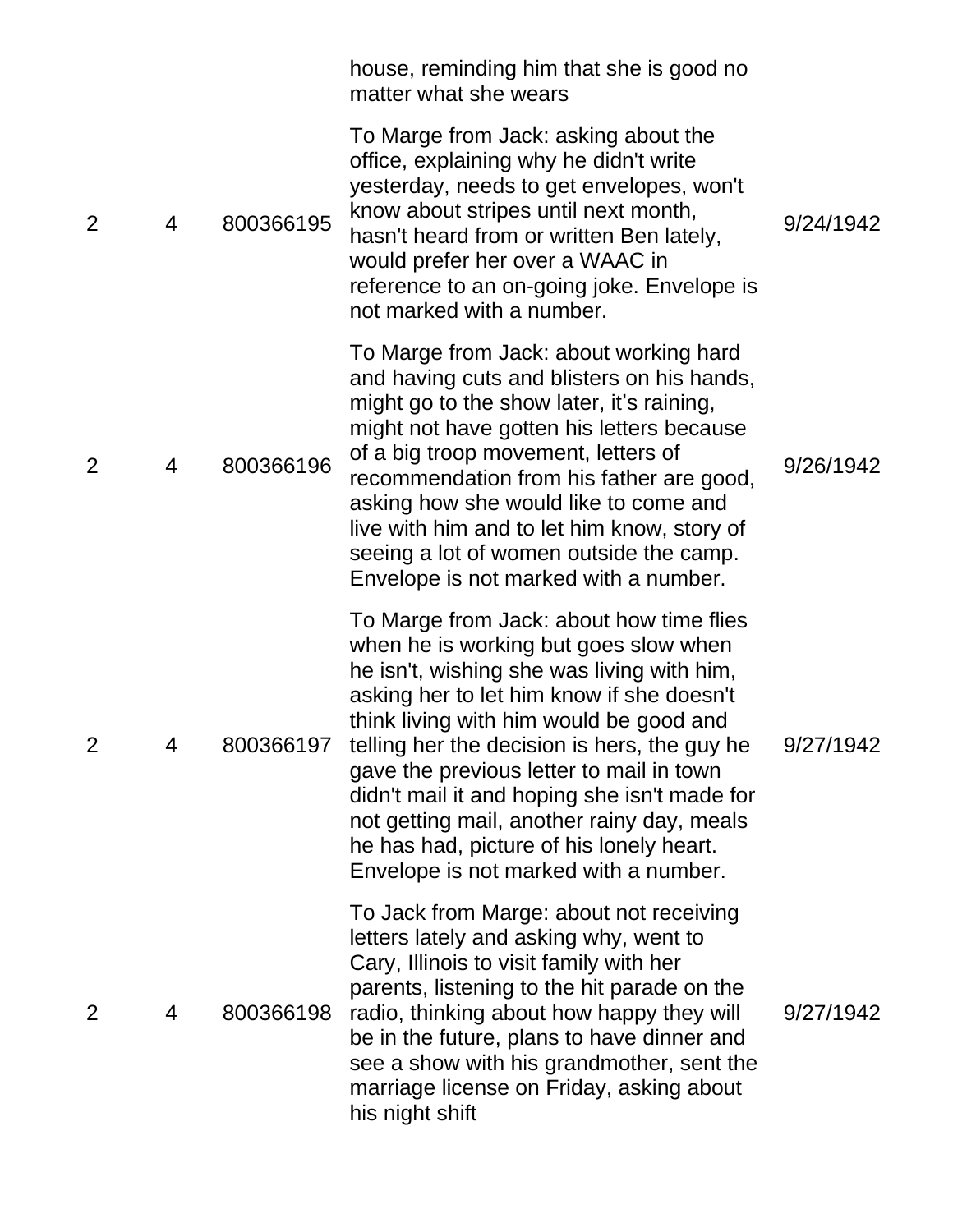|                |   |           | house, reminding him that she is good no<br>matter what she wears                                                                                                                                                                                                                                                                                                                                                                                                                                      |           |
|----------------|---|-----------|--------------------------------------------------------------------------------------------------------------------------------------------------------------------------------------------------------------------------------------------------------------------------------------------------------------------------------------------------------------------------------------------------------------------------------------------------------------------------------------------------------|-----------|
| 2              | 4 | 800366195 | To Marge from Jack: asking about the<br>office, explaining why he didn't write<br>yesterday, needs to get envelopes, won't<br>know about stripes until next month,<br>hasn't heard from or written Ben lately,<br>would prefer her over a WAAC in<br>reference to an on-going joke. Envelope is<br>not marked with a number.                                                                                                                                                                           | 9/24/1942 |
| 2              | 4 | 800366196 | To Marge from Jack: about working hard<br>and having cuts and blisters on his hands,<br>might go to the show later, it's raining,<br>might not have gotten his letters because<br>of a big troop movement, letters of<br>recommendation from his father are good,<br>asking how she would like to come and<br>live with him and to let him know, story of<br>seeing a lot of women outside the camp.<br>Envelope is not marked with a number.                                                          | 9/26/1942 |
| $\overline{2}$ | 4 | 800366197 | To Marge from Jack: about how time flies<br>when he is working but goes slow when<br>he isn't, wishing she was living with him,<br>asking her to let him know if she doesn't<br>think living with him would be good and<br>telling her the decision is hers, the guy he<br>gave the previous letter to mail in town<br>didn't mail it and hoping she isn't made for<br>not getting mail, another rainy day, meals<br>he has had, picture of his lonely heart.<br>Envelope is not marked with a number. | 9/27/1942 |
| 2              | 4 | 800366198 | To Jack from Marge: about not receiving<br>letters lately and asking why, went to<br>Cary, Illinois to visit family with her<br>parents, listening to the hit parade on the<br>radio, thinking about how happy they will<br>be in the future, plans to have dinner and<br>see a show with his grandmother, sent the<br>marriage license on Friday, asking about<br>his night shift                                                                                                                     | 9/27/1942 |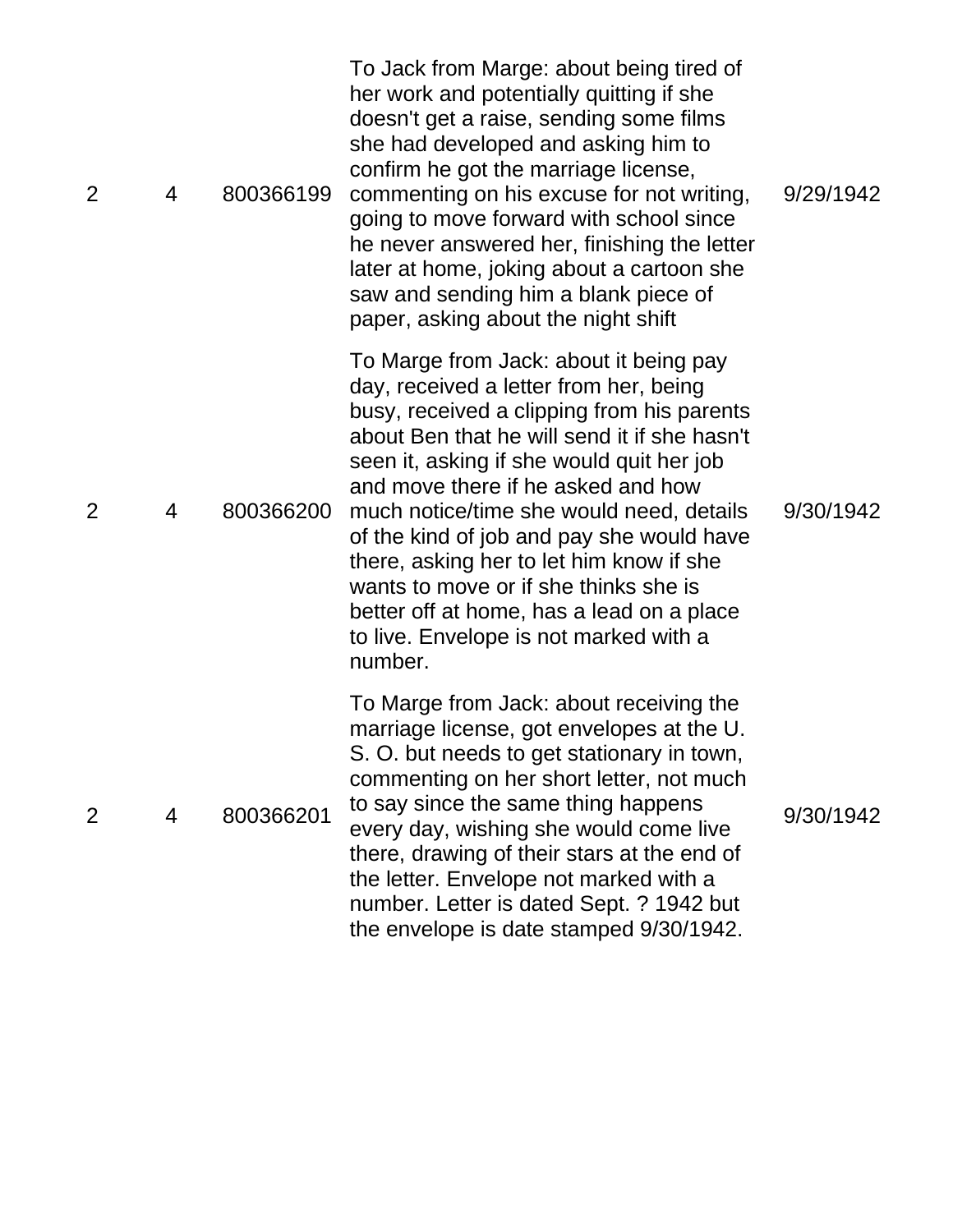| $\overline{2}$ | 4 | 800366199 | To Jack from Marge: about being tired of<br>her work and potentially quitting if she<br>doesn't get a raise, sending some films<br>she had developed and asking him to<br>confirm he got the marriage license,<br>commenting on his excuse for not writing,<br>going to move forward with school since<br>he never answered her, finishing the letter<br>later at home, joking about a cartoon she<br>saw and sending him a blank piece of<br>paper, asking about the night shift                                                                 | 9/29/1942 |
|----------------|---|-----------|---------------------------------------------------------------------------------------------------------------------------------------------------------------------------------------------------------------------------------------------------------------------------------------------------------------------------------------------------------------------------------------------------------------------------------------------------------------------------------------------------------------------------------------------------|-----------|
| 2              | 4 | 800366200 | To Marge from Jack: about it being pay<br>day, received a letter from her, being<br>busy, received a clipping from his parents<br>about Ben that he will send it if she hasn't<br>seen it, asking if she would quit her job<br>and move there if he asked and how<br>much notice/time she would need, details<br>of the kind of job and pay she would have<br>there, asking her to let him know if she<br>wants to move or if she thinks she is<br>better off at home, has a lead on a place<br>to live. Envelope is not marked with a<br>number. | 9/30/1942 |
| 2              | 4 | 800366201 | To Marge from Jack: about receiving the<br>marriage license, got envelopes at the U.<br>S. O. but needs to get stationary in town,<br>commenting on her short letter, not much<br>to say since the same thing happens<br>every day, wishing she would come live<br>there, drawing of their stars at the end of<br>the letter. Envelope not marked with a<br>number. Letter is dated Sept. ? 1942 but<br>the envelope is date stamped 9/30/1942.                                                                                                   | 9/30/1942 |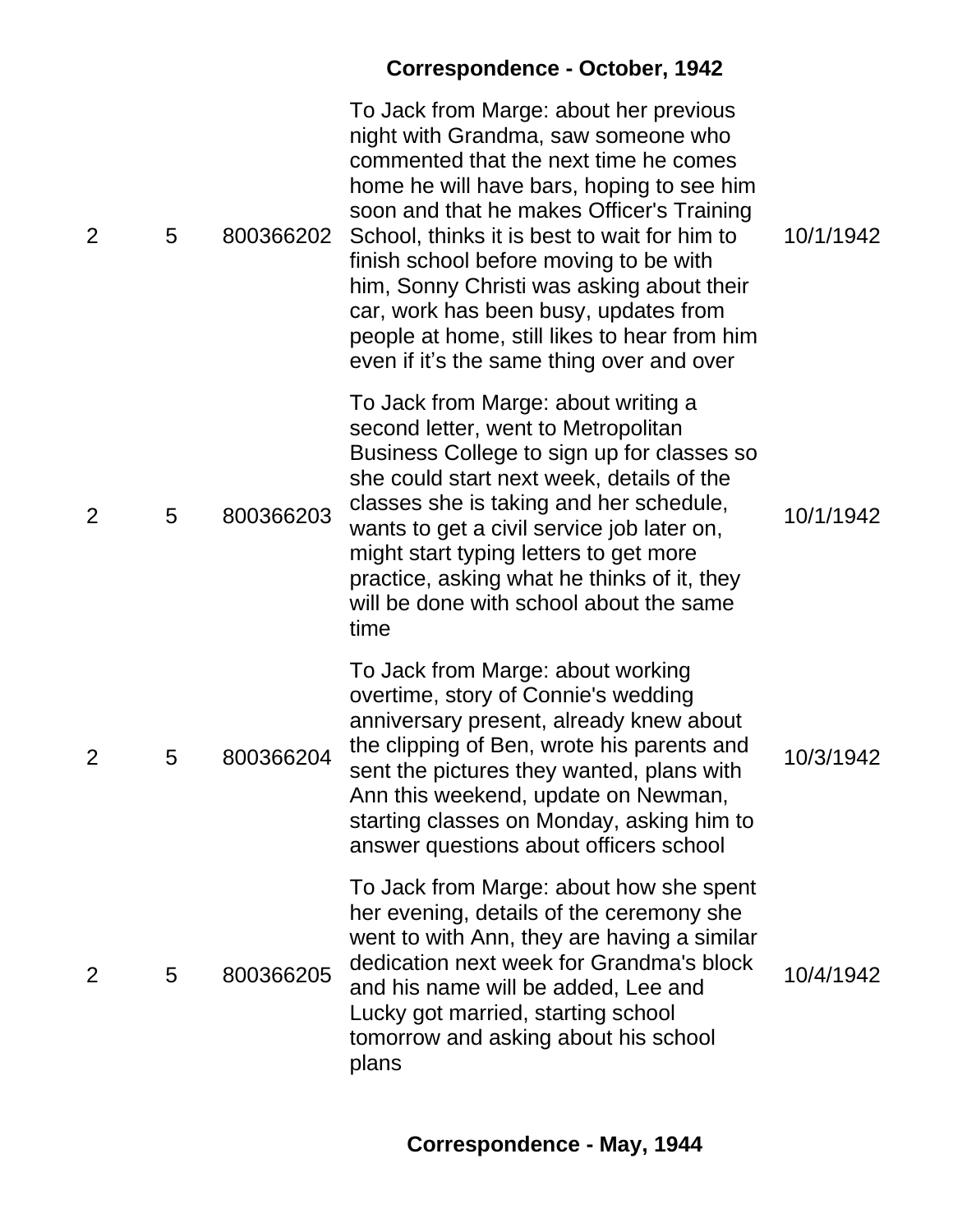|                |   |           | <b>Correspondence - October, 1942</b>                                                                                                                                                                                                                                                                                                                                                                                                                                                         |           |
|----------------|---|-----------|-----------------------------------------------------------------------------------------------------------------------------------------------------------------------------------------------------------------------------------------------------------------------------------------------------------------------------------------------------------------------------------------------------------------------------------------------------------------------------------------------|-----------|
| $\overline{2}$ | 5 | 800366202 | To Jack from Marge: about her previous<br>night with Grandma, saw someone who<br>commented that the next time he comes<br>home he will have bars, hoping to see him<br>soon and that he makes Officer's Training<br>School, thinks it is best to wait for him to<br>finish school before moving to be with<br>him, Sonny Christi was asking about their<br>car, work has been busy, updates from<br>people at home, still likes to hear from him<br>even if it's the same thing over and over | 10/1/1942 |
| $\overline{2}$ | 5 | 800366203 | To Jack from Marge: about writing a<br>second letter, went to Metropolitan<br>Business College to sign up for classes so<br>she could start next week, details of the<br>classes she is taking and her schedule,<br>wants to get a civil service job later on,<br>might start typing letters to get more<br>practice, asking what he thinks of it, they<br>will be done with school about the same<br>time                                                                                    | 10/1/1942 |
| 2              | 5 | 800366204 | To Jack from Marge: about working<br>overtime, story of Connie's wedding<br>anniversary present, already knew about<br>the clipping of Ben, wrote his parents and<br>sent the pictures they wanted, plans with<br>Ann this weekend, update on Newman,<br>starting classes on Monday, asking him to<br>answer questions about officers school                                                                                                                                                  | 10/3/1942 |
| 2              | 5 | 800366205 | To Jack from Marge: about how she spent<br>her evening, details of the ceremony she<br>went to with Ann, they are having a similar<br>dedication next week for Grandma's block<br>and his name will be added, Lee and<br>Lucky got married, starting school<br>tomorrow and asking about his school<br>plans                                                                                                                                                                                  | 10/4/1942 |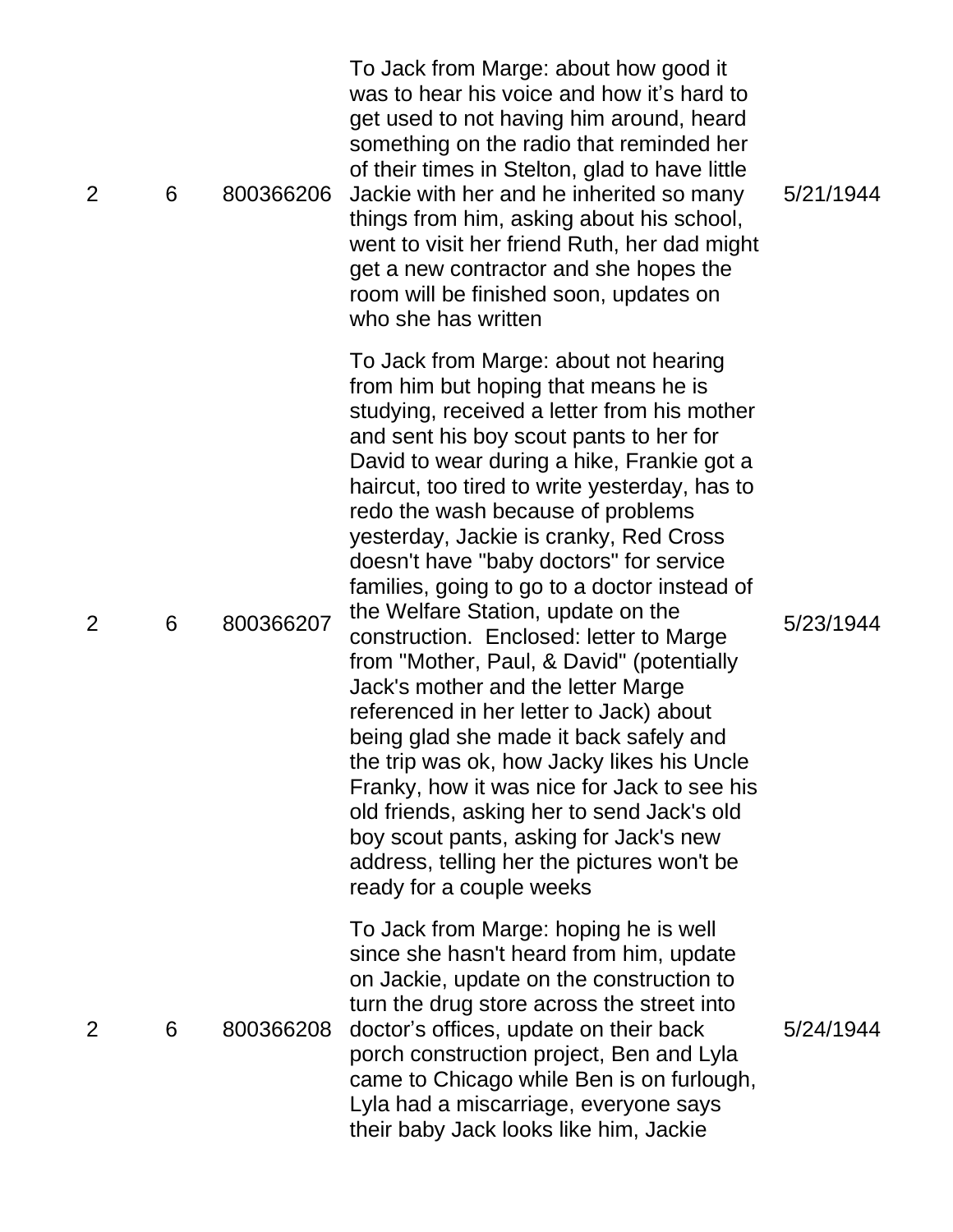| To Jack from Marge: about not hearing<br>from him but hoping that means he is<br>studying, received a letter from his mother<br>and sent his boy scout pants to her for<br>David to wear during a hike, Frankie got a<br>haircut, too tired to write yesterday, has to<br>redo the wash because of problems<br>yesterday, Jackie is cranky, Red Cross<br>doesn't have "baby doctors" for service<br>families, going to go to a doctor instead of<br>the Welfare Station, update on the<br>800366207<br>5/23/1944<br>6<br>construction. Enclosed: letter to Marge<br>from "Mother, Paul, & David" (potentially<br>Jack's mother and the letter Marge<br>referenced in her letter to Jack) about<br>being glad she made it back safely and<br>the trip was ok, how Jacky likes his Uncle<br>Franky, how it was nice for Jack to see his<br>old friends, asking her to send Jack's old<br>boy scout pants, asking for Jack's new<br>address, telling her the pictures won't be<br>ready for a couple weeks<br>To Jack from Marge: hoping he is well<br>since she hasn't heard from him, update<br>on Jackie, update on the construction to<br>turn the drug store across the street into<br>800366208<br>doctor's offices, update on their back<br>5/24/1944<br>6<br>porch construction project, Ben and Lyla<br>came to Chicago while Ben is on furlough,<br>Lyla had a miscarriage, everyone says<br>their baby Jack looks like him, Jackie | $\overline{2}$ | 6 | 800366206 | To Jack from Marge: about how good it<br>was to hear his voice and how it's hard to<br>get used to not having him around, heard<br>something on the radio that reminded her<br>of their times in Stelton, glad to have little<br>Jackie with her and he inherited so many<br>things from him, asking about his school,<br>went to visit her friend Ruth, her dad might<br>get a new contractor and she hopes the<br>room will be finished soon, updates on<br>who she has written | 5/21/1944 |
|--------------------------------------------------------------------------------------------------------------------------------------------------------------------------------------------------------------------------------------------------------------------------------------------------------------------------------------------------------------------------------------------------------------------------------------------------------------------------------------------------------------------------------------------------------------------------------------------------------------------------------------------------------------------------------------------------------------------------------------------------------------------------------------------------------------------------------------------------------------------------------------------------------------------------------------------------------------------------------------------------------------------------------------------------------------------------------------------------------------------------------------------------------------------------------------------------------------------------------------------------------------------------------------------------------------------------------------------------------------------------------------------------------------------------------------------|----------------|---|-----------|-----------------------------------------------------------------------------------------------------------------------------------------------------------------------------------------------------------------------------------------------------------------------------------------------------------------------------------------------------------------------------------------------------------------------------------------------------------------------------------|-----------|
|                                                                                                                                                                                                                                                                                                                                                                                                                                                                                                                                                                                                                                                                                                                                                                                                                                                                                                                                                                                                                                                                                                                                                                                                                                                                                                                                                                                                                                            | 2              |   |           |                                                                                                                                                                                                                                                                                                                                                                                                                                                                                   |           |
|                                                                                                                                                                                                                                                                                                                                                                                                                                                                                                                                                                                                                                                                                                                                                                                                                                                                                                                                                                                                                                                                                                                                                                                                                                                                                                                                                                                                                                            | 2              |   |           |                                                                                                                                                                                                                                                                                                                                                                                                                                                                                   |           |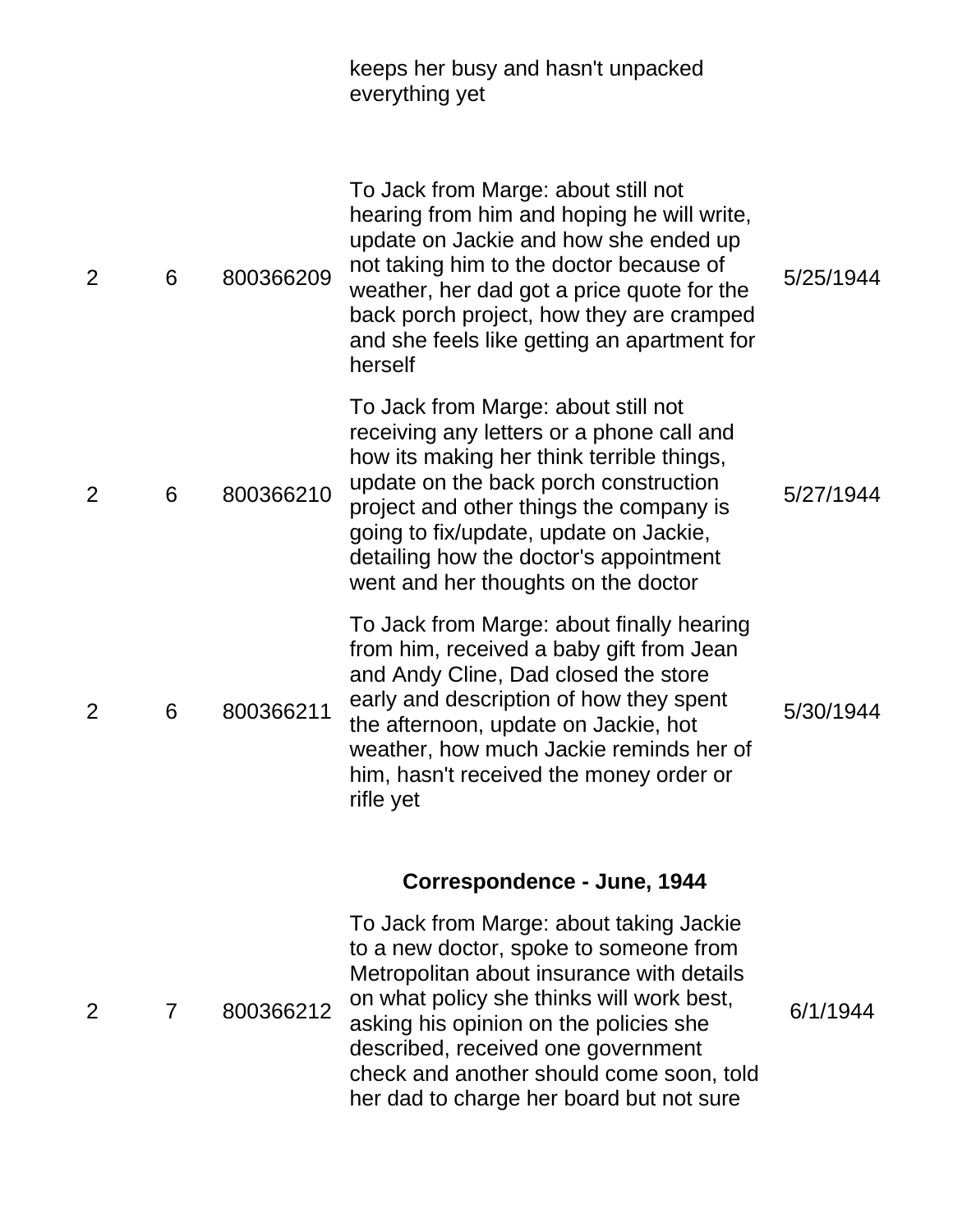|                |   |           | keeps her busy and hasn't unpacked<br>everything yet                                                                                                                                                                                                                                                                                         |           |
|----------------|---|-----------|----------------------------------------------------------------------------------------------------------------------------------------------------------------------------------------------------------------------------------------------------------------------------------------------------------------------------------------------|-----------|
| $\overline{2}$ | 6 | 800366209 | To Jack from Marge: about still not<br>hearing from him and hoping he will write,<br>update on Jackie and how she ended up<br>not taking him to the doctor because of<br>weather, her dad got a price quote for the<br>back porch project, how they are cramped<br>and she feels like getting an apartment for<br>herself                    | 5/25/1944 |
| $\overline{2}$ | 6 | 800366210 | To Jack from Marge: about still not<br>receiving any letters or a phone call and<br>how its making her think terrible things,<br>update on the back porch construction<br>project and other things the company is<br>going to fix/update, update on Jackie,<br>detailing how the doctor's appointment<br>went and her thoughts on the doctor | 5/27/1944 |
| 2              | 6 | 800366211 | To Jack from Marge: about finally hearing<br>from him, received a baby gift from Jean<br>and Andy Cline, Dad closed the store<br>early and description of how they spent<br>the afternoon, update on Jackie, hot<br>weather, how much Jackie reminds her of<br>him, hasn't received the money order or<br>rifle yet                          | 5/30/1944 |
|                |   |           | Correspondence - June, 1944                                                                                                                                                                                                                                                                                                                  |           |
| 2              | 7 | 800366212 | To Jack from Marge: about taking Jackie<br>to a new doctor, spoke to someone from<br>Metropolitan about insurance with details<br>on what policy she thinks will work best,<br>asking his opinion on the policies she<br>described, received one government<br>check and another should come soon, told                                      | 6/1/1944  |

her dad to charge her board but not sure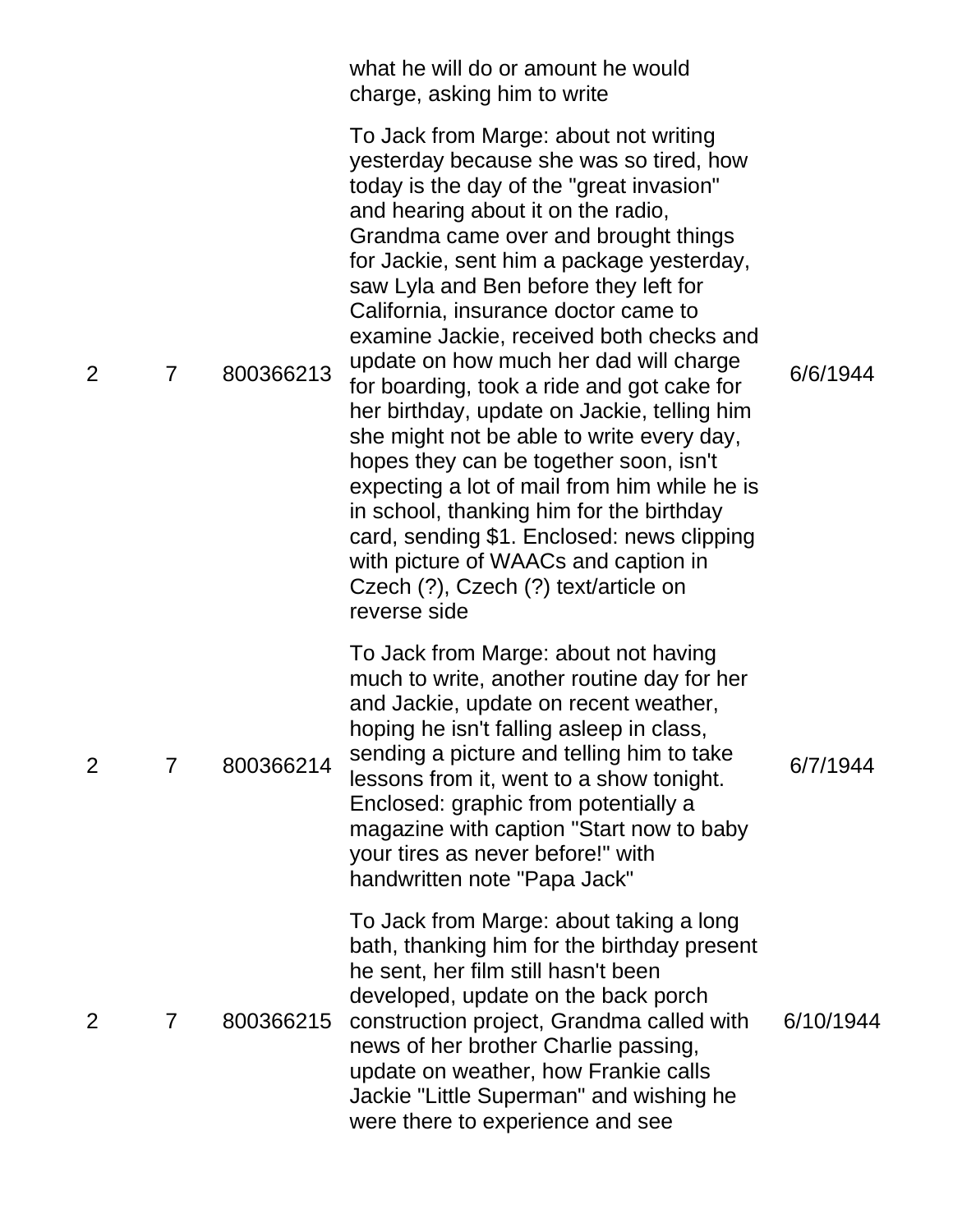|                |   |           | what he will do or amount he would<br>charge, asking him to write                                                                                                                                                                                                                                                                                                                                                                                                                                                                                                                                                                                                                                                                                                                                                                                            |           |
|----------------|---|-----------|--------------------------------------------------------------------------------------------------------------------------------------------------------------------------------------------------------------------------------------------------------------------------------------------------------------------------------------------------------------------------------------------------------------------------------------------------------------------------------------------------------------------------------------------------------------------------------------------------------------------------------------------------------------------------------------------------------------------------------------------------------------------------------------------------------------------------------------------------------------|-----------|
| 2              | 7 | 800366213 | To Jack from Marge: about not writing<br>yesterday because she was so tired, how<br>today is the day of the "great invasion"<br>and hearing about it on the radio,<br>Grandma came over and brought things<br>for Jackie, sent him a package yesterday,<br>saw Lyla and Ben before they left for<br>California, insurance doctor came to<br>examine Jackie, received both checks and<br>update on how much her dad will charge<br>for boarding, took a ride and got cake for<br>her birthday, update on Jackie, telling him<br>she might not be able to write every day,<br>hopes they can be together soon, isn't<br>expecting a lot of mail from him while he is<br>in school, thanking him for the birthday<br>card, sending \$1. Enclosed: news clipping<br>with picture of WAACs and caption in<br>Czech (?), Czech (?) text/article on<br>reverse side | 6/6/1944  |
| $\overline{2}$ | 7 | 800366214 | To Jack from Marge: about not having<br>much to write, another routine day for her<br>and Jackie, update on recent weather,<br>hoping he isn't falling asleep in class,<br>sending a picture and telling him to take<br>lessons from it, went to a show tonight.<br>Enclosed: graphic from potentially a<br>magazine with caption "Start now to baby<br>your tires as never before!" with<br>handwritten note "Papa Jack"                                                                                                                                                                                                                                                                                                                                                                                                                                    | 6/7/1944  |
| 2              | 7 | 800366215 | To Jack from Marge: about taking a long<br>bath, thanking him for the birthday present<br>he sent, her film still hasn't been<br>developed, update on the back porch<br>construction project, Grandma called with<br>news of her brother Charlie passing,<br>update on weather, how Frankie calls<br>Jackie "Little Superman" and wishing he<br>were there to experience and see                                                                                                                                                                                                                                                                                                                                                                                                                                                                             | 6/10/1944 |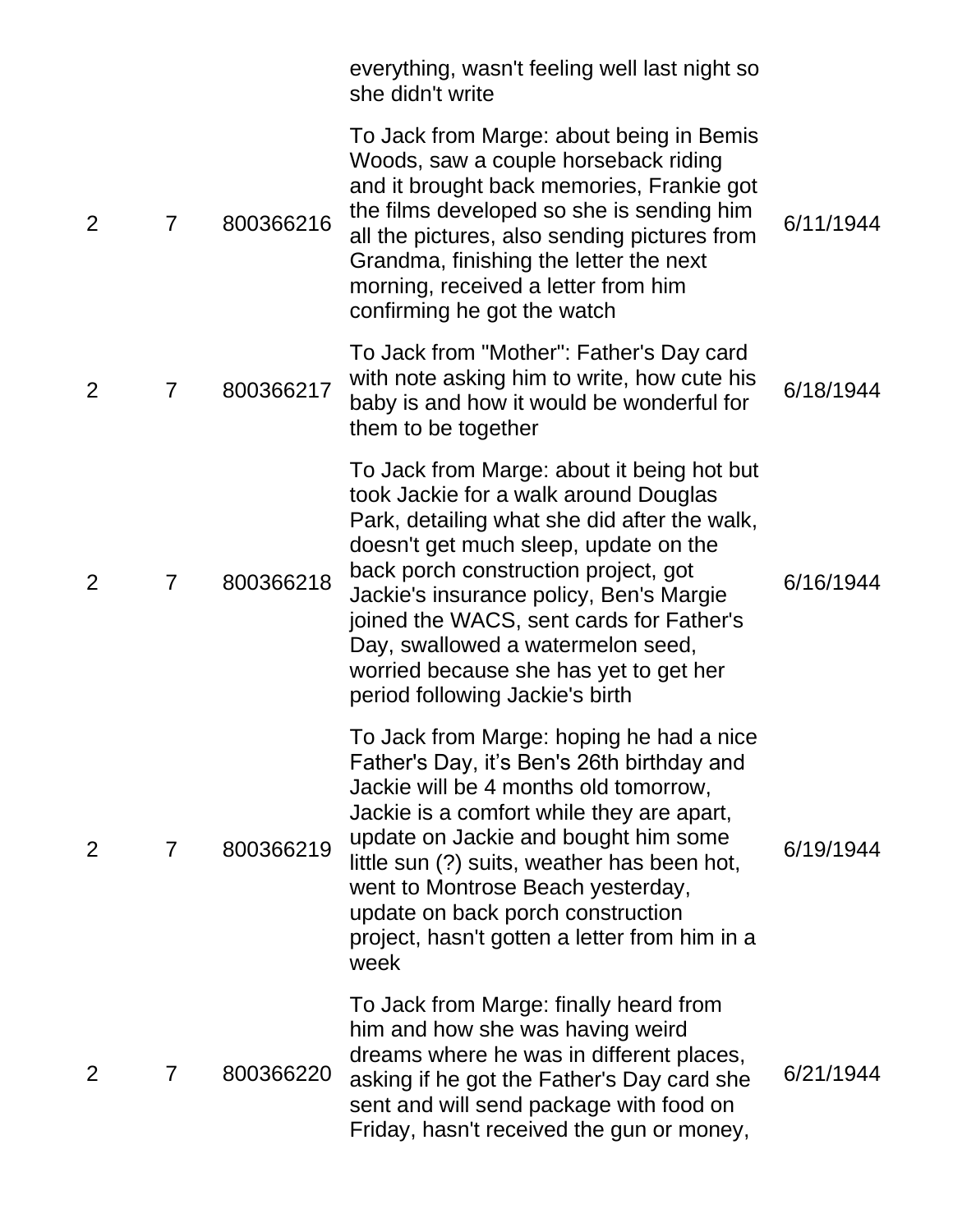|                |                |           | everything, wasn't feeling well last night so<br>she didn't write                                                                                                                                                                                                                                                                                                                                                             |           |
|----------------|----------------|-----------|-------------------------------------------------------------------------------------------------------------------------------------------------------------------------------------------------------------------------------------------------------------------------------------------------------------------------------------------------------------------------------------------------------------------------------|-----------|
| 2              | $\overline{7}$ | 800366216 | To Jack from Marge: about being in Bemis<br>Woods, saw a couple horseback riding<br>and it brought back memories, Frankie got<br>the films developed so she is sending him<br>all the pictures, also sending pictures from<br>Grandma, finishing the letter the next<br>morning, received a letter from him<br>confirming he got the watch                                                                                    | 6/11/1944 |
| 2              | $\overline{7}$ | 800366217 | To Jack from "Mother": Father's Day card<br>with note asking him to write, how cute his<br>baby is and how it would be wonderful for<br>them to be together                                                                                                                                                                                                                                                                   | 6/18/1944 |
| $\overline{2}$ | $\overline{7}$ | 800366218 | To Jack from Marge: about it being hot but<br>took Jackie for a walk around Douglas<br>Park, detailing what she did after the walk,<br>doesn't get much sleep, update on the<br>back porch construction project, got<br>Jackie's insurance policy, Ben's Margie<br>joined the WACS, sent cards for Father's<br>Day, swallowed a watermelon seed,<br>worried because she has yet to get her<br>period following Jackie's birth | 6/16/1944 |
| 2              | $\overline{7}$ | 800366219 | To Jack from Marge: hoping he had a nice<br>Father's Day, it's Ben's 26th birthday and<br>Jackie will be 4 months old tomorrow,<br>Jackie is a comfort while they are apart,<br>update on Jackie and bought him some<br>little sun (?) suits, weather has been hot,<br>went to Montrose Beach yesterday,<br>update on back porch construction<br>project, hasn't gotten a letter from him in a<br>week                        | 6/19/1944 |
| 2              | 7              | 800366220 | To Jack from Marge: finally heard from<br>him and how she was having weird<br>dreams where he was in different places,<br>asking if he got the Father's Day card she<br>sent and will send package with food on<br>Friday, hasn't received the gun or money,                                                                                                                                                                  | 6/21/1944 |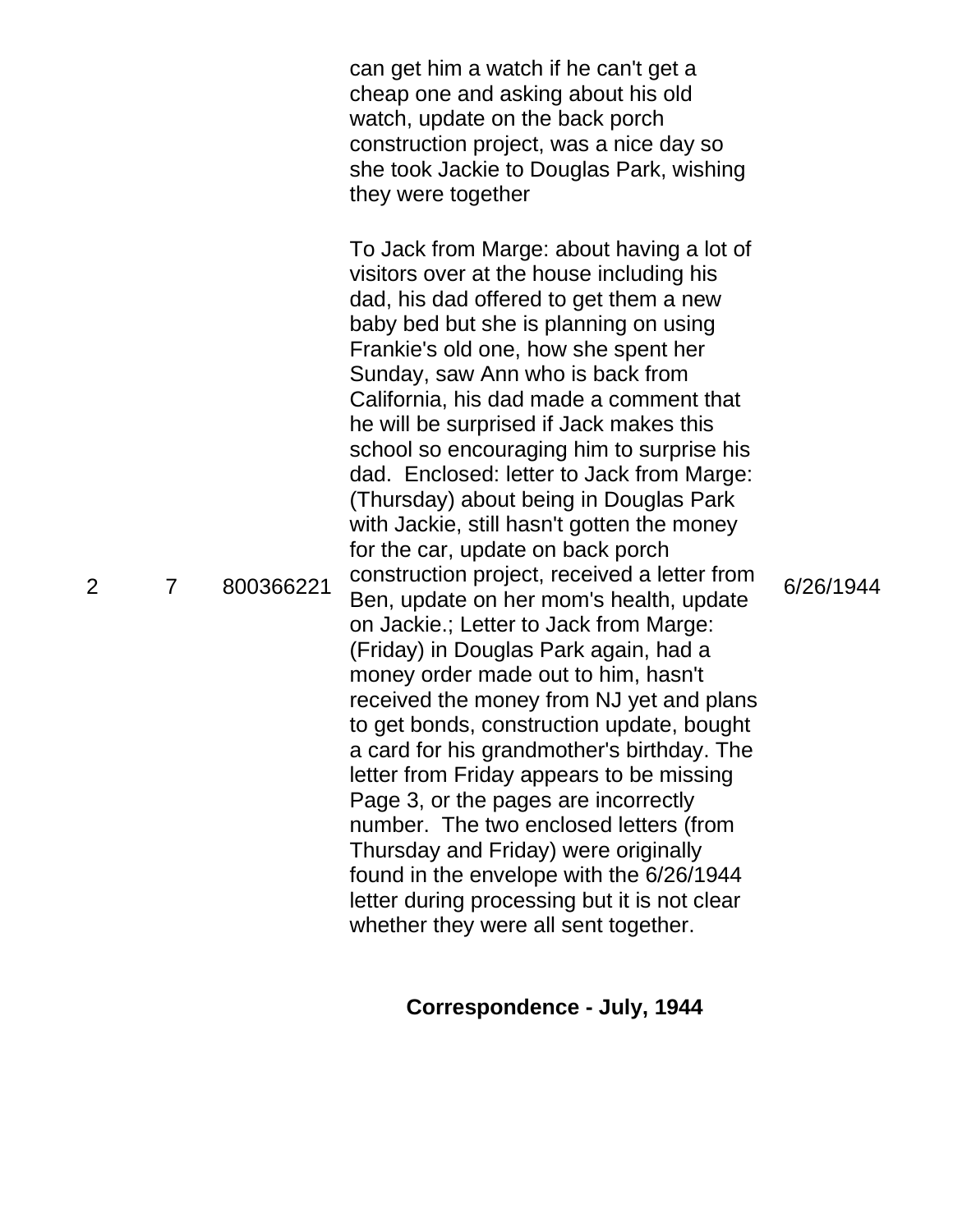can get him a watch if he can't get a cheap one and asking about his old watch, update on the back porch construction project, was a nice day so she took Jackie to Douglas Park, wishing they were together 2 7 800366221 To Jack from Marge: about having a lot of visitors over at the house including his dad, his dad offered to get them a new baby bed but she is planning on using Frankie's old one, how she spent her Sunday, saw Ann who is back from California, his dad made a comment that he will be surprised if Jack makes this school so encouraging him to surprise his dad. Enclosed: letter to Jack from Marge: (Thursday) about being in Douglas Park with Jackie, still hasn't gotten the money for the car, update on back porch construction project, received a letter from Ben, update on her mom's health, update on Jackie.; Letter to Jack from Marge: (Friday) in Douglas Park again, had a money order made out to him, hasn't received the money from NJ yet and plans to get bonds, construction update, bought a card for his grandmother's birthday. The letter from Friday appears to be missing Page 3, or the pages are incorrectly number. The two enclosed letters (from Thursday and Friday) were originally found in the envelope with the 6/26/1944 letter during processing but it is not clear whether they were all sent together. 6/26/1944

#### **Correspondence - July, 1944**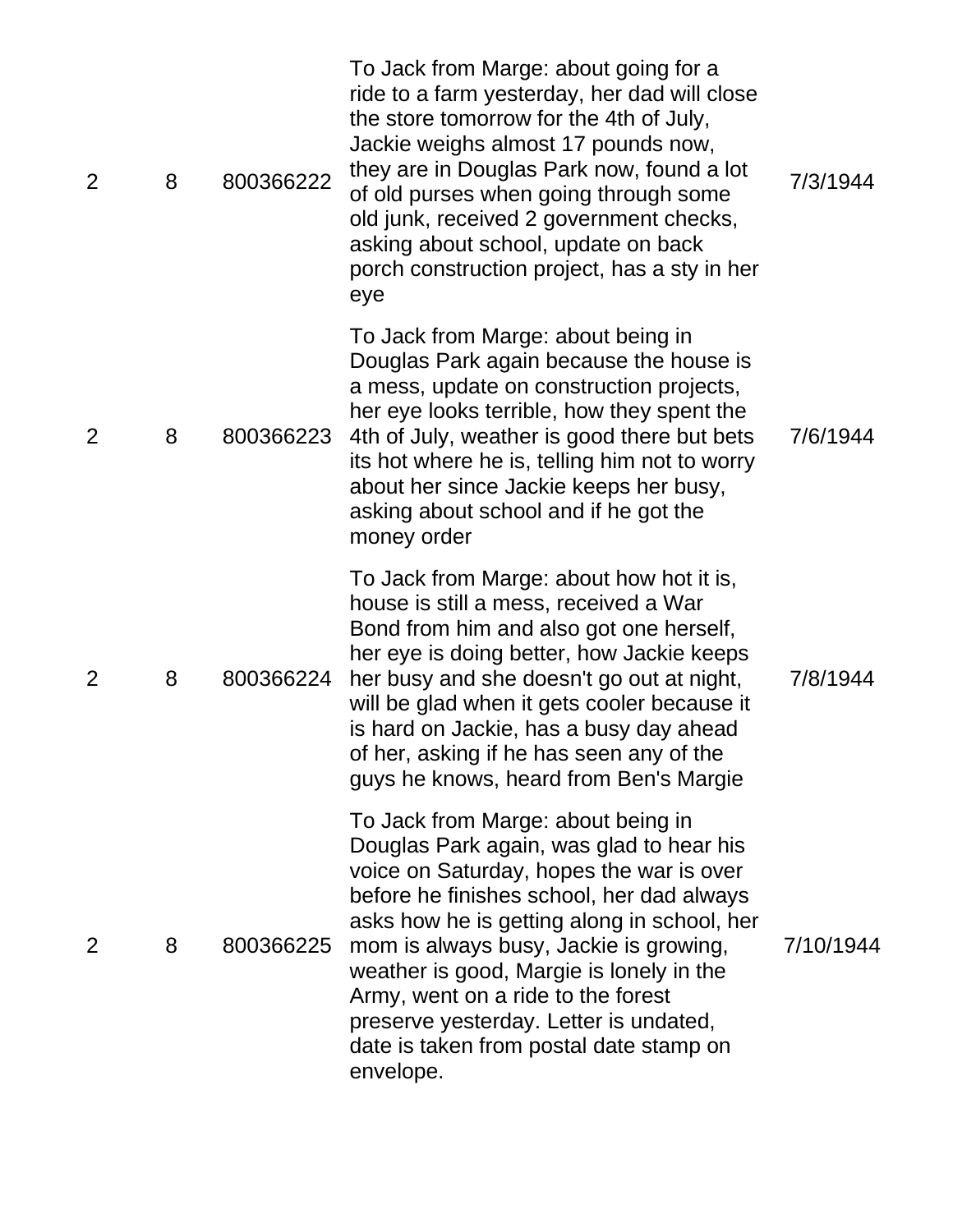| $\overline{2}$ | 8 | 800366222 | To Jack from Marge: about going for a<br>ride to a farm yesterday, her dad will close<br>the store tomorrow for the 4th of July,<br>Jackie weighs almost 17 pounds now,<br>they are in Douglas Park now, found a lot<br>of old purses when going through some<br>old junk, received 2 government checks,<br>asking about school, update on back<br>porch construction project, has a sty in her<br>eye                                               | 7/3/1944  |
|----------------|---|-----------|------------------------------------------------------------------------------------------------------------------------------------------------------------------------------------------------------------------------------------------------------------------------------------------------------------------------------------------------------------------------------------------------------------------------------------------------------|-----------|
| $\overline{2}$ | 8 | 800366223 | To Jack from Marge: about being in<br>Douglas Park again because the house is<br>a mess, update on construction projects,<br>her eye looks terrible, how they spent the<br>4th of July, weather is good there but bets<br>its hot where he is, telling him not to worry<br>about her since Jackie keeps her busy,<br>asking about school and if he got the<br>money order                                                                            | 7/6/1944  |
| $\overline{2}$ | 8 | 800366224 | To Jack from Marge: about how hot it is,<br>house is still a mess, received a War<br>Bond from him and also got one herself,<br>her eye is doing better, how Jackie keeps<br>her busy and she doesn't go out at night,<br>will be glad when it gets cooler because it<br>is hard on Jackie, has a busy day ahead<br>of her, asking if he has seen any of the<br>guys he knows, heard from Ben's Margie                                               | 7/8/1944  |
| 2              | 8 | 800366225 | To Jack from Marge: about being in<br>Douglas Park again, was glad to hear his<br>voice on Saturday, hopes the war is over<br>before he finishes school, her dad always<br>asks how he is getting along in school, her<br>mom is always busy, Jackie is growing,<br>weather is good, Margie is lonely in the<br>Army, went on a ride to the forest<br>preserve yesterday. Letter is undated,<br>date is taken from postal date stamp on<br>envelope. | 7/10/1944 |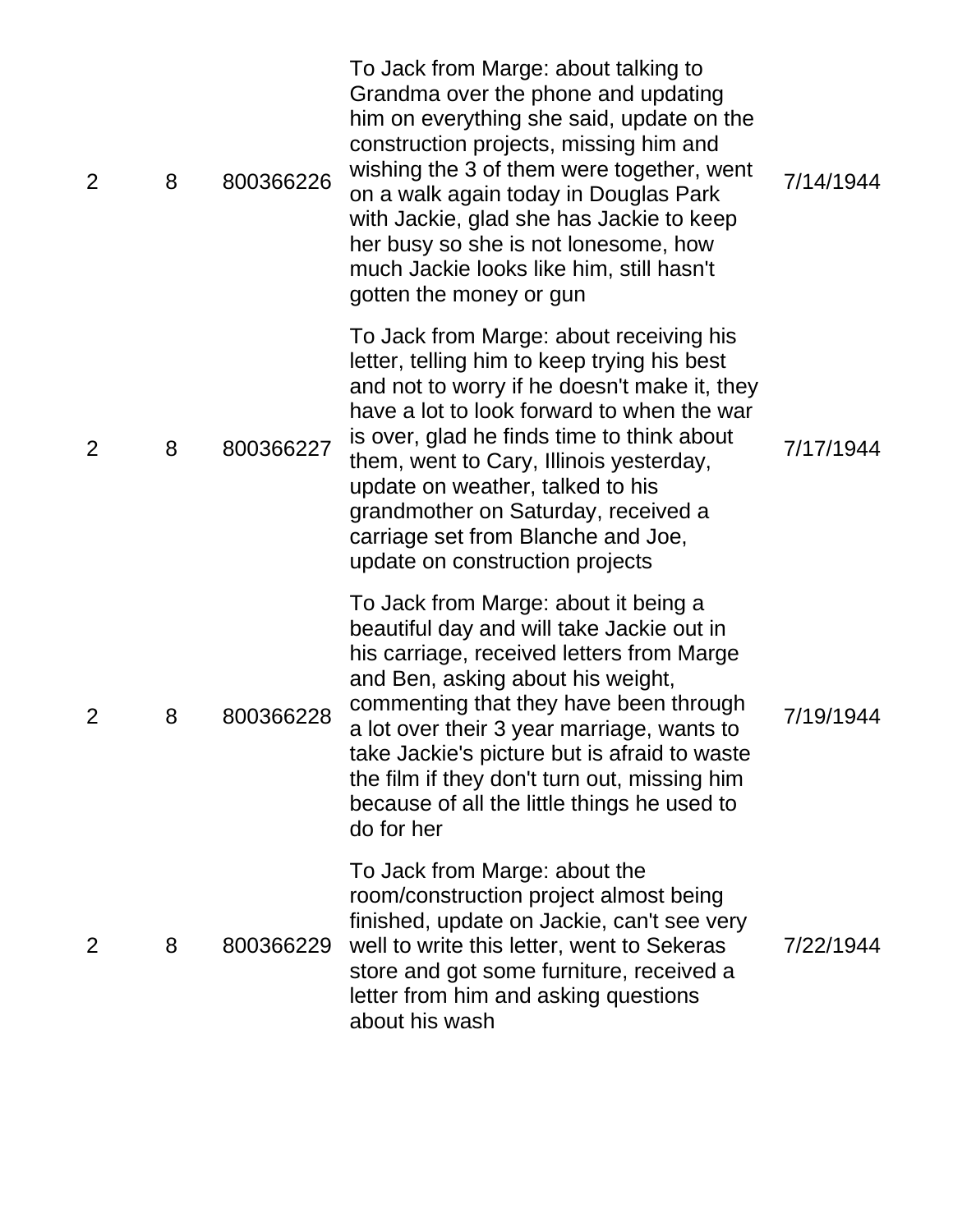| $\overline{2}$ | 8 | 800366226 | To Jack from Marge: about talking to<br>Grandma over the phone and updating<br>him on everything she said, update on the<br>construction projects, missing him and<br>wishing the 3 of them were together, went<br>on a walk again today in Douglas Park<br>with Jackie, glad she has Jackie to keep<br>her busy so she is not lonesome, how<br>much Jackie looks like him, still hasn't<br>gotten the money or gun               | 7/14/1944 |
|----------------|---|-----------|-----------------------------------------------------------------------------------------------------------------------------------------------------------------------------------------------------------------------------------------------------------------------------------------------------------------------------------------------------------------------------------------------------------------------------------|-----------|
| 2              | 8 | 800366227 | To Jack from Marge: about receiving his<br>letter, telling him to keep trying his best<br>and not to worry if he doesn't make it, they<br>have a lot to look forward to when the war<br>is over, glad he finds time to think about<br>them, went to Cary, Illinois yesterday,<br>update on weather, talked to his<br>grandmother on Saturday, received a<br>carriage set from Blanche and Joe,<br>update on construction projects | 7/17/1944 |
| $\overline{2}$ | 8 | 800366228 | To Jack from Marge: about it being a<br>beautiful day and will take Jackie out in<br>his carriage, received letters from Marge<br>and Ben, asking about his weight,<br>commenting that they have been through<br>a lot over their 3 year marriage, wants to<br>take Jackie's picture but is afraid to waste<br>the film if they don't turn out, missing him<br>because of all the little things he used to<br>do for her          | 7/19/1944 |
| 2              | 8 | 800366229 | To Jack from Marge: about the<br>room/construction project almost being<br>finished, update on Jackie, can't see very<br>well to write this letter, went to Sekeras<br>store and got some furniture, received a<br>letter from him and asking questions<br>about his wash                                                                                                                                                         | 7/22/1944 |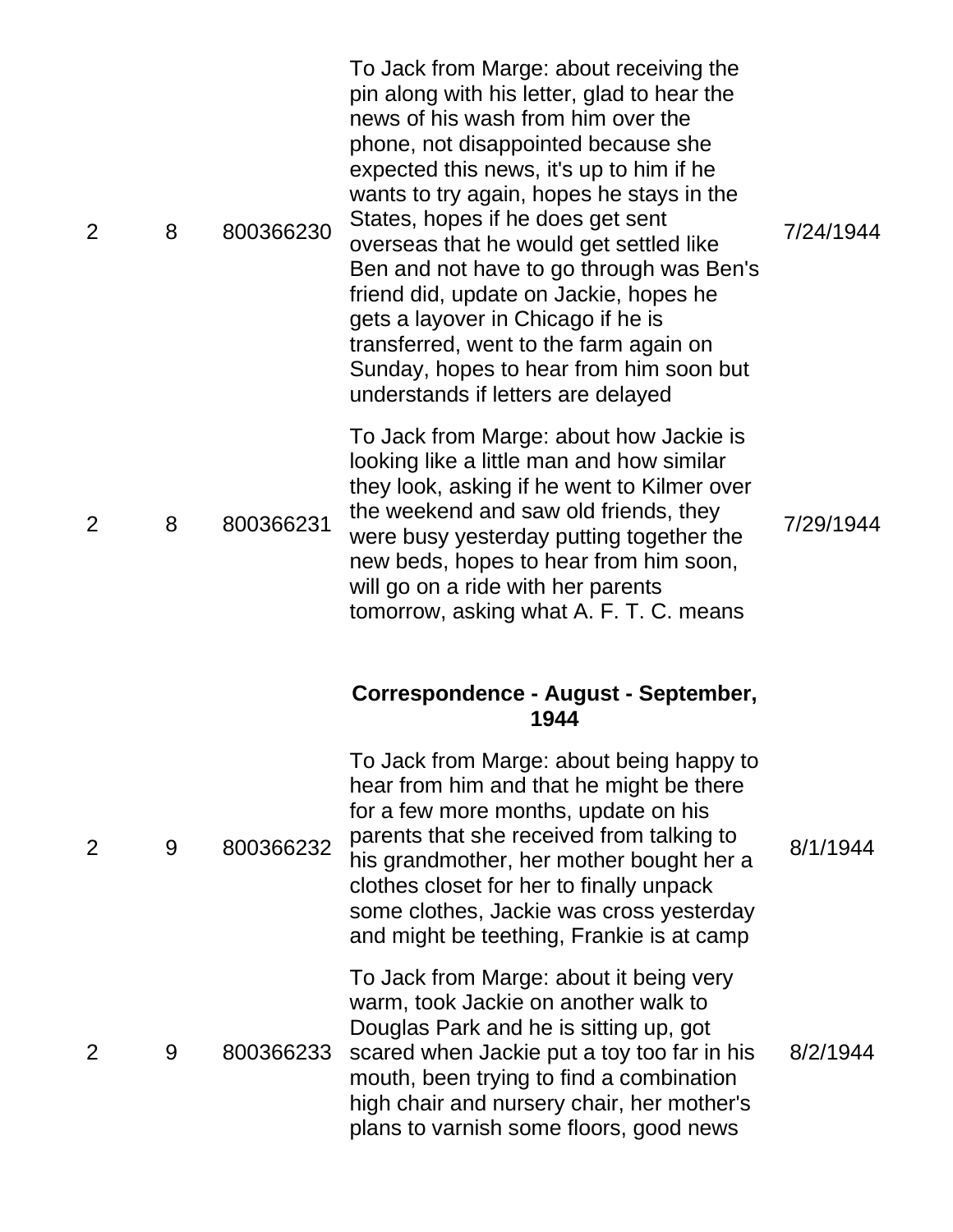| $\overline{2}$ | 8 | 800366230 | To Jack from Marge: about receiving the<br>pin along with his letter, glad to hear the<br>news of his wash from him over the<br>phone, not disappointed because she<br>expected this news, it's up to him if he<br>wants to try again, hopes he stays in the<br>States, hopes if he does get sent<br>overseas that he would get settled like<br>Ben and not have to go through was Ben's<br>friend did, update on Jackie, hopes he<br>gets a layover in Chicago if he is<br>transferred, went to the farm again on<br>Sunday, hopes to hear from him soon but<br>understands if letters are delayed | 7/24/1944 |
|----------------|---|-----------|-----------------------------------------------------------------------------------------------------------------------------------------------------------------------------------------------------------------------------------------------------------------------------------------------------------------------------------------------------------------------------------------------------------------------------------------------------------------------------------------------------------------------------------------------------------------------------------------------------|-----------|
| 2              | 8 | 800366231 | To Jack from Marge: about how Jackie is<br>looking like a little man and how similar<br>they look, asking if he went to Kilmer over<br>the weekend and saw old friends, they<br>were busy yesterday putting together the<br>new beds, hopes to hear from him soon,<br>will go on a ride with her parents<br>tomorrow, asking what A. F. T. C. means                                                                                                                                                                                                                                                 | 7/29/1944 |
|                |   |           | Correspondence - August - September,<br>1944                                                                                                                                                                                                                                                                                                                                                                                                                                                                                                                                                        |           |
| $\overline{2}$ | 9 | 800366232 | To Jack from Marge: about being happy to<br>hear from him and that he might be there<br>for a few more months, update on his<br>parents that she received from talking to<br>his grandmother, her mother bought her a<br>clothes closet for her to finally unpack<br>some clothes, Jackie was cross yesterday<br>and might be teething, Frankie is at camp                                                                                                                                                                                                                                          | 8/1/1944  |
| 2              | 9 | 800366233 | To Jack from Marge: about it being very<br>warm, took Jackie on another walk to<br>Douglas Park and he is sitting up, got<br>scared when Jackie put a toy too far in his<br>mouth, been trying to find a combination<br>high chair and nursery chair, her mother's<br>plans to varnish some floors, good news                                                                                                                                                                                                                                                                                       | 8/2/1944  |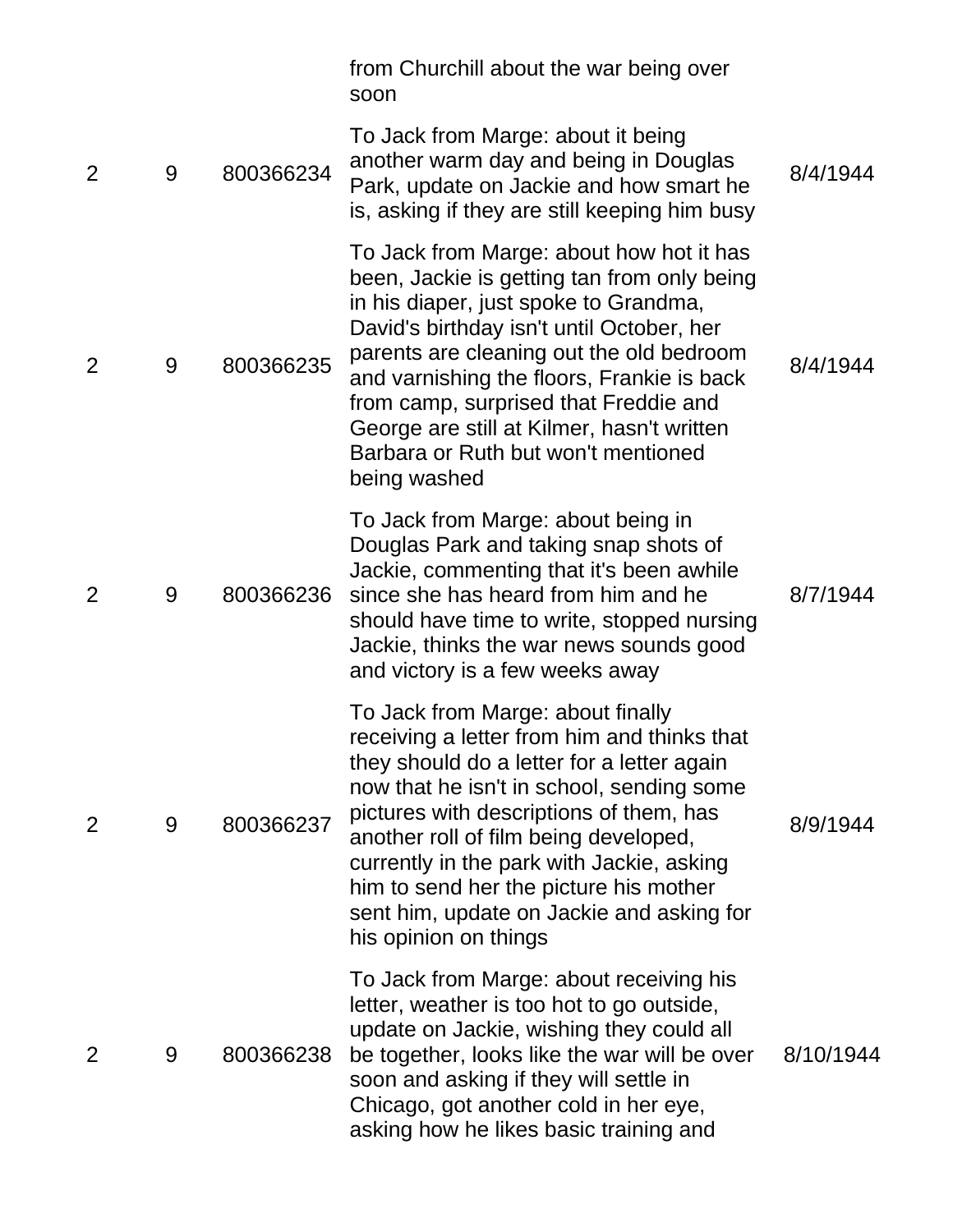|                |   |           | from Churchill about the war being over<br>soon                                                                                                                                                                                                                                                                                                                                                                              |           |
|----------------|---|-----------|------------------------------------------------------------------------------------------------------------------------------------------------------------------------------------------------------------------------------------------------------------------------------------------------------------------------------------------------------------------------------------------------------------------------------|-----------|
| $\overline{2}$ | 9 | 800366234 | To Jack from Marge: about it being<br>another warm day and being in Douglas<br>Park, update on Jackie and how smart he<br>is, asking if they are still keeping him busy                                                                                                                                                                                                                                                      | 8/4/1944  |
| 2              | 9 | 800366235 | To Jack from Marge: about how hot it has<br>been, Jackie is getting tan from only being<br>in his diaper, just spoke to Grandma,<br>David's birthday isn't until October, her<br>parents are cleaning out the old bedroom<br>and varnishing the floors, Frankie is back<br>from camp, surprised that Freddie and<br>George are still at Kilmer, hasn't written<br>Barbara or Ruth but won't mentioned<br>being washed        | 8/4/1944  |
| 2              | 9 | 800366236 | To Jack from Marge: about being in<br>Douglas Park and taking snap shots of<br>Jackie, commenting that it's been awhile<br>since she has heard from him and he<br>should have time to write, stopped nursing<br>Jackie, thinks the war news sounds good<br>and victory is a few weeks away                                                                                                                                   | 8/7/1944  |
| 2              | 9 | 800366237 | To Jack from Marge: about finally<br>receiving a letter from him and thinks that<br>they should do a letter for a letter again<br>now that he isn't in school, sending some<br>pictures with descriptions of them, has<br>another roll of film being developed,<br>currently in the park with Jackie, asking<br>him to send her the picture his mother<br>sent him, update on Jackie and asking for<br>his opinion on things | 8/9/1944  |
| $\overline{2}$ | 9 | 800366238 | To Jack from Marge: about receiving his<br>letter, weather is too hot to go outside,<br>update on Jackie, wishing they could all<br>be together, looks like the war will be over<br>soon and asking if they will settle in<br>Chicago, got another cold in her eye,<br>asking how he likes basic training and                                                                                                                | 8/10/1944 |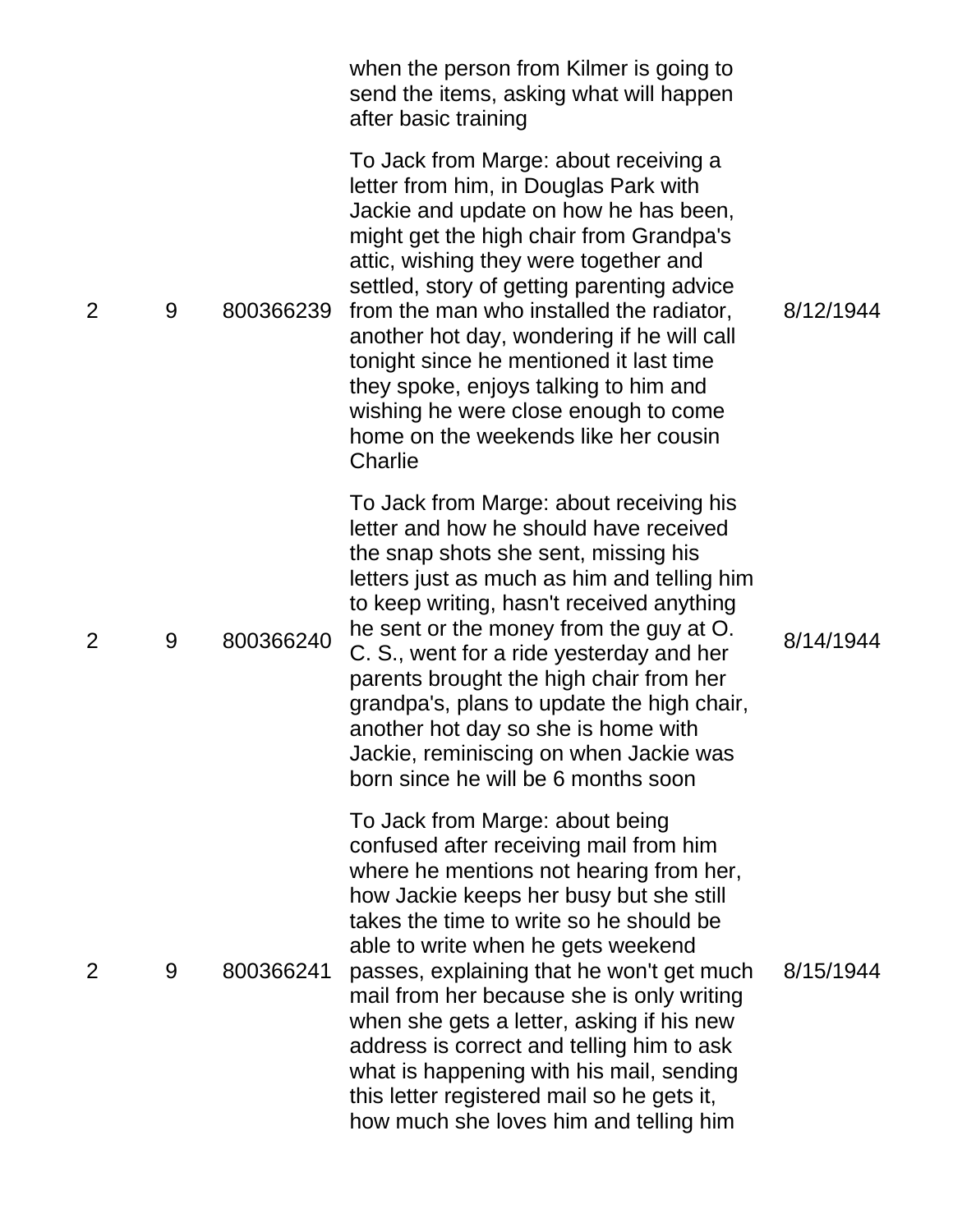|                |   |           | when the person from Kilmer is going to<br>send the items, asking what will happen<br>after basic training                                                                                                                                                                                                                                                                                                                                                                                                                                                               |           |
|----------------|---|-----------|--------------------------------------------------------------------------------------------------------------------------------------------------------------------------------------------------------------------------------------------------------------------------------------------------------------------------------------------------------------------------------------------------------------------------------------------------------------------------------------------------------------------------------------------------------------------------|-----------|
| $\overline{2}$ | 9 | 800366239 | To Jack from Marge: about receiving a<br>letter from him, in Douglas Park with<br>Jackie and update on how he has been,<br>might get the high chair from Grandpa's<br>attic, wishing they were together and<br>settled, story of getting parenting advice<br>from the man who installed the radiator,<br>another hot day, wondering if he will call<br>tonight since he mentioned it last time<br>they spoke, enjoys talking to him and<br>wishing he were close enough to come<br>home on the weekends like her cousin<br>Charlie                                       | 8/12/1944 |
| $\overline{2}$ | 9 | 800366240 | To Jack from Marge: about receiving his<br>letter and how he should have received<br>the snap shots she sent, missing his<br>letters just as much as him and telling him<br>to keep writing, hasn't received anything<br>he sent or the money from the guy at O.<br>C. S., went for a ride yesterday and her<br>parents brought the high chair from her<br>grandpa's, plans to update the high chair,<br>another hot day so she is home with<br>Jackie, reminiscing on when Jackie was<br>born since he will be 6 months soon                                            | 8/14/1944 |
| 2              | 9 | 800366241 | To Jack from Marge: about being<br>confused after receiving mail from him<br>where he mentions not hearing from her,<br>how Jackie keeps her busy but she still<br>takes the time to write so he should be<br>able to write when he gets weekend<br>passes, explaining that he won't get much<br>mail from her because she is only writing<br>when she gets a letter, asking if his new<br>address is correct and telling him to ask<br>what is happening with his mail, sending<br>this letter registered mail so he gets it,<br>how much she loves him and telling him | 8/15/1944 |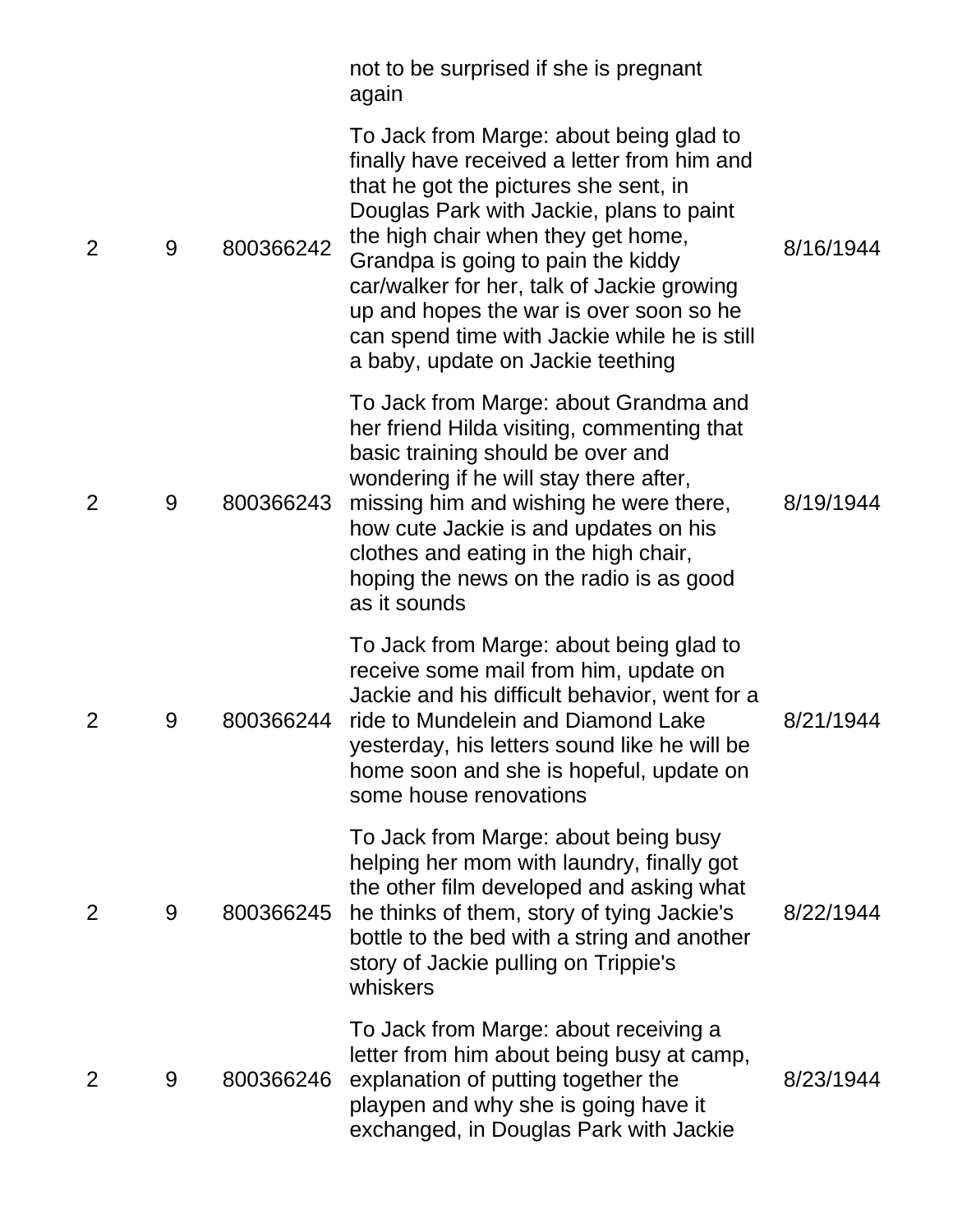|   |   |           | not to be surprised if she is pregnant<br>again                                                                                                                                                                                                                                                                                                                                                                                       |           |
|---|---|-----------|---------------------------------------------------------------------------------------------------------------------------------------------------------------------------------------------------------------------------------------------------------------------------------------------------------------------------------------------------------------------------------------------------------------------------------------|-----------|
| 2 | 9 | 800366242 | To Jack from Marge: about being glad to<br>finally have received a letter from him and<br>that he got the pictures she sent, in<br>Douglas Park with Jackie, plans to paint<br>the high chair when they get home,<br>Grandpa is going to pain the kiddy<br>car/walker for her, talk of Jackie growing<br>up and hopes the war is over soon so he<br>can spend time with Jackie while he is still<br>a baby, update on Jackie teething | 8/16/1944 |
| 2 | 9 | 800366243 | To Jack from Marge: about Grandma and<br>her friend Hilda visiting, commenting that<br>basic training should be over and<br>wondering if he will stay there after,<br>missing him and wishing he were there,<br>how cute Jackie is and updates on his<br>clothes and eating in the high chair,<br>hoping the news on the radio is as good<br>as it sounds                                                                             | 8/19/1944 |
| 2 | 9 | 800366244 | To Jack from Marge: about being glad to<br>receive some mail from him, update on<br>Jackie and his difficult behavior, went for a<br>ride to Mundelein and Diamond Lake<br>yesterday, his letters sound like he will be<br>home soon and she is hopeful, update on<br>some house renovations                                                                                                                                          | 8/21/1944 |
| 2 | 9 | 800366245 | To Jack from Marge: about being busy<br>helping her mom with laundry, finally got<br>the other film developed and asking what<br>he thinks of them, story of tying Jackie's<br>bottle to the bed with a string and another<br>story of Jackie pulling on Trippie's<br>whiskers                                                                                                                                                        | 8/22/1944 |
| 2 | 9 | 800366246 | To Jack from Marge: about receiving a<br>letter from him about being busy at camp,<br>explanation of putting together the<br>playpen and why she is going have it<br>exchanged, in Douglas Park with Jackie                                                                                                                                                                                                                           | 8/23/1944 |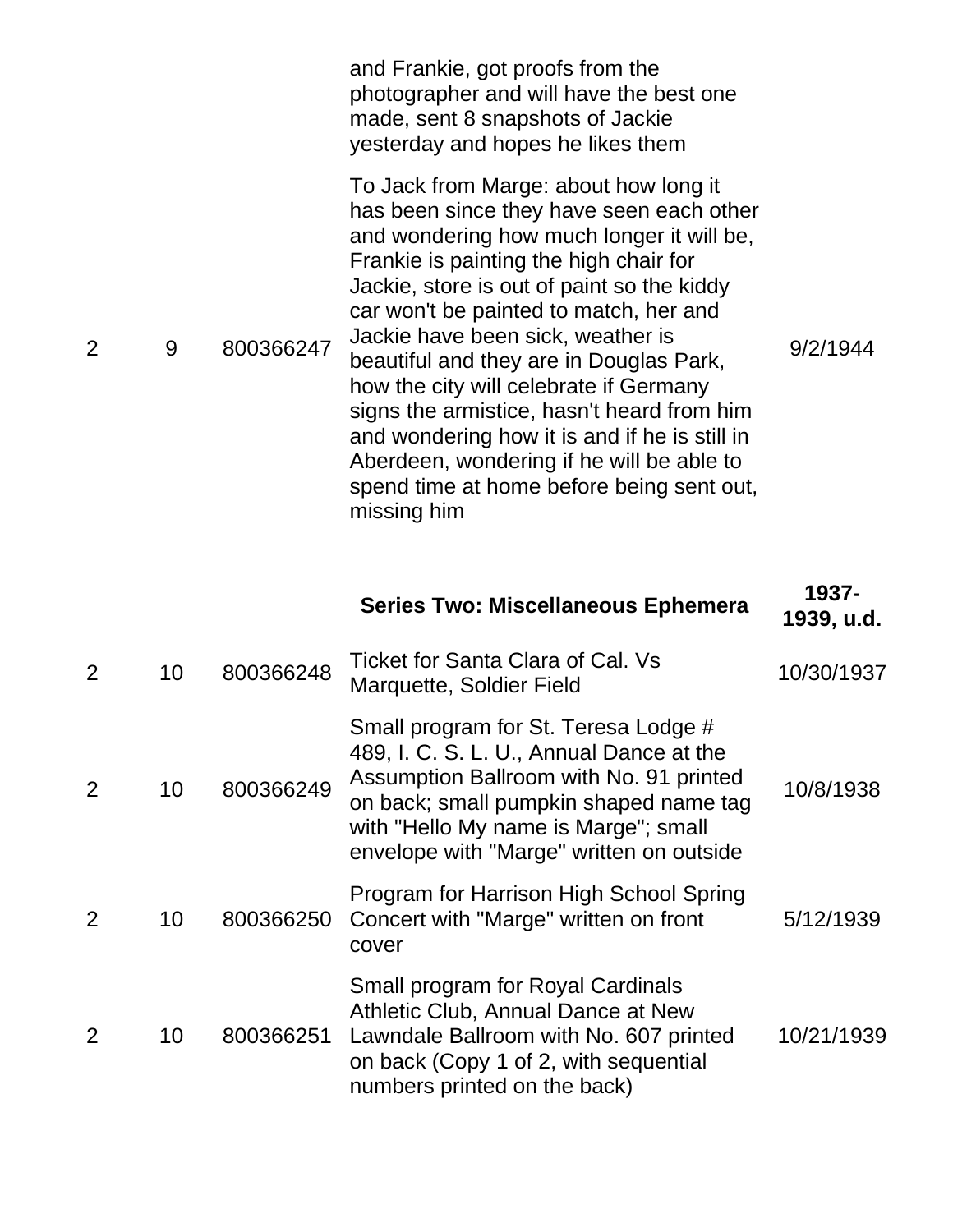|                |   |           | and Frankie, got proofs from the<br>photographer and will have the best one<br>made, sent 8 snapshots of Jackie<br>yesterday and hopes he likes them                                                                                                                                                                                                                                                                                                                                                                                                                                               |          |
|----------------|---|-----------|----------------------------------------------------------------------------------------------------------------------------------------------------------------------------------------------------------------------------------------------------------------------------------------------------------------------------------------------------------------------------------------------------------------------------------------------------------------------------------------------------------------------------------------------------------------------------------------------------|----------|
| $\overline{2}$ | 9 | 800366247 | To Jack from Marge: about how long it<br>has been since they have seen each other<br>and wondering how much longer it will be,<br>Frankie is painting the high chair for<br>Jackie, store is out of paint so the kiddy<br>car won't be painted to match, her and<br>Jackie have been sick, weather is<br>beautiful and they are in Douglas Park,<br>how the city will celebrate if Germany<br>signs the armistice, hasn't heard from him<br>and wondering how it is and if he is still in<br>Aberdeen, wondering if he will be able to<br>spend time at home before being sent out,<br>missing him | 9/2/1944 |

|                |    |           | <b>Series Two: Miscellaneous Ephemera</b>                                                                                                                                                                                                                 | 1937-<br>1939, u.d. |
|----------------|----|-----------|-----------------------------------------------------------------------------------------------------------------------------------------------------------------------------------------------------------------------------------------------------------|---------------------|
| $\overline{2}$ | 10 | 800366248 | Ticket for Santa Clara of Cal. Vs<br>Marquette, Soldier Field                                                                                                                                                                                             | 10/30/1937          |
| $\overline{2}$ | 10 | 800366249 | Small program for St. Teresa Lodge #<br>489, I. C. S. L. U., Annual Dance at the<br>Assumption Ballroom with No. 91 printed<br>on back; small pumpkin shaped name tag<br>with "Hello My name is Marge"; small<br>envelope with "Marge" written on outside | 10/8/1938           |
|                | 10 | 800366250 | Program for Harrison High School Spring<br>Concert with "Marge" written on front<br>cover                                                                                                                                                                 | 5/12/1939           |
| 2              | 10 | 800366251 | Small program for Royal Cardinals<br>Athletic Club, Annual Dance at New<br>Lawndale Ballroom with No. 607 printed<br>on back (Copy 1 of 2, with sequential<br>numbers printed on the back)                                                                | 10/21/1939          |